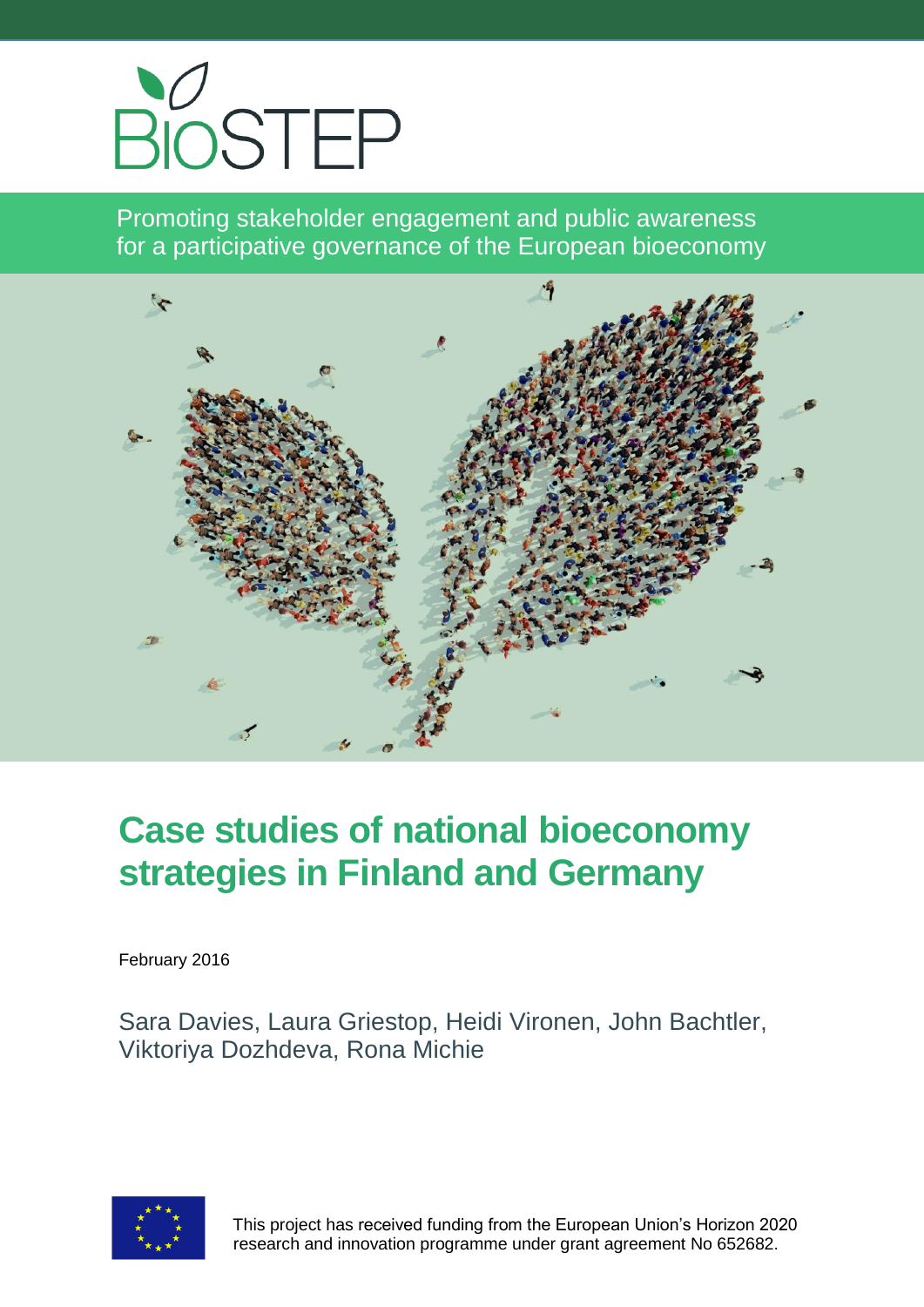

Promoting stakeholder engagement and public awareness for a participative governance of the European bioeconomy



# **Case studies of national bioeconomy strategies in Finland and Germany**

February 2016

Sara Davies, Laura Griestop, Heidi Vironen, John Bachtler, Viktoriya Dozhdeva, Rona Michie



 This project has received funding from the European Union's Horizon 2020 research and innovation programme under grant agreement No 652682.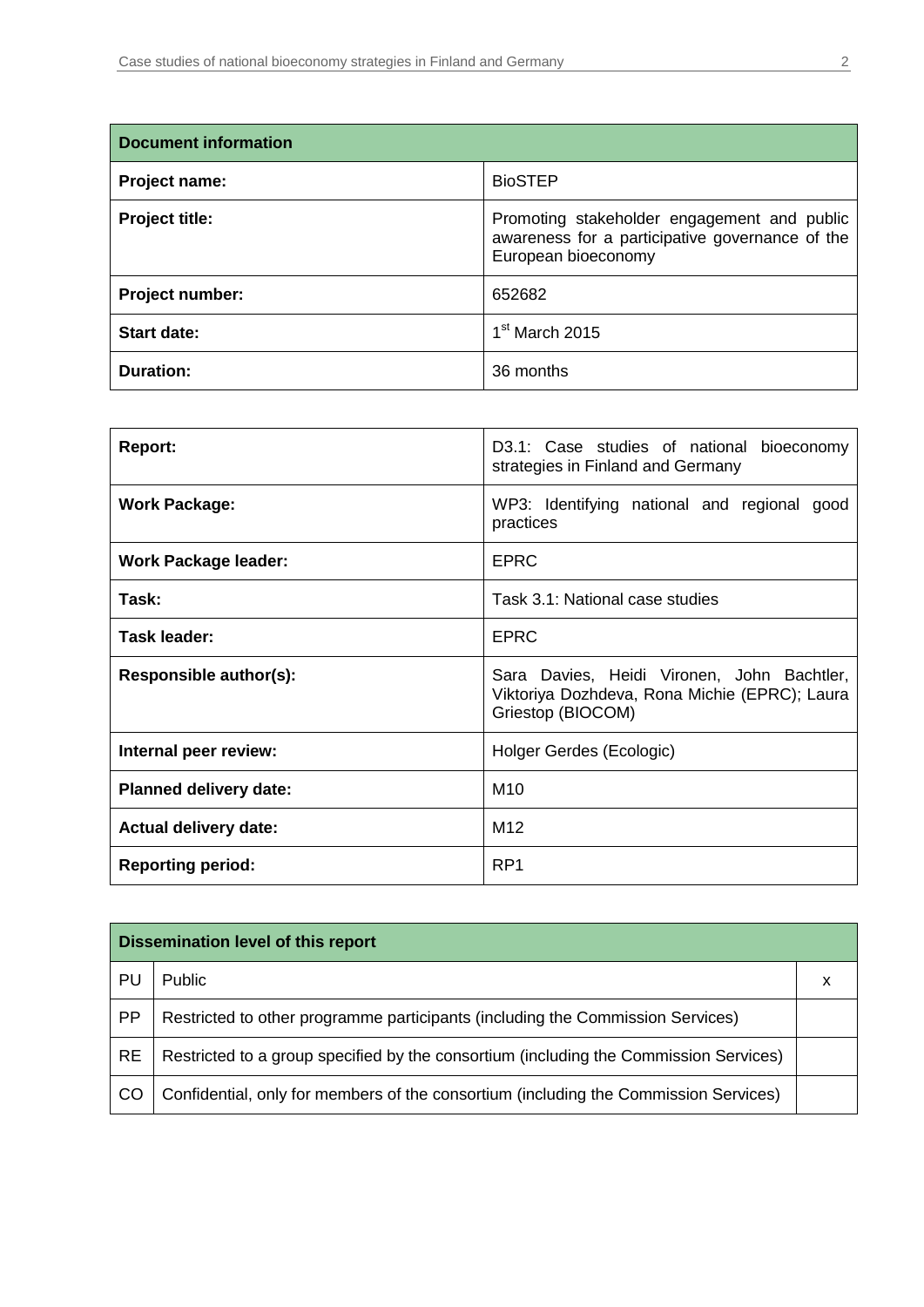| <b>Document information</b> |                                                                                                                       |  |
|-----------------------------|-----------------------------------------------------------------------------------------------------------------------|--|
| Project name:               | <b>BioSTEP</b>                                                                                                        |  |
| <b>Project title:</b>       | Promoting stakeholder engagement and public<br>awareness for a participative governance of the<br>European bioeconomy |  |
| Project number:             | 652682                                                                                                                |  |
| <b>Start date:</b>          | $1st$ March 2015                                                                                                      |  |
| <b>Duration:</b>            | 36 months                                                                                                             |  |

| <b>Report:</b>                | D3.1: Case studies of national bioeconomy<br>strategies in Finland and Germany                                   |  |
|-------------------------------|------------------------------------------------------------------------------------------------------------------|--|
| <b>Work Package:</b>          | WP3: Identifying national and regional<br>good<br>practices                                                      |  |
| <b>Work Package leader:</b>   | <b>EPRC</b>                                                                                                      |  |
| Task:                         | Task 3.1: National case studies                                                                                  |  |
| Task leader:                  | <b>EPRC</b>                                                                                                      |  |
| Responsible author(s):        | Sara Davies, Heidi Vironen, John Bachtler,<br>Viktoriya Dozhdeva, Rona Michie (EPRC); Laura<br>Griestop (BIOCOM) |  |
| Internal peer review:         | Holger Gerdes (Ecologic)                                                                                         |  |
| <b>Planned delivery date:</b> | M <sub>10</sub>                                                                                                  |  |
| <b>Actual delivery date:</b>  | M <sub>12</sub>                                                                                                  |  |
| <b>Reporting period:</b>      | RP <sub>1</sub>                                                                                                  |  |

| <b>Dissemination level of this report</b> |                                                                                       |  |
|-------------------------------------------|---------------------------------------------------------------------------------------|--|
| PU                                        | Public                                                                                |  |
| <b>PP</b>                                 | Restricted to other programme participants (including the Commission Services)        |  |
| <b>RE</b>                                 | Restricted to a group specified by the consortium (including the Commission Services) |  |
| CO                                        | Confidential, only for members of the consortium (including the Commission Services)  |  |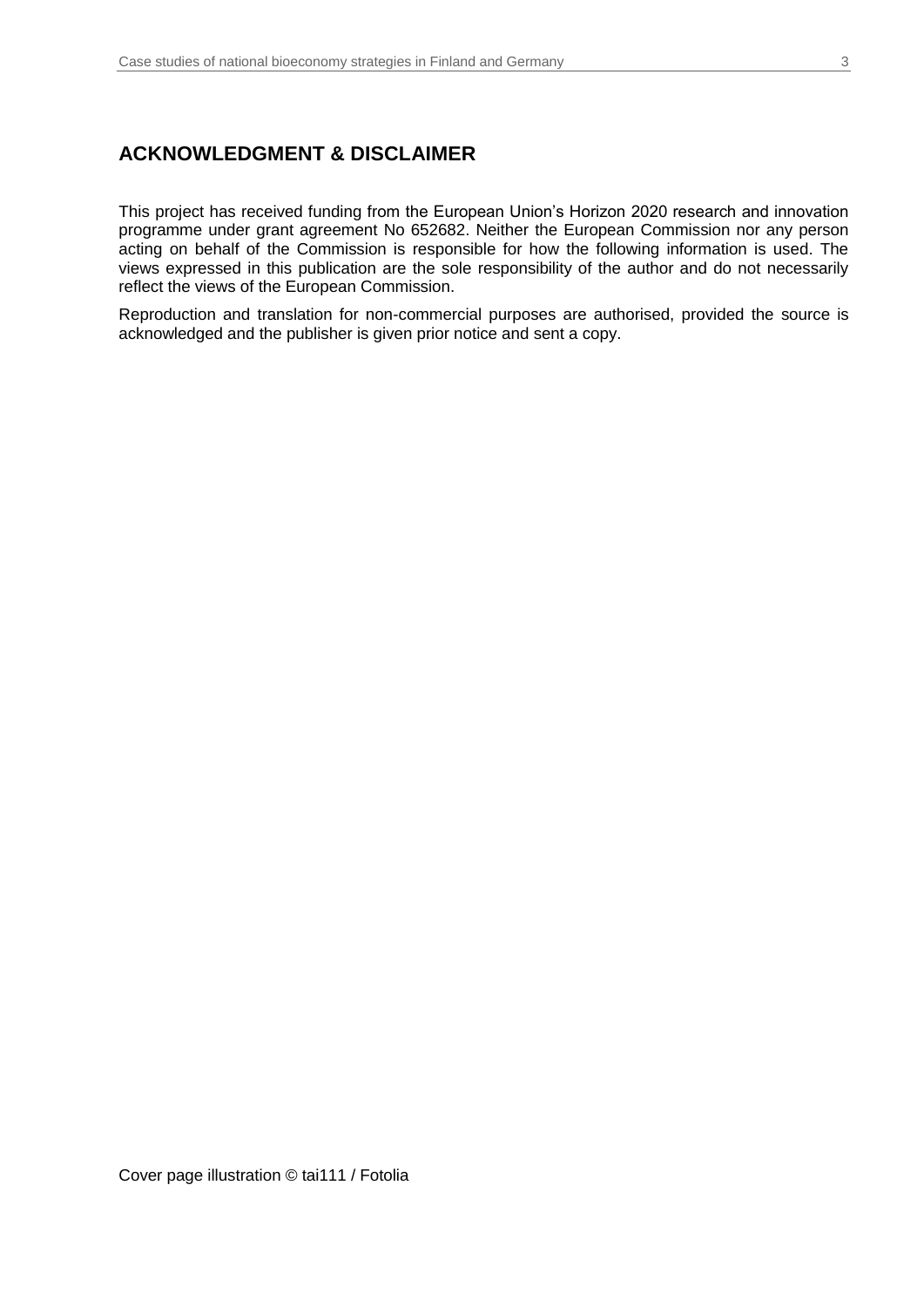### **ACKNOWLEDGMENT & DISCLAIMER**

This project has received funding from the European Union's Horizon 2020 research and innovation programme under grant agreement No 652682. Neither the European Commission nor any person acting on behalf of the Commission is responsible for how the following information is used. The views expressed in this publication are the sole responsibility of the author and do not necessarily reflect the views of the European Commission.

Reproduction and translation for non-commercial purposes are authorised, provided the source is acknowledged and the publisher is given prior notice and sent a copy.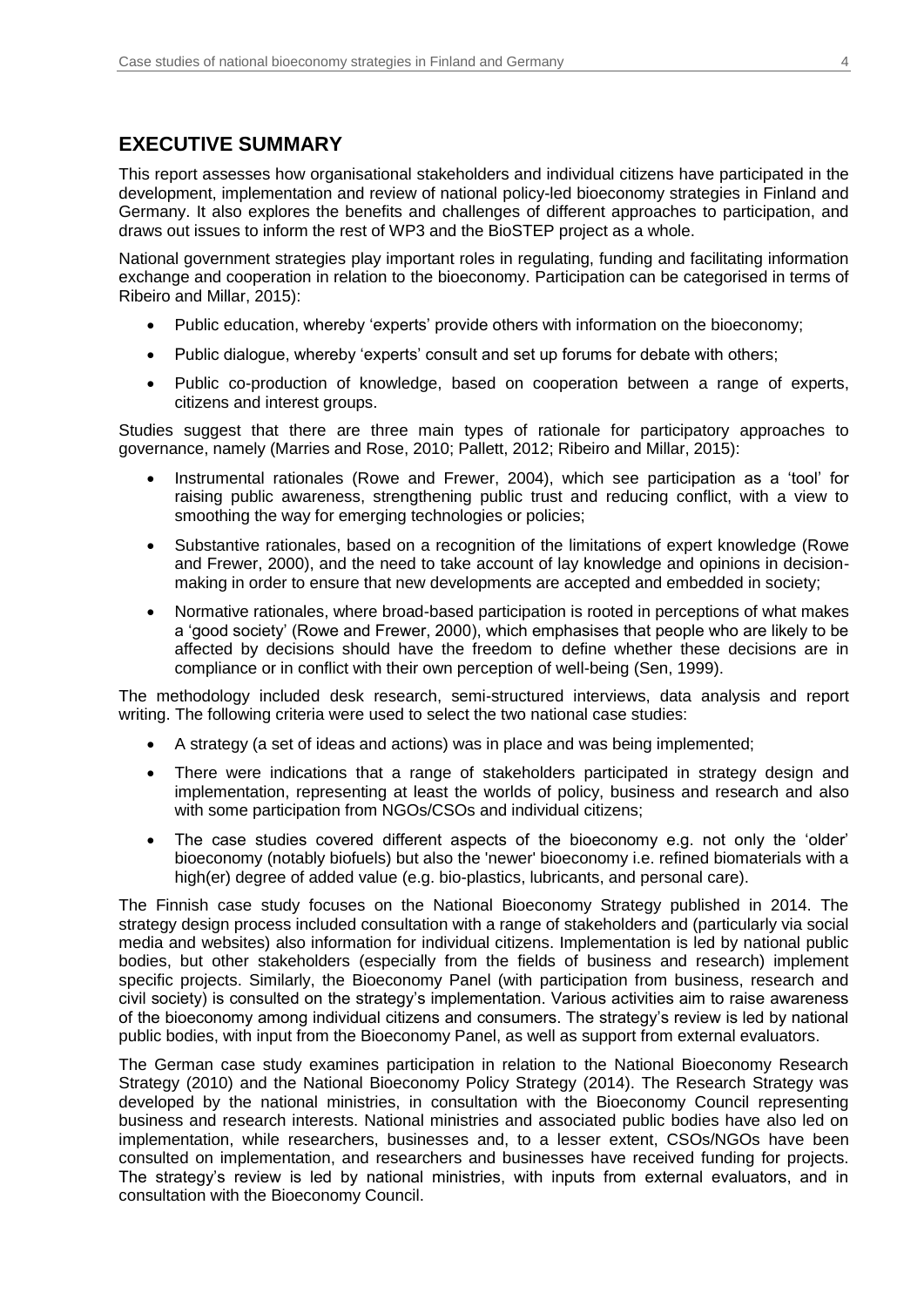### **EXECUTIVE SUMMARY**

This report assesses how organisational stakeholders and individual citizens have participated in the development, implementation and review of national policy-led bioeconomy strategies in Finland and Germany. It also explores the benefits and challenges of different approaches to participation, and draws out issues to inform the rest of WP3 and the BioSTEP project as a whole.

National government strategies play important roles in regulating, funding and facilitating information exchange and cooperation in relation to the bioeconomy. Participation can be categorised in terms of Ribeiro and Millar, 2015):

- Public education, whereby 'experts' provide others with information on the bioeconomy;
- Public dialogue, whereby 'experts' consult and set up forums for debate with others;
- Public co-production of knowledge, based on cooperation between a range of experts, citizens and interest groups.

Studies suggest that there are three main types of rationale for participatory approaches to governance, namely (Marries and Rose, 2010; Pallett, 2012; Ribeiro and Millar, 2015):

- Instrumental rationales (Rowe and Frewer, 2004), which see participation as a 'tool' for raising public awareness, strengthening public trust and reducing conflict, with a view to smoothing the way for emerging technologies or policies;
- Substantive rationales, based on a recognition of the limitations of expert knowledge (Rowe and Frewer, 2000), and the need to take account of lay knowledge and opinions in decisionmaking in order to ensure that new developments are accepted and embedded in society;
- Normative rationales, where broad-based participation is rooted in perceptions of what makes a 'good society' (Rowe and Frewer, 2000), which emphasises that people who are likely to be affected by decisions should have the freedom to define whether these decisions are in compliance or in conflict with their own perception of well-being (Sen, 1999).

The methodology included desk research, semi-structured interviews, data analysis and report writing. The following criteria were used to select the two national case studies:

- A strategy (a set of ideas and actions) was in place and was being implemented;
- There were indications that a range of stakeholders participated in strategy design and implementation, representing at least the worlds of policy, business and research and also with some participation from NGOs/CSOs and individual citizens:
- The case studies covered different aspects of the bioeconomy e.g. not only the 'older' bioeconomy (notably biofuels) but also the 'newer' bioeconomy i.e. refined biomaterials with a high(er) degree of added value (e.g. bio-plastics, lubricants, and personal care).

The Finnish case study focuses on the National Bioeconomy Strategy published in 2014. The strategy design process included consultation with a range of stakeholders and (particularly via social media and websites) also information for individual citizens. Implementation is led by national public bodies, but other stakeholders (especially from the fields of business and research) implement specific projects. Similarly, the Bioeconomy Panel (with participation from business, research and civil society) is consulted on the strategy's implementation. Various activities aim to raise awareness of the bioeconomy among individual citizens and consumers. The strategy's review is led by national public bodies, with input from the Bioeconomy Panel, as well as support from external evaluators.

The German case study examines participation in relation to the National Bioeconomy Research Strategy (2010) and the National Bioeconomy Policy Strategy (2014). The Research Strategy was developed by the national ministries, in consultation with the Bioeconomy Council representing business and research interests. National ministries and associated public bodies have also led on implementation, while researchers, businesses and, to a lesser extent, CSOs/NGOs have been consulted on implementation, and researchers and businesses have received funding for projects. The strategy's review is led by national ministries, with inputs from external evaluators, and in consultation with the Bioeconomy Council.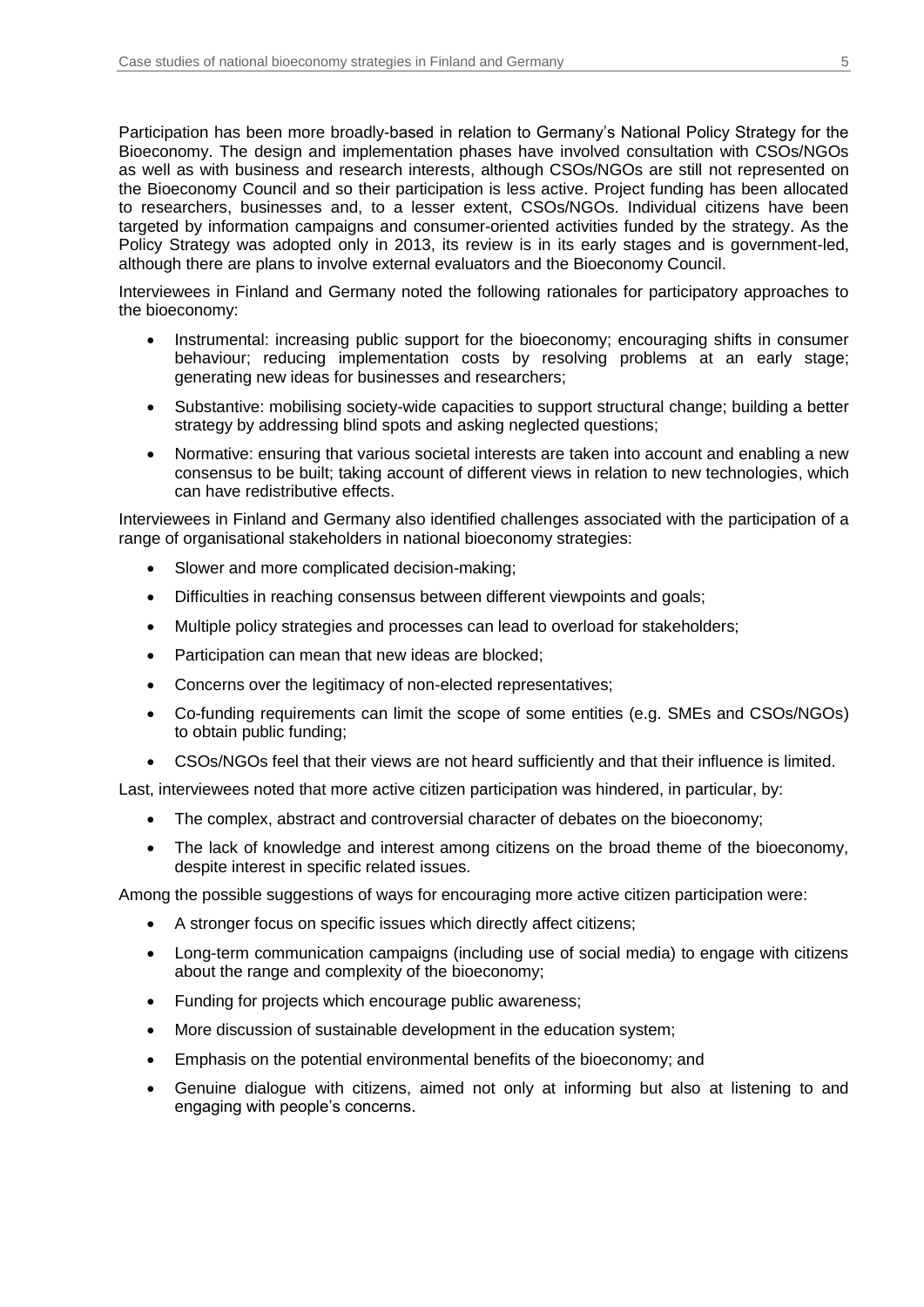Participation has been more broadly-based in relation to Germany's National Policy Strategy for the Bioeconomy. The design and implementation phases have involved consultation with CSOs/NGOs as well as with business and research interests, although CSOs/NGOs are still not represented on the Bioeconomy Council and so their participation is less active. Project funding has been allocated to researchers, businesses and, to a lesser extent, CSOs/NGOs. Individual citizens have been targeted by information campaigns and consumer-oriented activities funded by the strategy. As the Policy Strategy was adopted only in 2013, its review is in its early stages and is government-led, although there are plans to involve external evaluators and the Bioeconomy Council.

Interviewees in Finland and Germany noted the following rationales for participatory approaches to the bioeconomy:

- Instrumental: increasing public support for the bioeconomy; encouraging shifts in consumer behaviour; reducing implementation costs by resolving problems at an early stage; generating new ideas for businesses and researchers;
- Substantive: mobilising society-wide capacities to support structural change; building a better strategy by addressing blind spots and asking neglected questions;
- Normative: ensuring that various societal interests are taken into account and enabling a new consensus to be built; taking account of different views in relation to new technologies, which can have redistributive effects.

Interviewees in Finland and Germany also identified challenges associated with the participation of a range of organisational stakeholders in national bioeconomy strategies:

- Slower and more complicated decision-making;
- Difficulties in reaching consensus between different viewpoints and goals;
- Multiple policy strategies and processes can lead to overload for stakeholders;
- Participation can mean that new ideas are blocked;
- Concerns over the legitimacy of non-elected representatives;
- Co-funding requirements can limit the scope of some entities (e.g. SMEs and CSOs/NGOs) to obtain public funding;
- CSOs/NGOs feel that their views are not heard sufficiently and that their influence is limited.

Last, interviewees noted that more active citizen participation was hindered, in particular, by:

- The complex, abstract and controversial character of debates on the bioeconomy;
- The lack of knowledge and interest among citizens on the broad theme of the bioeconomy, despite interest in specific related issues.

Among the possible suggestions of ways for encouraging more active citizen participation were:

- A stronger focus on specific issues which directly affect citizens;
- Long-term communication campaigns (including use of social media) to engage with citizens about the range and complexity of the bioeconomy;
- Funding for projects which encourage public awareness;
- More discussion of sustainable development in the education system;
- Emphasis on the potential environmental benefits of the bioeconomy; and
- Genuine dialogue with citizens, aimed not only at informing but also at listening to and engaging with people's concerns.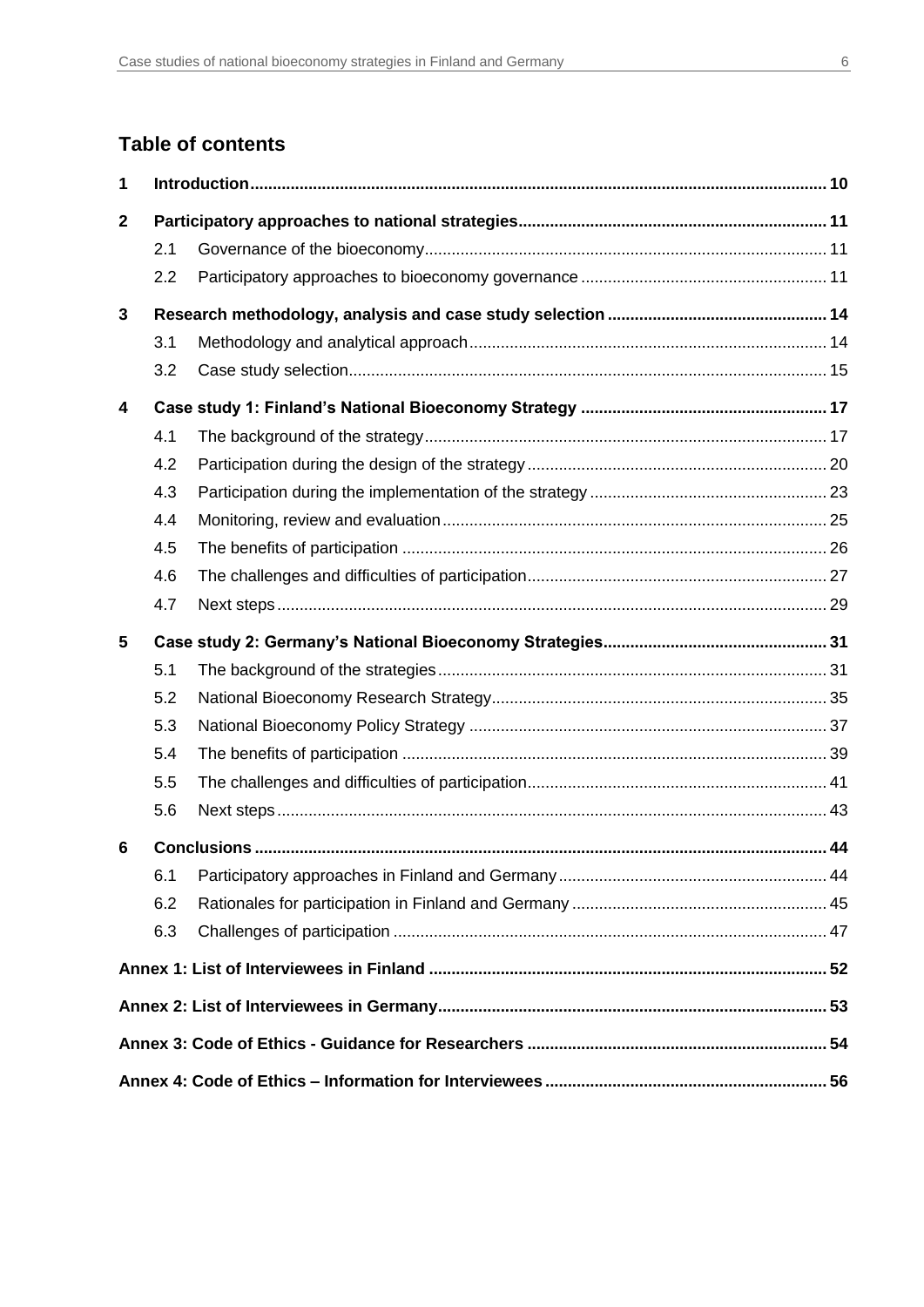## **Table of contents**

| 1            |     |  |
|--------------|-----|--|
| $\mathbf{2}$ |     |  |
|              | 2.1 |  |
|              | 2.2 |  |
| 3            |     |  |
|              | 3.1 |  |
|              | 3.2 |  |
| 4            |     |  |
|              | 4.1 |  |
|              | 4.2 |  |
|              | 4.3 |  |
|              | 4.4 |  |
|              | 4.5 |  |
|              | 4.6 |  |
|              | 4.7 |  |
| 5            |     |  |
|              | 5.1 |  |
|              | 5.2 |  |
|              | 5.3 |  |
|              | 5.4 |  |
|              | 5.5 |  |
|              | 5.6 |  |
| 6            |     |  |
|              | 6.1 |  |
|              | 6.2 |  |
|              | 6.3 |  |
|              |     |  |
|              |     |  |
|              |     |  |
|              |     |  |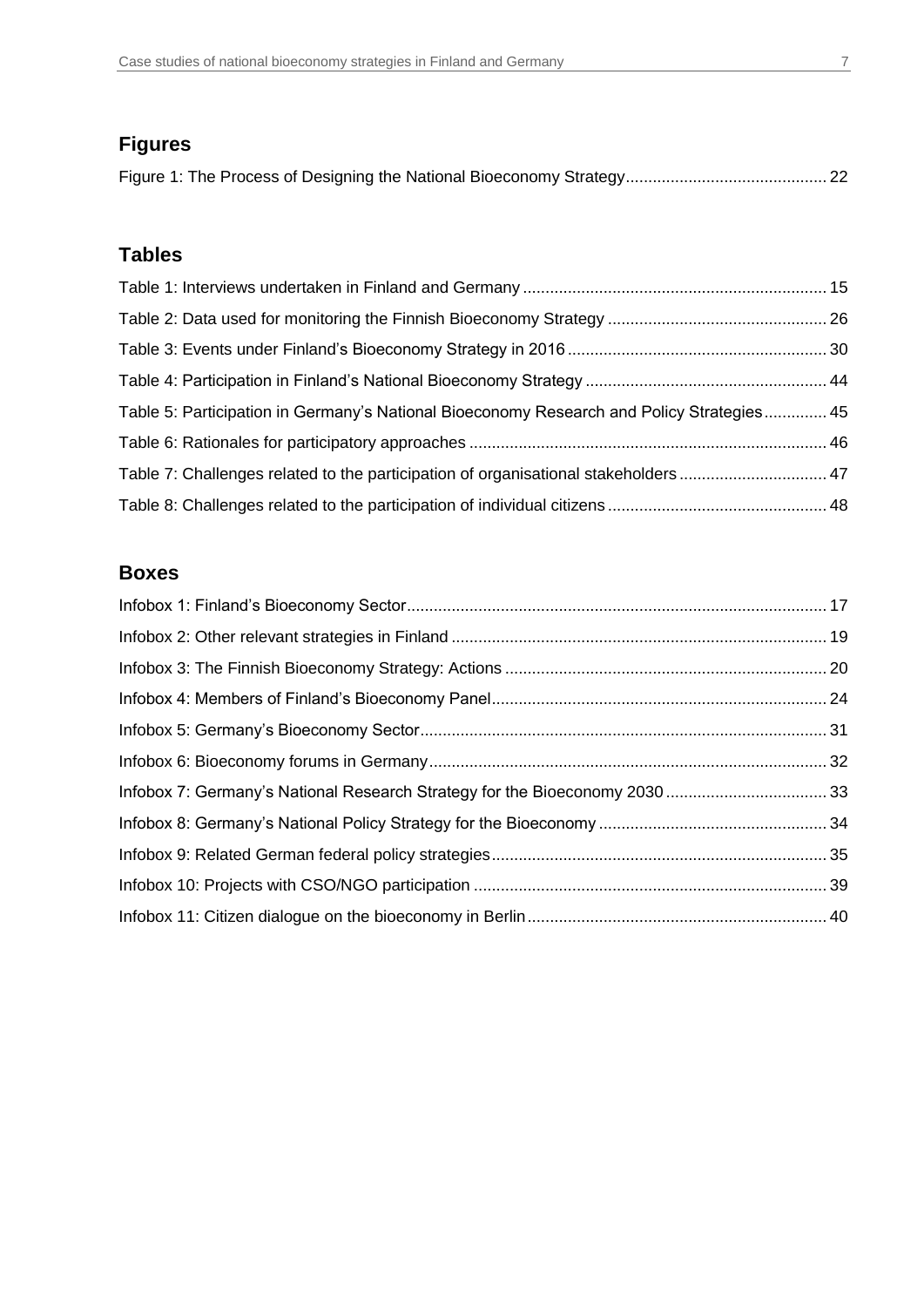## **Figures**

## **Tables**

| Table 5: Participation in Germany's National Bioeconomy Research and Policy Strategies 45 |  |
|-------------------------------------------------------------------------------------------|--|
|                                                                                           |  |
| Table 7: Challenges related to the participation of organisational stakeholders  47       |  |
|                                                                                           |  |

## **Boxes**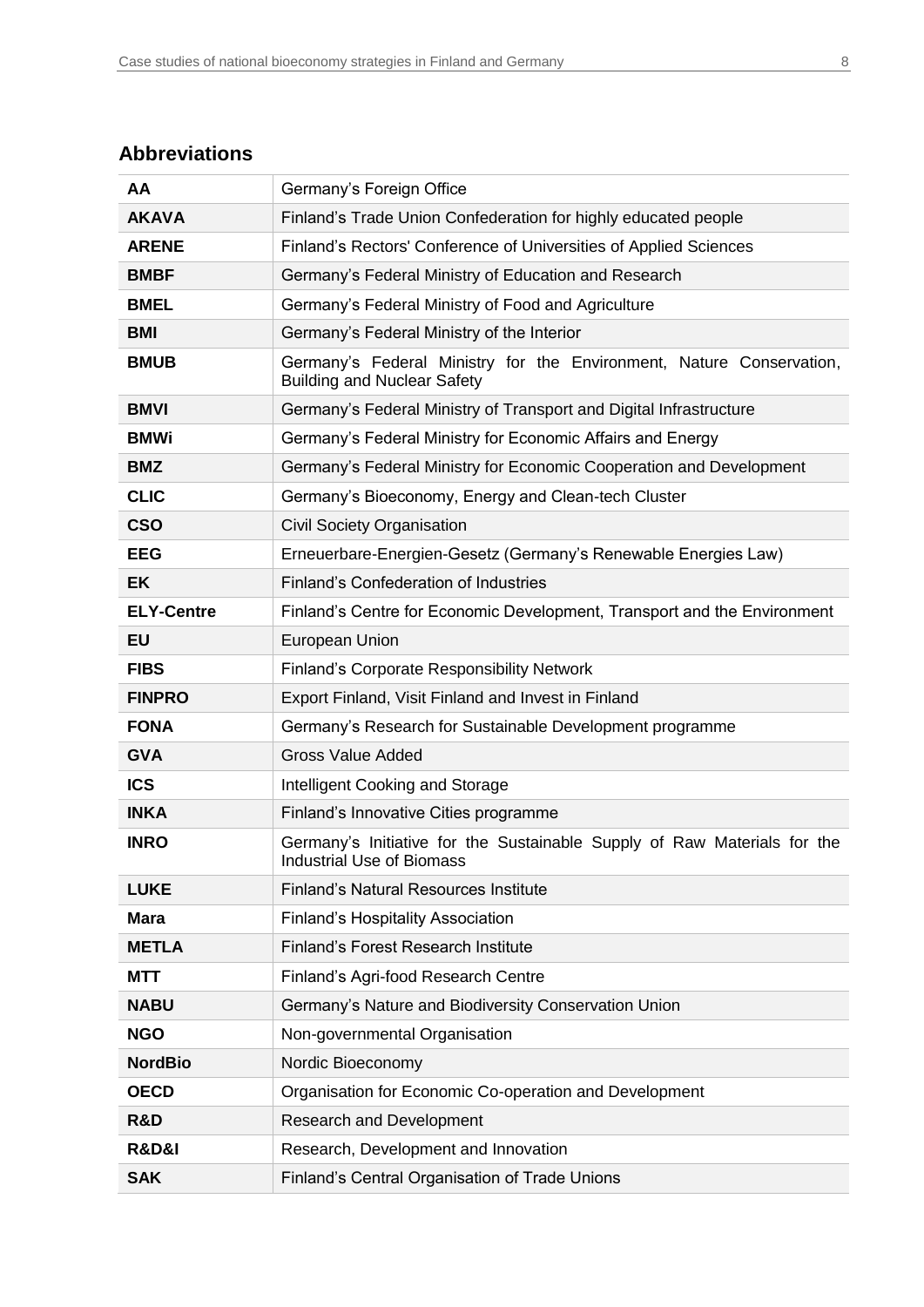## **Abbreviations**

| AA                   | Germany's Foreign Office                                                                                     |  |
|----------------------|--------------------------------------------------------------------------------------------------------------|--|
| <b>AKAVA</b>         | Finland's Trade Union Confederation for highly educated people                                               |  |
| <b>ARENE</b>         | Finland's Rectors' Conference of Universities of Applied Sciences                                            |  |
| <b>BMBF</b>          | Germany's Federal Ministry of Education and Research                                                         |  |
| <b>BMEL</b>          | Germany's Federal Ministry of Food and Agriculture                                                           |  |
| <b>BMI</b>           | Germany's Federal Ministry of the Interior                                                                   |  |
| <b>BMUB</b>          | Germany's Federal Ministry for the Environment, Nature Conservation,<br><b>Building and Nuclear Safety</b>   |  |
| <b>BMVI</b>          | Germany's Federal Ministry of Transport and Digital Infrastructure                                           |  |
| <b>BMWi</b>          | Germany's Federal Ministry for Economic Affairs and Energy                                                   |  |
| <b>BMZ</b>           | Germany's Federal Ministry for Economic Cooperation and Development                                          |  |
| <b>CLIC</b>          | Germany's Bioeconomy, Energy and Clean-tech Cluster                                                          |  |
| <b>CSO</b>           | Civil Society Organisation                                                                                   |  |
| <b>EEG</b>           | Erneuerbare-Energien-Gesetz (Germany's Renewable Energies Law)                                               |  |
| <b>EK</b>            | Finland's Confederation of Industries                                                                        |  |
| <b>ELY-Centre</b>    | Finland's Centre for Economic Development, Transport and the Environment                                     |  |
| <b>EU</b>            | European Union                                                                                               |  |
| <b>FIBS</b>          | <b>Finland's Corporate Responsibility Network</b>                                                            |  |
| <b>FINPRO</b>        | Export Finland, Visit Finland and Invest in Finland                                                          |  |
| <b>FONA</b>          | Germany's Research for Sustainable Development programme                                                     |  |
| <b>GVA</b>           | <b>Gross Value Added</b>                                                                                     |  |
| <b>ICS</b>           | Intelligent Cooking and Storage                                                                              |  |
| <b>INKA</b>          | Finland's Innovative Cities programme                                                                        |  |
| <b>INRO</b>          | Germany's Initiative for the Sustainable Supply of Raw Materials for the<br><b>Industrial Use of Biomass</b> |  |
| <b>LUKE</b>          | <b>Finland's Natural Resources Institute</b>                                                                 |  |
| <b>Mara</b>          | <b>Finland's Hospitality Association</b>                                                                     |  |
| <b>METLA</b>         | Finland's Forest Research Institute                                                                          |  |
| <b>MTT</b>           | Finland's Agri-food Research Centre                                                                          |  |
| <b>NABU</b>          | Germany's Nature and Biodiversity Conservation Union                                                         |  |
| <b>NGO</b>           | Non-governmental Organisation                                                                                |  |
| <b>NordBio</b>       | Nordic Bioeconomy                                                                                            |  |
| <b>OECD</b>          | Organisation for Economic Co-operation and Development                                                       |  |
| R&D                  | <b>Research and Development</b>                                                                              |  |
| <b>R&amp;D&amp;I</b> | Research, Development and Innovation                                                                         |  |
| <b>SAK</b>           | Finland's Central Organisation of Trade Unions                                                               |  |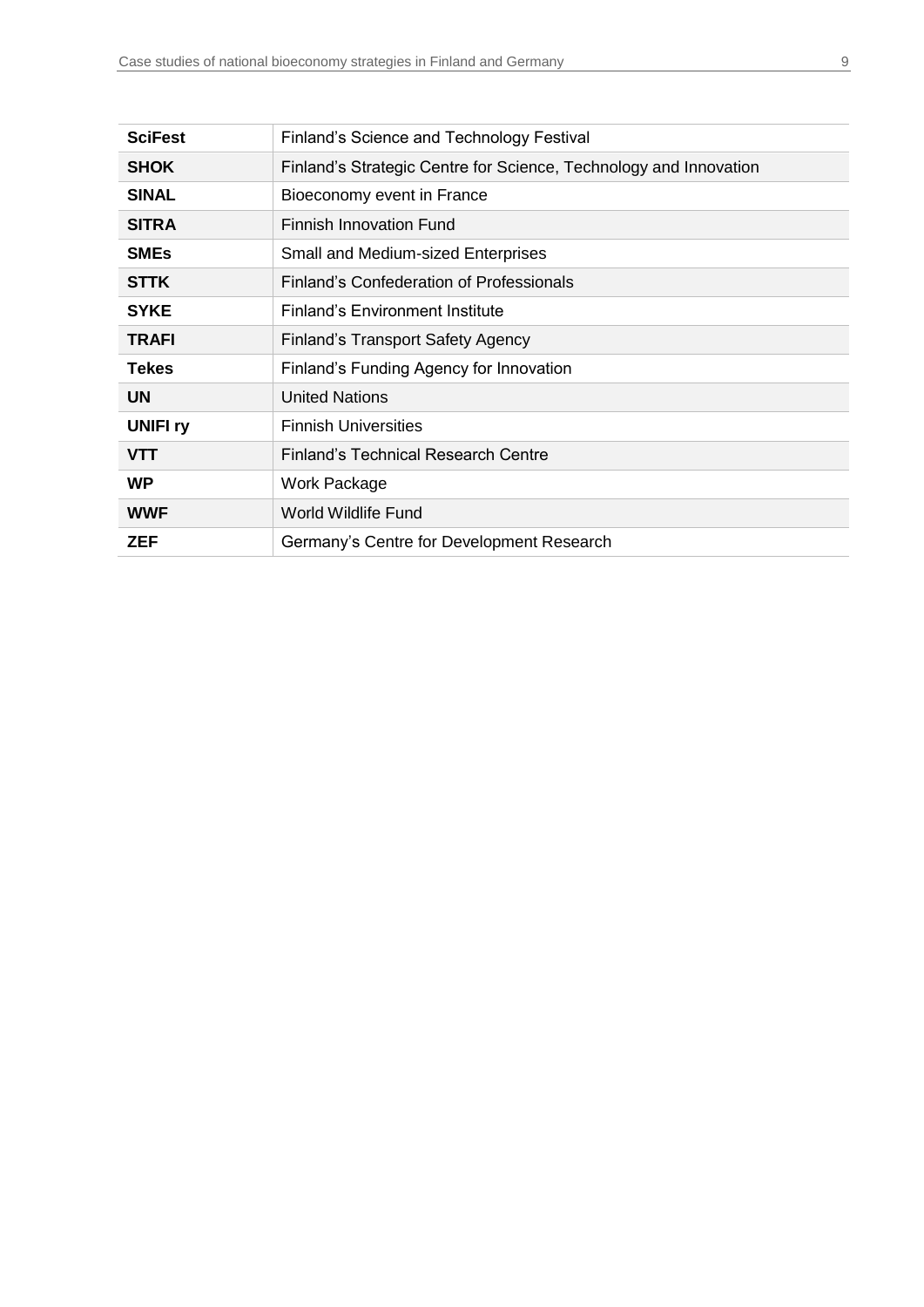| <b>SciFest</b>  | Finland's Science and Technology Festival                         |
|-----------------|-------------------------------------------------------------------|
| <b>SHOK</b>     | Finland's Strategic Centre for Science, Technology and Innovation |
| <b>SINAL</b>    | Bioeconomy event in France                                        |
| <b>SITRA</b>    | <b>Finnish Innovation Fund</b>                                    |
| <b>SMEs</b>     | <b>Small and Medium-sized Enterprises</b>                         |
| <b>STTK</b>     | Finland's Confederation of Professionals                          |
| <b>SYKE</b>     | <b>Finland's Environment Institute</b>                            |
| <b>TRAFI</b>    | <b>Finland's Transport Safety Agency</b>                          |
| Tekes           | Finland's Funding Agency for Innovation                           |
| <b>UN</b>       | <b>United Nations</b>                                             |
| <b>UNIFI ry</b> | <b>Finnish Universities</b>                                       |
| <b>VTT</b>      | <b>Finland's Technical Research Centre</b>                        |
| <b>WP</b>       | <b>Work Package</b>                                               |
| <b>WWF</b>      | World Wildlife Fund                                               |
| ZEF             | Germany's Centre for Development Research                         |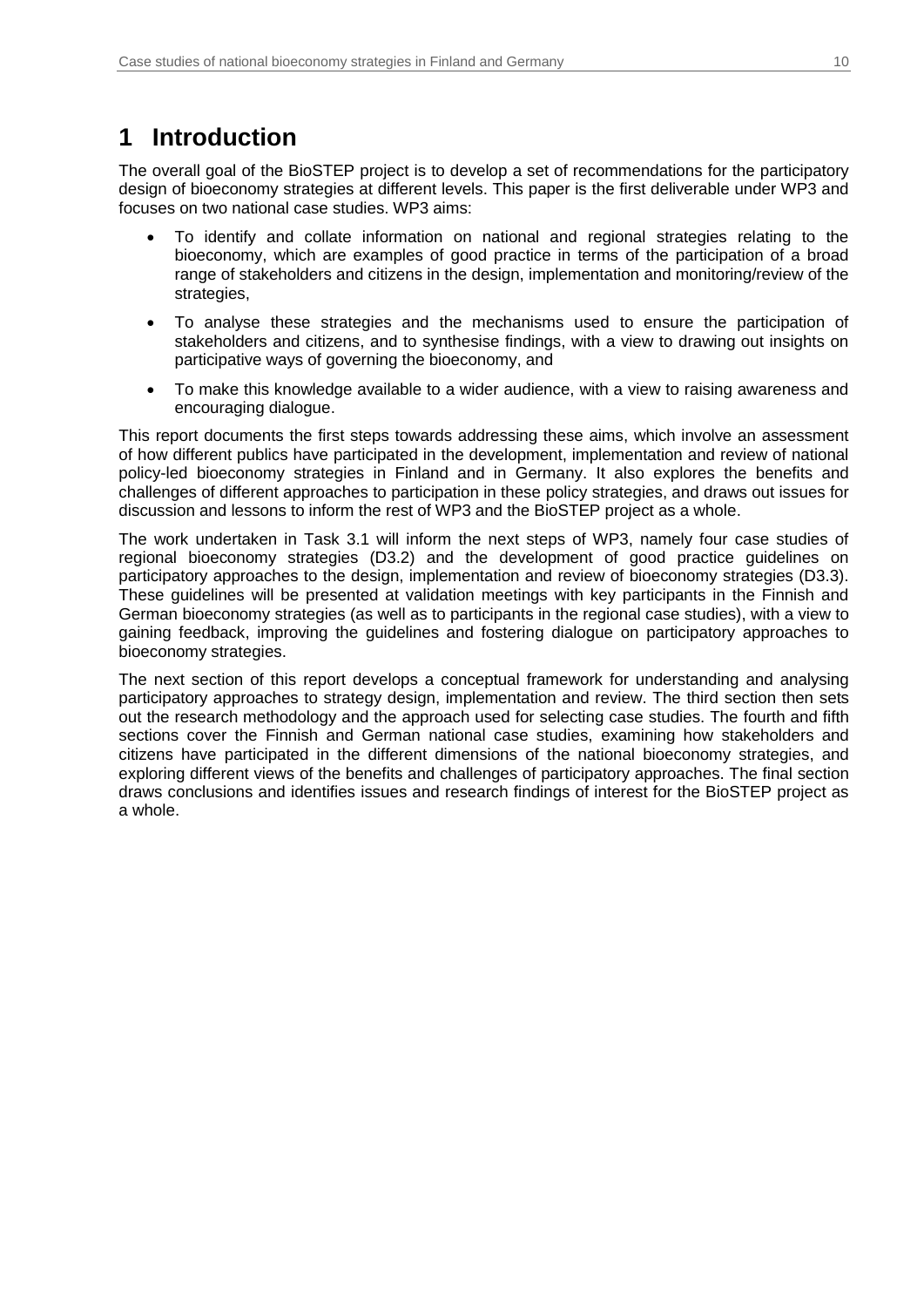## <span id="page-9-0"></span>**1 Introduction**

The overall goal of the BioSTEP project is to develop a set of recommendations for the participatory design of bioeconomy strategies at different levels. This paper is the first deliverable under WP3 and focuses on two national case studies. WP3 aims:

- To identify and collate information on national and regional strategies relating to the bioeconomy, which are examples of good practice in terms of the participation of a broad range of stakeholders and citizens in the design, implementation and monitoring/review of the strategies,
- To analyse these strategies and the mechanisms used to ensure the participation of stakeholders and citizens, and to synthesise findings, with a view to drawing out insights on participative ways of governing the bioeconomy, and
- To make this knowledge available to a wider audience, with a view to raising awareness and encouraging dialogue.

This report documents the first steps towards addressing these aims, which involve an assessment of how different publics have participated in the development, implementation and review of national policy-led bioeconomy strategies in Finland and in Germany. It also explores the benefits and challenges of different approaches to participation in these policy strategies, and draws out issues for discussion and lessons to inform the rest of WP3 and the BioSTEP project as a whole.

The work undertaken in Task 3.1 will inform the next steps of WP3, namely four case studies of regional bioeconomy strategies (D3.2) and the development of good practice guidelines on participatory approaches to the design, implementation and review of bioeconomy strategies (D3.3). These guidelines will be presented at validation meetings with key participants in the Finnish and German bioeconomy strategies (as well as to participants in the regional case studies), with a view to gaining feedback, improving the guidelines and fostering dialogue on participatory approaches to bioeconomy strategies.

The next section of this report develops a conceptual framework for understanding and analysing participatory approaches to strategy design, implementation and review. The third section then sets out the research methodology and the approach used for selecting case studies. The fourth and fifth sections cover the Finnish and German national case studies, examining how stakeholders and citizens have participated in the different dimensions of the national bioeconomy strategies, and exploring different views of the benefits and challenges of participatory approaches. The final section draws conclusions and identifies issues and research findings of interest for the BioSTEP project as a whole.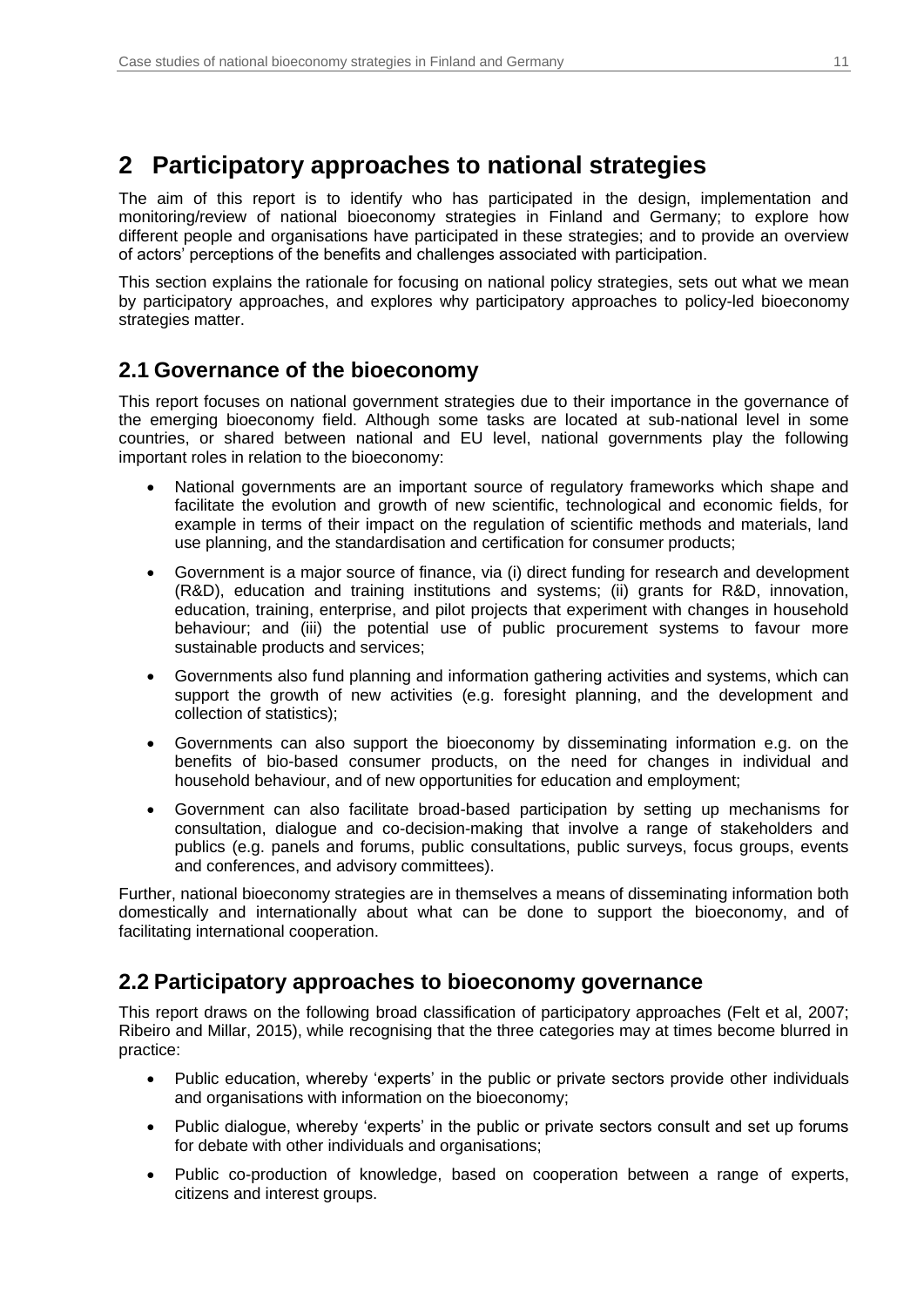## <span id="page-10-0"></span>**2 Participatory approaches to national strategies**

The aim of this report is to identify who has participated in the design, implementation and monitoring/review of national bioeconomy strategies in Finland and Germany; to explore how different people and organisations have participated in these strategies; and to provide an overview of actors' perceptions of the benefits and challenges associated with participation.

This section explains the rationale for focusing on national policy strategies, sets out what we mean by participatory approaches, and explores why participatory approaches to policy-led bioeconomy strategies matter.

## <span id="page-10-1"></span>**2.1 Governance of the bioeconomy**

This report focuses on national government strategies due to their importance in the governance of the emerging bioeconomy field. Although some tasks are located at sub-national level in some countries, or shared between national and EU level, national governments play the following important roles in relation to the bioeconomy:

- National governments are an important source of regulatory frameworks which shape and facilitate the evolution and growth of new scientific, technological and economic fields, for example in terms of their impact on the regulation of scientific methods and materials, land use planning, and the standardisation and certification for consumer products;
- Government is a major source of finance, via (i) direct funding for research and development (R&D), education and training institutions and systems; (ii) grants for R&D, innovation, education, training, enterprise, and pilot projects that experiment with changes in household behaviour; and (iii) the potential use of public procurement systems to favour more sustainable products and services;
- Governments also fund planning and information gathering activities and systems, which can support the growth of new activities (e.g. foresight planning, and the development and collection of statistics);
- Governments can also support the bioeconomy by disseminating information e.g. on the benefits of bio-based consumer products, on the need for changes in individual and household behaviour, and of new opportunities for education and employment;
- Government can also facilitate broad-based participation by setting up mechanisms for consultation, dialogue and co-decision-making that involve a range of stakeholders and publics (e.g. panels and forums, public consultations, public surveys, focus groups, events and conferences, and advisory committees).

Further, national bioeconomy strategies are in themselves a means of disseminating information both domestically and internationally about what can be done to support the bioeconomy, and of facilitating international cooperation.

## <span id="page-10-2"></span>**2.2 Participatory approaches to bioeconomy governance**

This report draws on the following broad classification of participatory approaches (Felt et al, 2007; Ribeiro and Millar, 2015), while recognising that the three categories may at times become blurred in practice:

- Public education, whereby 'experts' in the public or private sectors provide other individuals and organisations with information on the bioeconomy;
- Public dialogue, whereby 'experts' in the public or private sectors consult and set up forums for debate with other individuals and organisations;
- Public co-production of knowledge, based on cooperation between a range of experts, citizens and interest groups.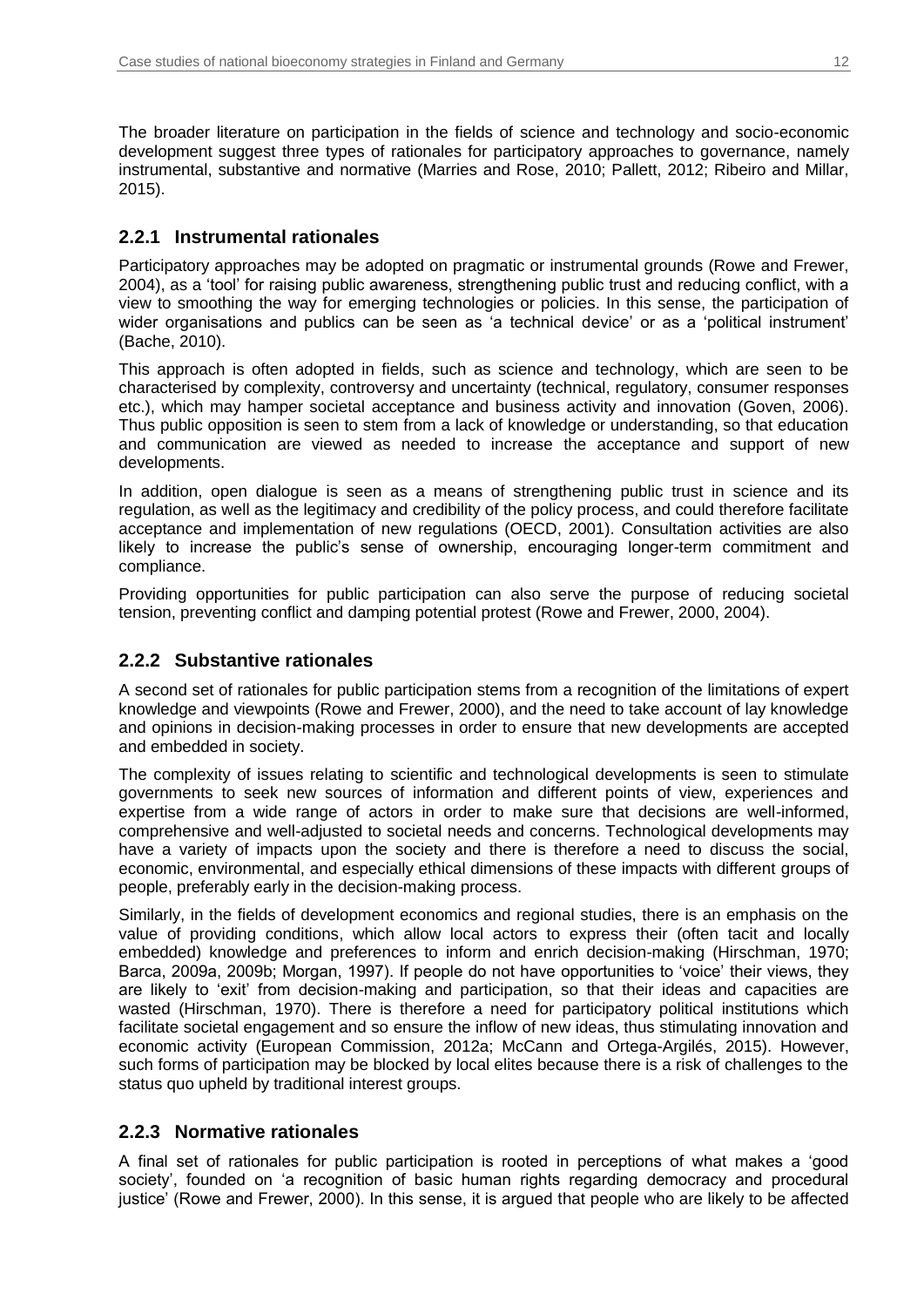The broader literature on participation in the fields of science and technology and socio-economic development suggest three types of rationales for participatory approaches to governance, namely instrumental, substantive and normative (Marries and Rose, 2010; Pallett, 2012; Ribeiro and Millar, 2015).

### **2.2.1 Instrumental rationales**

Participatory approaches may be adopted on pragmatic or instrumental grounds (Rowe and Frewer, 2004), as a 'tool' for raising public awareness, strengthening public trust and reducing conflict, with a view to smoothing the way for emerging technologies or policies. In this sense, the participation of wider organisations and publics can be seen as 'a technical device' or as a 'political instrument' (Bache, 2010).

This approach is often adopted in fields, such as science and technology, which are seen to be characterised by complexity, controversy and uncertainty (technical, regulatory, consumer responses etc.), which may hamper societal acceptance and business activity and innovation (Goven, 2006). Thus public opposition is seen to stem from a lack of knowledge or understanding, so that education and communication are viewed as needed to increase the acceptance and support of new developments.

In addition, open dialogue is seen as a means of strengthening public trust in science and its regulation, as well as the legitimacy and credibility of the policy process, and could therefore facilitate acceptance and implementation of new regulations (OECD, 2001). Consultation activities are also likely to increase the public's sense of ownership, encouraging longer-term commitment and compliance.

Providing opportunities for public participation can also serve the purpose of reducing societal tension, preventing conflict and damping potential protest (Rowe and Frewer, 2000, 2004).

### **2.2.2 Substantive rationales**

A second set of rationales for public participation stems from a recognition of the limitations of expert knowledge and viewpoints (Rowe and Frewer, 2000), and the need to take account of lay knowledge and opinions in decision-making processes in order to ensure that new developments are accepted and embedded in society.

The complexity of issues relating to scientific and technological developments is seen to stimulate governments to seek new sources of information and different points of view, experiences and expertise from a wide range of actors in order to make sure that decisions are well-informed, comprehensive and well-adjusted to societal needs and concerns. Technological developments may have a variety of impacts upon the society and there is therefore a need to discuss the social, economic, environmental, and especially ethical dimensions of these impacts with different groups of people, preferably early in the decision-making process.

Similarly, in the fields of development economics and regional studies, there is an emphasis on the value of providing conditions, which allow local actors to express their (often tacit and locally embedded) knowledge and preferences to inform and enrich decision-making (Hirschman, 1970; Barca, 2009a, 2009b; Morgan, 1997). If people do not have opportunities to 'voice' their views, they are likely to 'exit' from decision-making and participation, so that their ideas and capacities are wasted (Hirschman, 1970). There is therefore a need for participatory political institutions which facilitate societal engagement and so ensure the inflow of new ideas, thus stimulating innovation and economic activity (European Commission, 2012a; McCann and Ortega-Argilés, 2015). However, such forms of participation may be blocked by local elites because there is a risk of challenges to the status quo upheld by traditional interest groups.

### **2.2.3 Normative rationales**

A final set of rationales for public participation is rooted in perceptions of what makes a 'good society', founded on 'a recognition of basic human rights regarding democracy and procedural justice' (Rowe and Frewer, 2000). In this sense, it is argued that people who are likely to be affected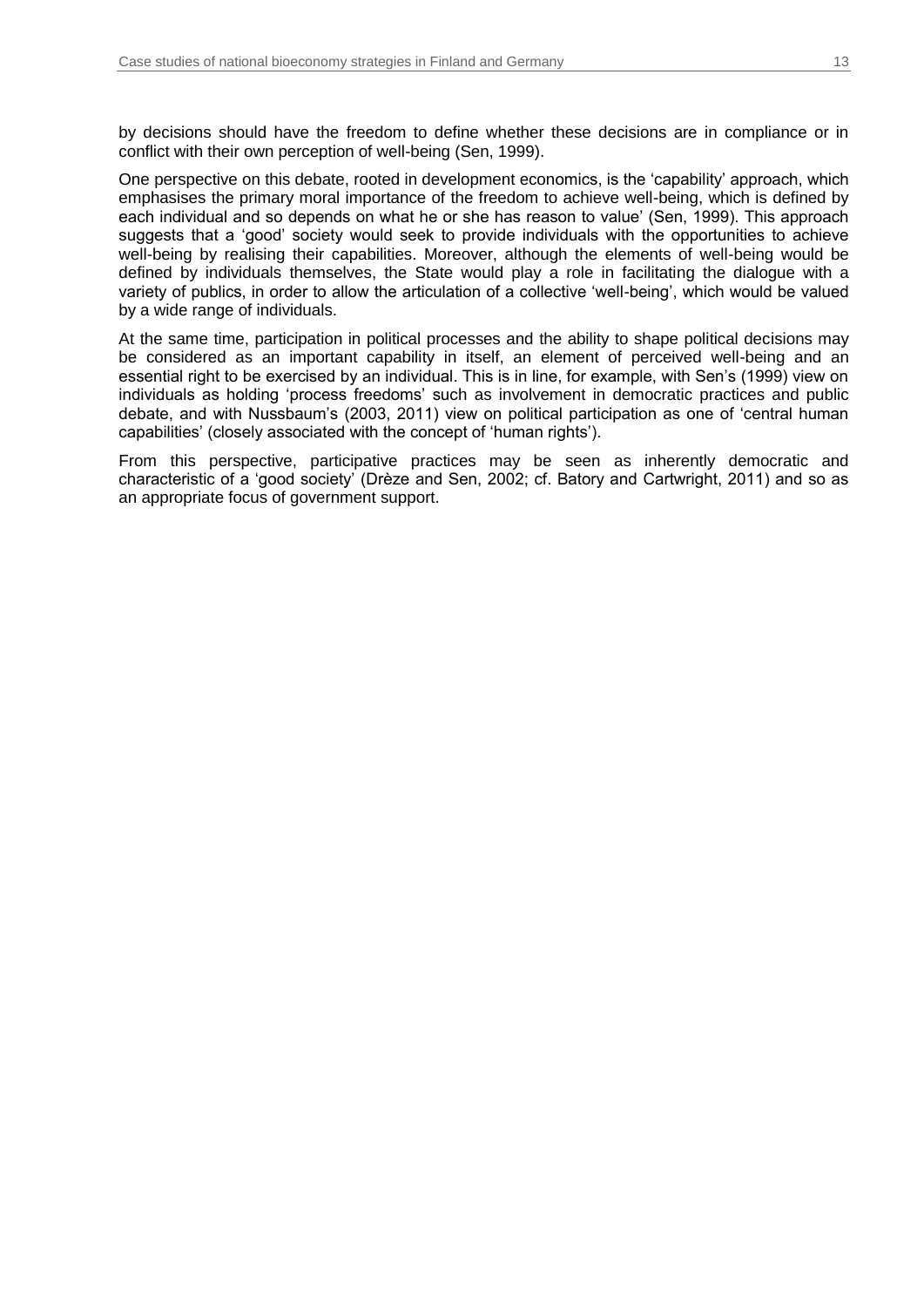by decisions should have the freedom to define whether these decisions are in compliance or in conflict with their own perception of well-being (Sen, 1999).

One perspective on this debate, rooted in development economics, is the 'capability' approach, which emphasises the primary moral importance of the freedom to achieve well-being, which is defined by each individual and so depends on what he or she has reason to value' (Sen, 1999). This approach suggests that a 'good' society would seek to provide individuals with the opportunities to achieve well-being by realising their capabilities. Moreover, although the elements of well-being would be defined by individuals themselves, the State would play a role in facilitating the dialogue with a variety of publics, in order to allow the articulation of a collective 'well-being', which would be valued by a wide range of individuals.

At the same time, participation in political processes and the ability to shape political decisions may be considered as an important capability in itself, an element of perceived well-being and an essential right to be exercised by an individual. This is in line, for example, with Sen's (1999) view on individuals as holding 'process freedoms' such as involvement in democratic practices and public debate, and with Nussbaum's (2003, 2011) view on political participation as one of 'central human capabilities' (closely associated with the concept of 'human rights').

From this perspective, participative practices may be seen as inherently democratic and characteristic of a 'good society' (Drèze and Sen, 2002; cf. Batory and Cartwright, 2011) and so as an appropriate focus of government support.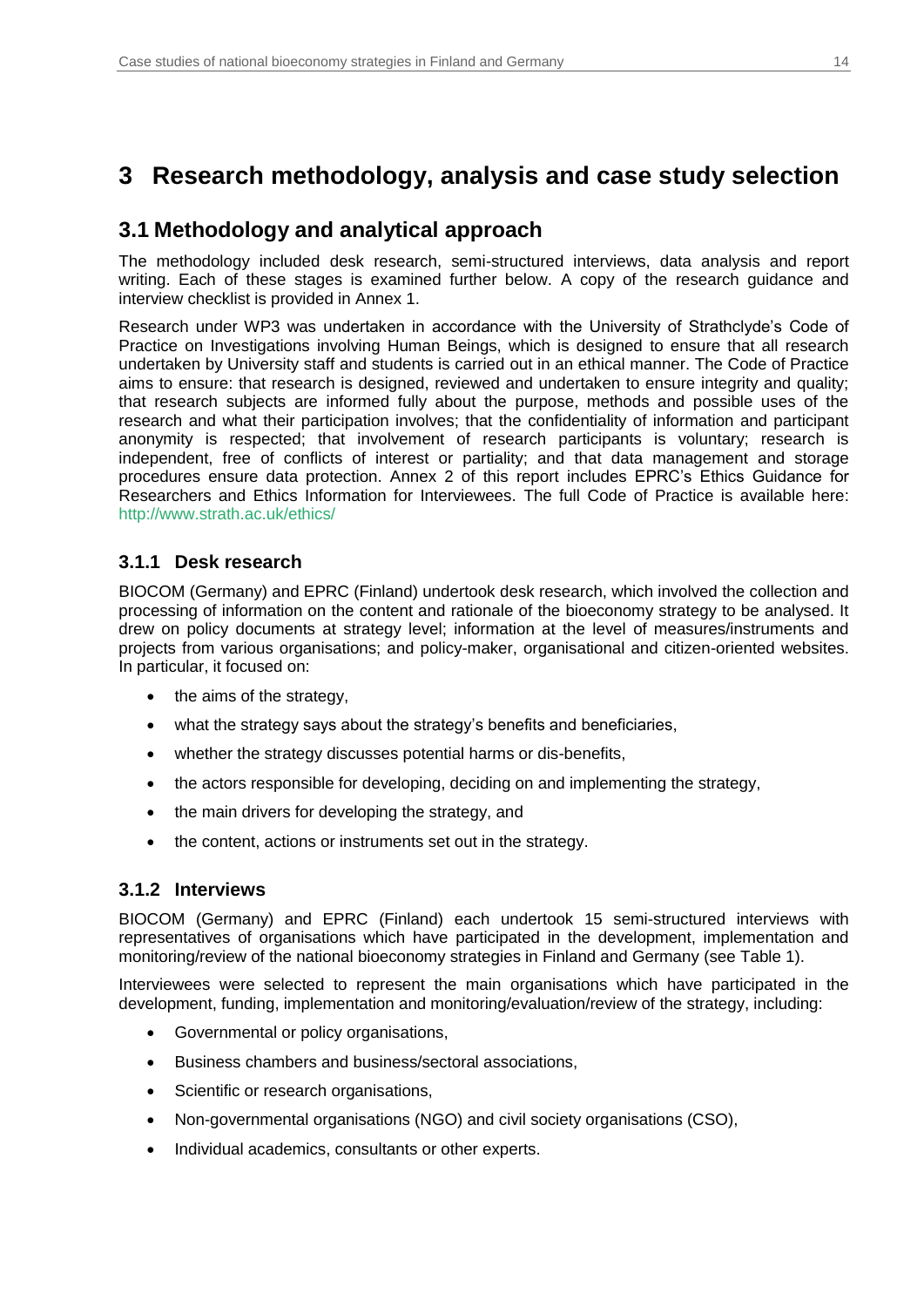## <span id="page-13-0"></span>**3 Research methodology, analysis and case study selection**

### <span id="page-13-1"></span>**3.1 Methodology and analytical approach**

The methodology included desk research, semi-structured interviews, data analysis and report writing. Each of these stages is examined further below. A copy of the research guidance and interview checklist is provided in Annex 1.

Research under WP3 was undertaken in accordance with the University of Strathclyde's Code of Practice on Investigations involving Human Beings, which is designed to ensure that all research undertaken by University staff and students is carried out in an ethical manner. The Code of Practice aims to ensure: that research is designed, reviewed and undertaken to ensure integrity and quality; that research subjects are informed fully about the purpose, methods and possible uses of the research and what their participation involves; that the confidentiality of information and participant anonymity is respected; that involvement of research participants is voluntary; research is independent, free of conflicts of interest or partiality; and that data management and storage procedures ensure data protection. Annex 2 of this report includes EPRC's Ethics Guidance for Researchers and Ethics Information for Interviewees. The full Code of Practice is available here: [http://www.strath.ac.uk/ethics/](https://www.strath.ac.uk/ethics/)

### **3.1.1 Desk research**

BIOCOM (Germany) and EPRC (Finland) undertook desk research, which involved the collection and processing of information on the content and rationale of the bioeconomy strategy to be analysed. It drew on policy documents at strategy level; information at the level of measures/instruments and projects from various organisations; and policy-maker, organisational and citizen-oriented websites. In particular, it focused on:

- the aims of the strategy,
- what the strategy says about the strategy's benefits and beneficiaries,
- whether the strategy discusses potential harms or dis-benefits,
- the actors responsible for developing, deciding on and implementing the strategy,
- the main drivers for developing the strategy, and
- the content, actions or instruments set out in the strategy.

### **3.1.2 Interviews**

BIOCOM (Germany) and EPRC (Finland) each undertook 15 semi-structured interviews with representatives of organisations which have participated in the development, implementation and monitoring/review of the national bioeconomy strategies in Finland and Germany (see [Table 1\)](#page-14-1).

Interviewees were selected to represent the main organisations which have participated in the development, funding, implementation and monitoring/evaluation/review of the strategy, including:

- Governmental or policy organisations,
- Business chambers and business/sectoral associations,
- Scientific or research organisations,
- Non-governmental organisations (NGO) and civil society organisations (CSO),
- Individual academics, consultants or other experts.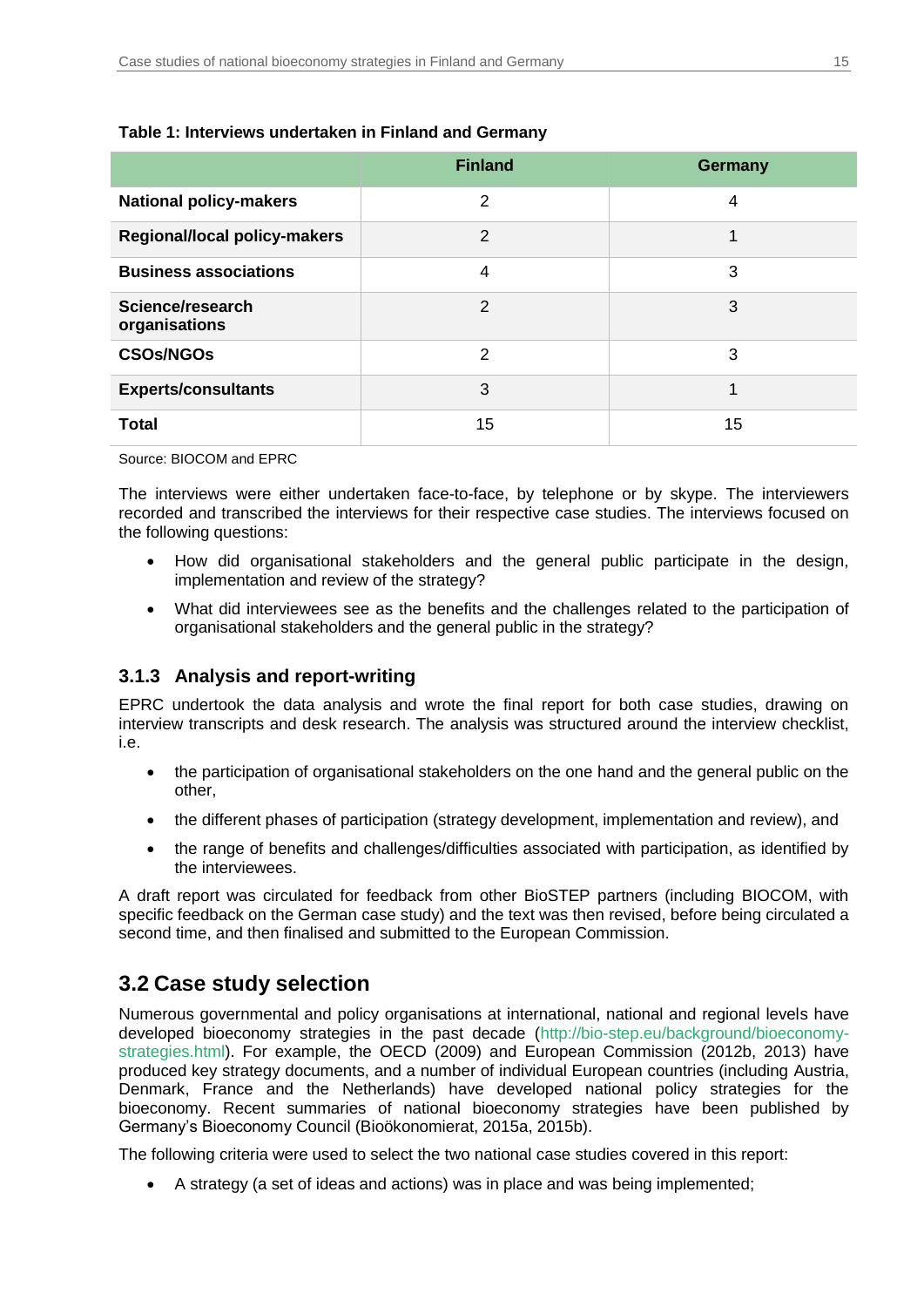|                                     | <b>Finland</b> | <b>Germany</b> |
|-------------------------------------|----------------|----------------|
| <b>National policy-makers</b>       | $\mathfrak{p}$ | 4              |
| <b>Regional/local policy-makers</b> | $\mathcal{P}$  | 1              |
| <b>Business associations</b>        | 4              | 3              |
| Science/research<br>organisations   | $\overline{2}$ | 3              |
| <b>CSOs/NGOs</b>                    | $\overline{2}$ | 3              |
| <b>Experts/consultants</b>          | 3              | 1              |
| <b>Total</b>                        | 15             | 15             |

### <span id="page-14-1"></span>**Table 1: Interviews undertaken in Finland and Germany**

Source: BIOCOM and EPRC

The interviews were either undertaken face-to-face, by telephone or by skype. The interviewers recorded and transcribed the interviews for their respective case studies. The interviews focused on the following questions:

- How did organisational stakeholders and the general public participate in the design, implementation and review of the strategy?
- What did interviewees see as the benefits and the challenges related to the participation of organisational stakeholders and the general public in the strategy?

### **3.1.3 Analysis and report-writing**

EPRC undertook the data analysis and wrote the final report for both case studies, drawing on interview transcripts and desk research. The analysis was structured around the interview checklist, i.e.

- the participation of organisational stakeholders on the one hand and the general public on the other,
- the different phases of participation (strategy development, implementation and review), and
- the range of benefits and challenges/difficulties associated with participation, as identified by the interviewees.

A draft report was circulated for feedback from other BioSTEP partners (including BIOCOM, with specific feedback on the German case study) and the text was then revised, before being circulated a second time, and then finalised and submitted to the European Commission.

## <span id="page-14-0"></span>**3.2 Case study selection**

Numerous governmental and policy organisations at international, national and regional levels have developed bioeconomy strategies in the past decade [\(http://bio-step.eu/background/bioeconomy](https://bio-step.eu/background/bioeconomy-strategies.html)[strategies.html\)](https://bio-step.eu/background/bioeconomy-strategies.html). For example, the OECD (2009) and European Commission (2012b, 2013) have produced key strategy documents, and a number of individual European countries (including Austria, Denmark, France and the Netherlands) have developed national policy strategies for the bioeconomy. Recent summaries of national bioeconomy strategies have been published by Germany's Bioeconomy Council (Bioökonomierat, 2015a, 2015b).

The following criteria were used to select the two national case studies covered in this report:

A strategy (a set of ideas and actions) was in place and was being implemented;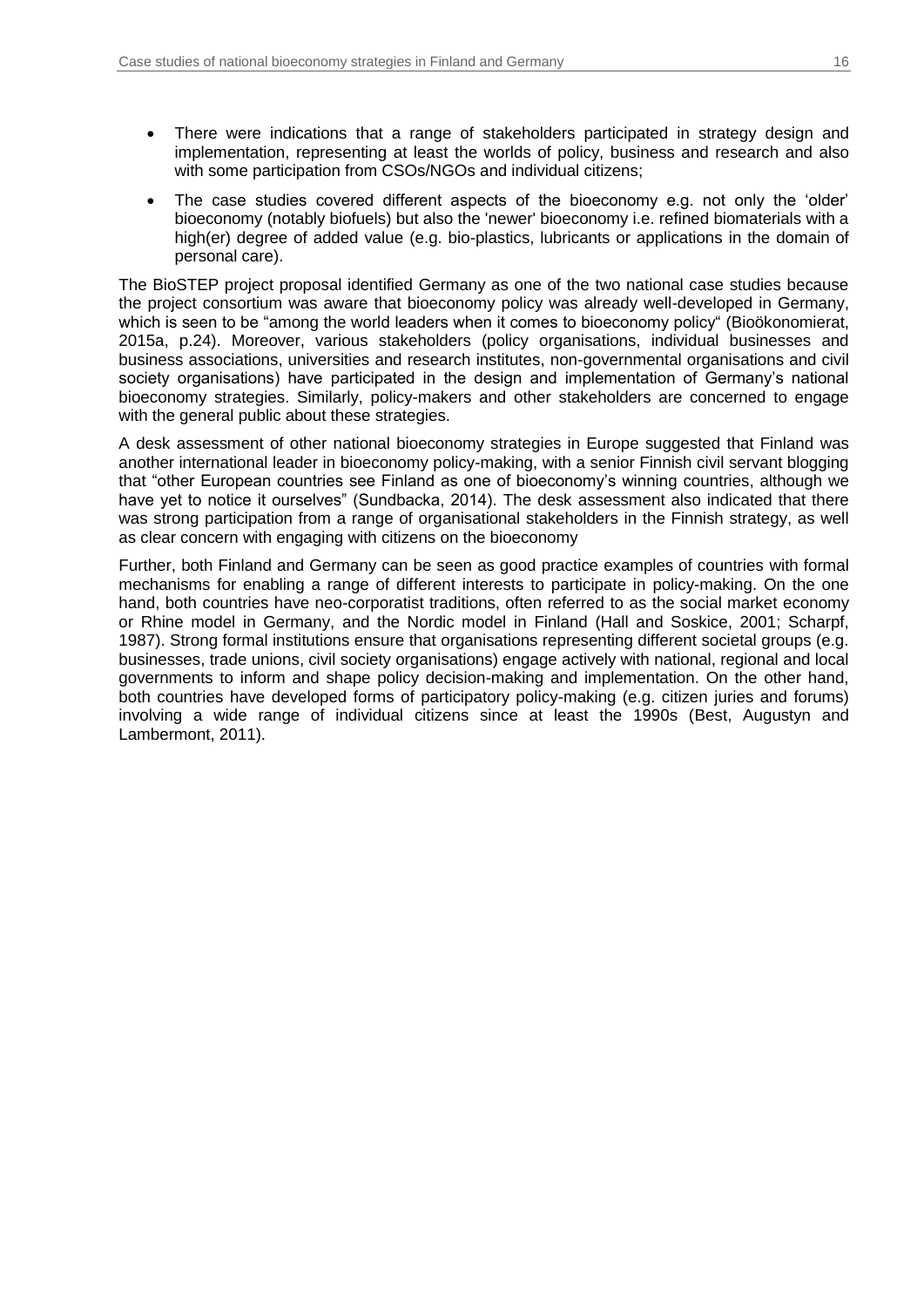- There were indications that a range of stakeholders participated in strategy design and implementation, representing at least the worlds of policy, business and research and also with some participation from CSOs/NGOs and individual citizens;
- The case studies covered different aspects of the bioeconomy e.g. not only the 'older' bioeconomy (notably biofuels) but also the 'newer' bioeconomy i.e. refined biomaterials with a high(er) degree of added value (e.g. bio-plastics, lubricants or applications in the domain of personal care).

The BioSTEP project proposal identified Germany as one of the two national case studies because the project consortium was aware that bioeconomy policy was already well-developed in Germany, which is seen to be "among the world leaders when it comes to bioeconomy policy" (Bioökonomierat, 2015a, p.24). Moreover, various stakeholders (policy organisations, individual businesses and business associations, universities and research institutes, non-governmental organisations and civil society organisations) have participated in the design and implementation of Germany's national bioeconomy strategies. Similarly, policy-makers and other stakeholders are concerned to engage with the general public about these strategies.

A desk assessment of other national bioeconomy strategies in Europe suggested that Finland was another international leader in bioeconomy policy-making, with a senior Finnish civil servant blogging that "other European countries see Finland as one of bioeconomy's winning countries, although we have yet to notice it ourselves" (Sundbacka, 2014). The desk assessment also indicated that there was strong participation from a range of organisational stakeholders in the Finnish strategy, as well as clear concern with engaging with citizens on the bioeconomy

Further, both Finland and Germany can be seen as good practice examples of countries with formal mechanisms for enabling a range of different interests to participate in policy-making. On the one hand, both countries have neo-corporatist traditions, often referred to as the social market economy or Rhine model in Germany, and the Nordic model in Finland (Hall and Soskice, 2001; Scharpf, 1987). Strong formal institutions ensure that organisations representing different societal groups (e.g. businesses, trade unions, civil society organisations) engage actively with national, regional and local governments to inform and shape policy decision-making and implementation. On the other hand, both countries have developed forms of participatory policy-making (e.g. citizen juries and forums) involving a wide range of individual citizens since at least the 1990s (Best, Augustyn and Lambermont, 2011).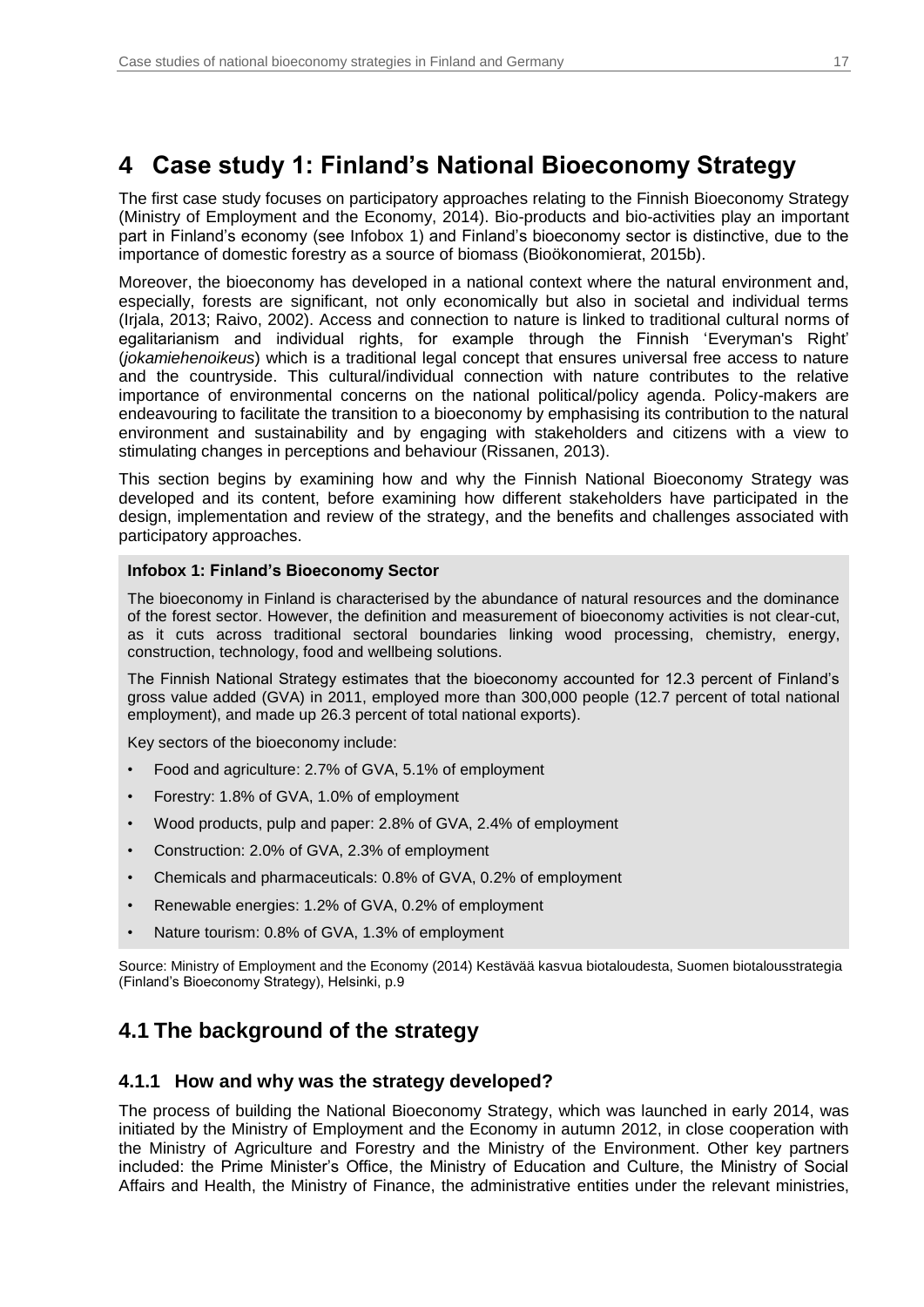## <span id="page-16-0"></span>**4 Case study 1: Finland's National Bioeconomy Strategy**

The first case study focuses on participatory approaches relating to the Finnish Bioeconomy Strategy (Ministry of Employment and the Economy, 2014). Bio-products and bio-activities play an important part in Finland's economy (see [Infobox 1\)](#page-16-2) and Finland's bioeconomy sector is distinctive, due to the importance of domestic forestry as a source of biomass (Bioökonomierat, 2015b).

Moreover, the bioeconomy has developed in a national context where the natural environment and, especially, forests are significant, not only economically but also in societal and individual terms (Irjala, 2013; Raivo, 2002). Access and connection to nature is linked to traditional cultural norms of egalitarianism and individual rights, for example through the Finnish 'Everyman's Right' (*jokamiehenoikeus*) which is a traditional legal concept that ensures universal free access to nature and the countryside. This cultural/individual connection with nature contributes to the relative importance of environmental concerns on the national political/policy agenda. Policy-makers are endeavouring to facilitate the transition to a bioeconomy by emphasising its contribution to the natural environment and sustainability and by engaging with stakeholders and citizens with a view to stimulating changes in perceptions and behaviour (Rissanen, 2013).

This section begins by examining how and why the Finnish National Bioeconomy Strategy was developed and its content, before examining how different stakeholders have participated in the design, implementation and review of the strategy, and the benefits and challenges associated with participatory approaches.

### <span id="page-16-2"></span>**Infobox 1: Finland's Bioeconomy Sector**

The bioeconomy in Finland is characterised by the abundance of natural resources and the dominance of the forest sector. However, the definition and measurement of bioeconomy activities is not clear-cut, as it cuts across traditional sectoral boundaries linking wood processing, chemistry, energy, construction, technology, food and wellbeing solutions.

The Finnish National Strategy estimates that the bioeconomy accounted for 12.3 percent of Finland's gross value added (GVA) in 2011, employed more than 300,000 people (12.7 percent of total national employment), and made up 26.3 percent of total national exports).

Key sectors of the bioeconomy include:

- Food and agriculture: 2.7% of GVA, 5.1% of employment
- Forestry: 1.8% of GVA, 1.0% of employment
- Wood products, pulp and paper: 2.8% of GVA, 2.4% of employment
- Construction: 2.0% of GVA, 2.3% of employment
- Chemicals and pharmaceuticals: 0.8% of GVA, 0.2% of employment
- Renewable energies: 1.2% of GVA, 0.2% of employment
- Nature tourism: 0.8% of GVA, 1.3% of employment

Source: Ministry of Employment and the Economy (2014) Kestävää kasvua biotaloudesta, Suomen biotalousstrategia (Finland's Bioeconomy Strategy), Helsinki, p.9

## <span id="page-16-1"></span>**4.1 The background of the strategy**

### **4.1.1 How and why was the strategy developed?**

The process of building the National Bioeconomy Strategy, which was launched in early 2014, was initiated by the Ministry of Employment and the Economy in autumn 2012, in close cooperation with the Ministry of Agriculture and Forestry and the Ministry of the Environment. Other key partners included: the Prime Minister's Office, the Ministry of Education and Culture, the Ministry of Social Affairs and Health, the Ministry of Finance, the administrative entities under the relevant ministries,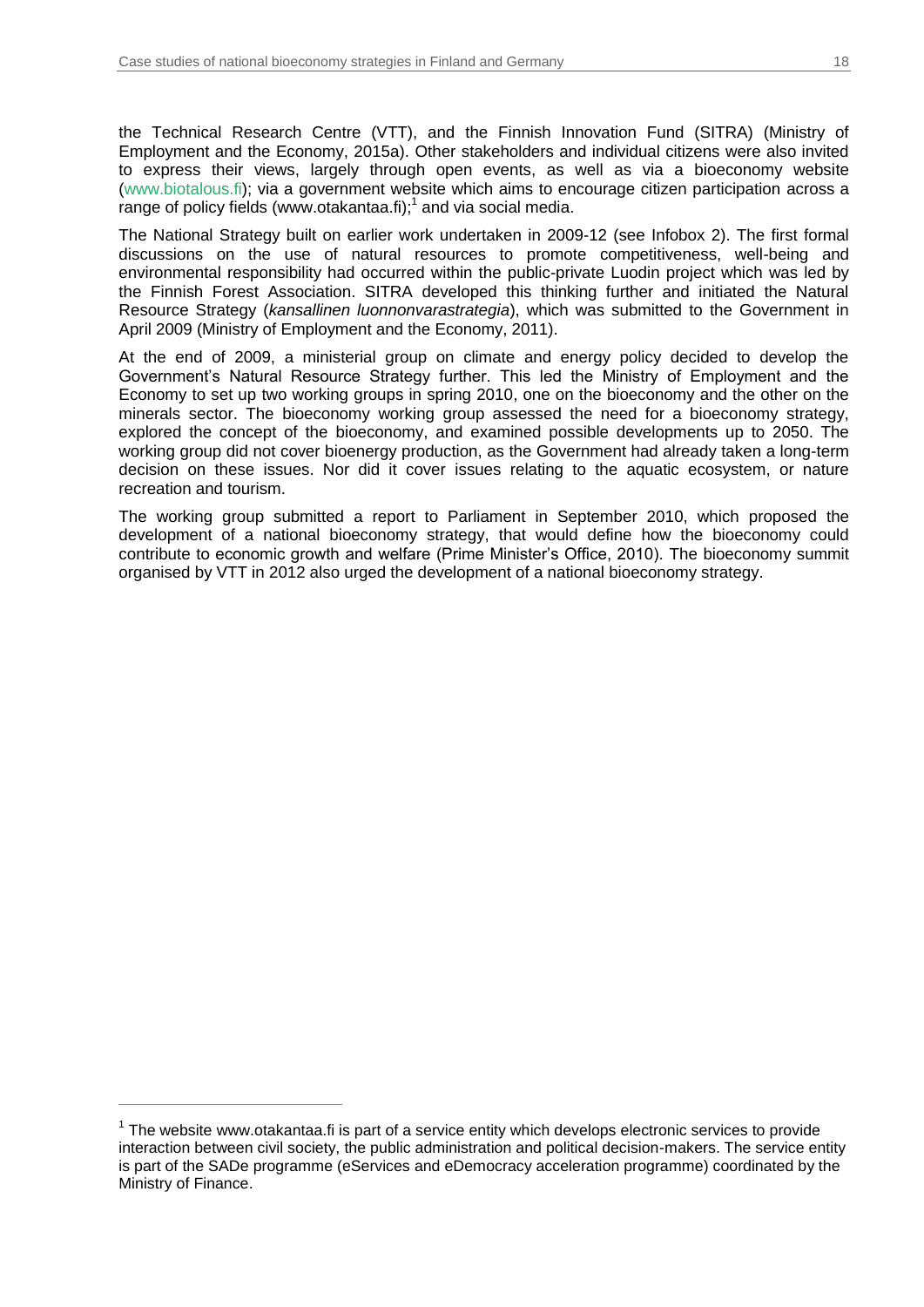the Technical Research Centre (VTT), and the Finnish Innovation Fund (SITRA) (Ministry of Employment and the Economy, 2015a). Other stakeholders and individual citizens were also invited to express their views, largely through open events, as well as via a bioeconomy website [\(www.biotalous.fi\)](https://www.biotalous.fi/); via a government website which aims to encourage citizen participation across a range of policy fields (www.otakantaa.fi); 1 and via social media.

The National Strategy built on earlier work undertaken in 2009-12 (see [Infobox 2\)](#page-18-0). The first formal discussions on the use of natural resources to promote competitiveness, well-being and environmental responsibility had occurred within the public-private Luodin project which was led by the Finnish Forest Association. SITRA developed this thinking further and initiated the Natural Resource Strategy (*kansallinen luonnonvarastrategia*), which was submitted to the Government in April 2009 (Ministry of Employment and the Economy, 2011).

At the end of 2009, a ministerial group on climate and energy policy decided to develop the Government's Natural Resource Strategy further. This led the Ministry of Employment and the Economy to set up two working groups in spring 2010, one on the bioeconomy and the other on the minerals sector. The bioeconomy working group assessed the need for a bioeconomy strategy, explored the concept of the bioeconomy, and examined possible developments up to 2050. The working group did not cover bioenergy production, as the Government had already taken a long-term decision on these issues. Nor did it cover issues relating to the aquatic ecosystem, or nature recreation and tourism.

The working group submitted a report to Parliament in September 2010, which proposed the development of a national bioeconomy strategy, that would define how the bioeconomy could contribute to economic growth and welfare (Prime Minister's Office, 2010). The bioeconomy summit organised by VTT in 2012 also urged the development of a national bioeconomy strategy.

 $\overline{a}$ 

 $1$  The website www.otakantaa.fi is part of a service entity which develops electronic services to provide interaction between civil society, the public administration and political decision-makers. The service entity is part of the SADe programme (eServices and eDemocracy acceleration programme) coordinated by the Ministry of Finance.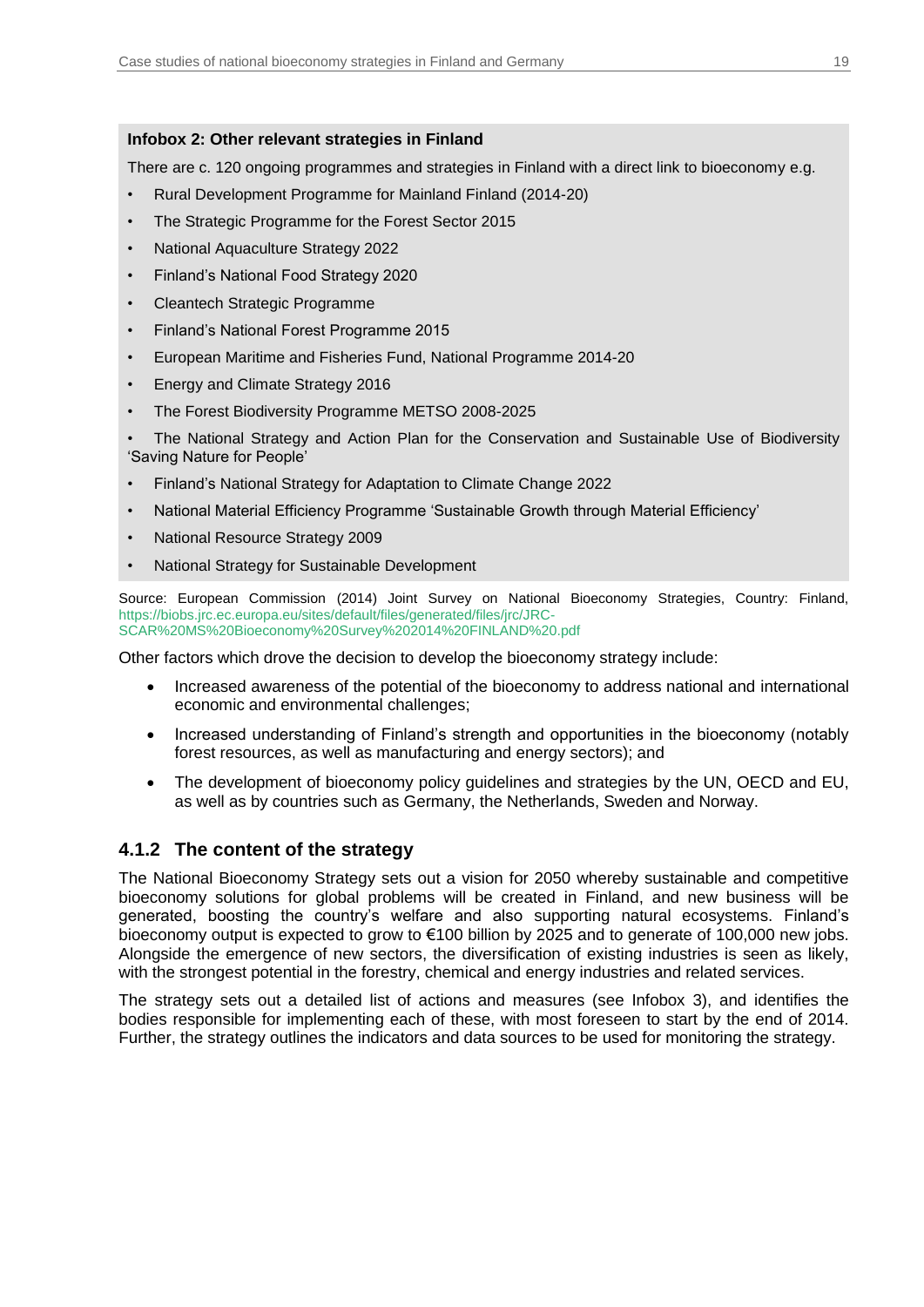### <span id="page-18-0"></span>**Infobox 2: Other relevant strategies in Finland**

There are c. 120 ongoing programmes and strategies in Finland with a direct link to bioeconomy e.g.

- Rural Development Programme for Mainland Finland (2014-20)
- The Strategic Programme for the Forest Sector 2015
- National Aquaculture Strategy 2022
- Finland's National Food Strategy 2020
- Cleantech Strategic Programme
- Finland's National Forest Programme 2015
- European Maritime and Fisheries Fund, National Programme 2014-20
- Energy and Climate Strategy 2016
- The Forest Biodiversity Programme METSO 2008-2025

• The National Strategy and Action Plan for the Conservation and Sustainable Use of Biodiversity 'Saving Nature for People'

- Finland's National Strategy for Adaptation to Climate Change 2022
- National Material Efficiency Programme 'Sustainable Growth through Material Efficiency'
- National Resource Strategy 2009
- National Strategy for Sustainable Development

Source: European Commission (2014) Joint Survey on National Bioeconomy Strategies, Country: Finland, [https://biobs.jrc.ec.europa.eu/sites/default/files/generated/files/jrc/JRC-](https://biobs.jrc.ec.europa.eu/sites/default/files/generated/files/jrc/JRC-SCAR%20MS%20Bioeconomy%20Survey%202014%20FINLAND%20.pdf)[SCAR%20MS%20Bioeconomy%20Survey%202014%20FINLAND%20.pdf](https://biobs.jrc.ec.europa.eu/sites/default/files/generated/files/jrc/JRC-SCAR%20MS%20Bioeconomy%20Survey%202014%20FINLAND%20.pdf)

Other factors which drove the decision to develop the bioeconomy strategy include:

- Increased awareness of the potential of the bioeconomy to address national and international economic and environmental challenges;
- Increased understanding of Finland's strength and opportunities in the bioeconomy (notably forest resources, as well as manufacturing and energy sectors); and
- The development of bioeconomy policy guidelines and strategies by the UN, OECD and EU, as well as by countries such as Germany, the Netherlands, Sweden and Norway.

### **4.1.2 The content of the strategy**

The National Bioeconomy Strategy sets out a vision for 2050 whereby sustainable and competitive bioeconomy solutions for global problems will be created in Finland, and new business will be generated, boosting the country's welfare and also supporting natural ecosystems. Finland's bioeconomy output is expected to grow to €100 billion by 2025 and to generate of 100,000 new jobs. Alongside the emergence of new sectors, the diversification of existing industries is seen as likely, with the strongest potential in the forestry, chemical and energy industries and related services.

The strategy sets out a detailed list of actions and measures (see [Infobox 3\)](#page-19-1), and identifies the bodies responsible for implementing each of these, with most foreseen to start by the end of 2014. Further, the strategy outlines the indicators and data sources to be used for monitoring the strategy.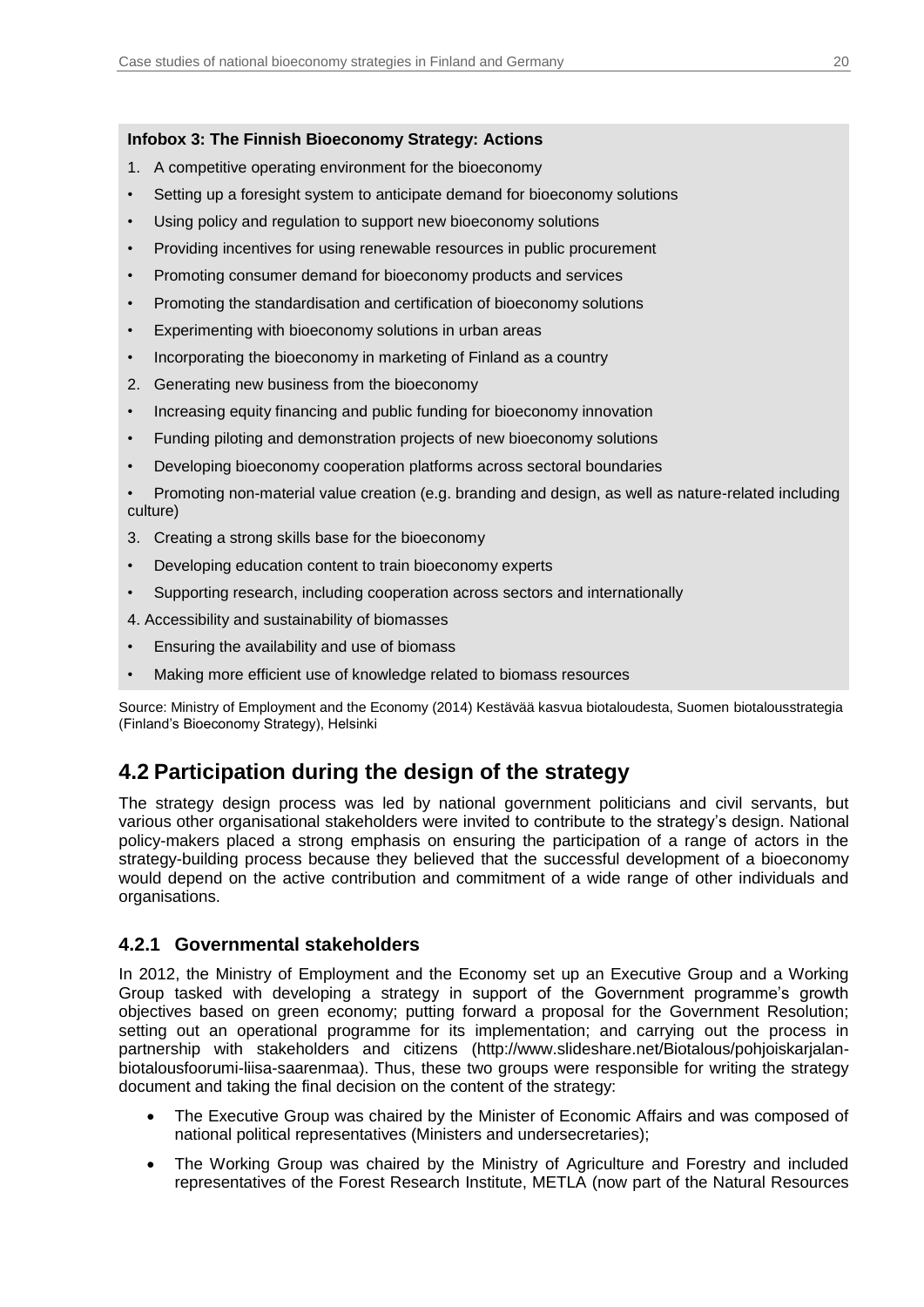#### <span id="page-19-1"></span>**Infobox 3: The Finnish Bioeconomy Strategy: Actions**

- 1. A competitive operating environment for the bioeconomy
- Setting up a foresight system to anticipate demand for bioeconomy solutions
- Using policy and regulation to support new bioeconomy solutions
- Providing incentives for using renewable resources in public procurement
- Promoting consumer demand for bioeconomy products and services
- Promoting the standardisation and certification of bioeconomy solutions
- Experimenting with bioeconomy solutions in urban areas
- Incorporating the bioeconomy in marketing of Finland as a country
- 2. Generating new business from the bioeconomy
- Increasing equity financing and public funding for bioeconomy innovation
- Funding piloting and demonstration projects of new bioeconomy solutions
- Developing bioeconomy cooperation platforms across sectoral boundaries

• Promoting non-material value creation (e.g. branding and design, as well as nature-related including culture)

- 3. Creating a strong skills base for the bioeconomy
- Developing education content to train bioeconomy experts
- Supporting research, including cooperation across sectors and internationally
- 4. Accessibility and sustainability of biomasses
- Ensuring the availability and use of biomass
- Making more efficient use of knowledge related to biomass resources

Source: Ministry of Employment and the Economy (2014) Kestävää kasvua biotaloudesta, Suomen biotalousstrategia (Finland's Bioeconomy Strategy), Helsinki

## <span id="page-19-0"></span>**4.2 Participation during the design of the strategy**

The strategy design process was led by national government politicians and civil servants, but various other organisational stakeholders were invited to contribute to the strategy's design. National policy-makers placed a strong emphasis on ensuring the participation of a range of actors in the strategy-building process because they believed that the successful development of a bioeconomy would depend on the active contribution and commitment of a wide range of other individuals and organisations.

### **4.2.1 Governmental stakeholders**

In 2012, the Ministry of Employment and the Economy set up an Executive Group and a Working Group tasked with developing a strategy in support of the Government programme's growth objectives based on green economy; putting forward a proposal for the Government Resolution; setting out an operational programme for its implementation; and carrying out the process in partnership with stakeholders and citizens (http://www.slideshare.net/Biotalous/pohjoiskarjalanbiotalousfoorumi-liisa-saarenmaa). Thus, these two groups were responsible for writing the strategy document and taking the final decision on the content of the strategy:

- The Executive Group was chaired by the Minister of Economic Affairs and was composed of national political representatives (Ministers and undersecretaries);
- The Working Group was chaired by the Ministry of Agriculture and Forestry and included representatives of the Forest Research Institute, METLA (now part of the Natural Resources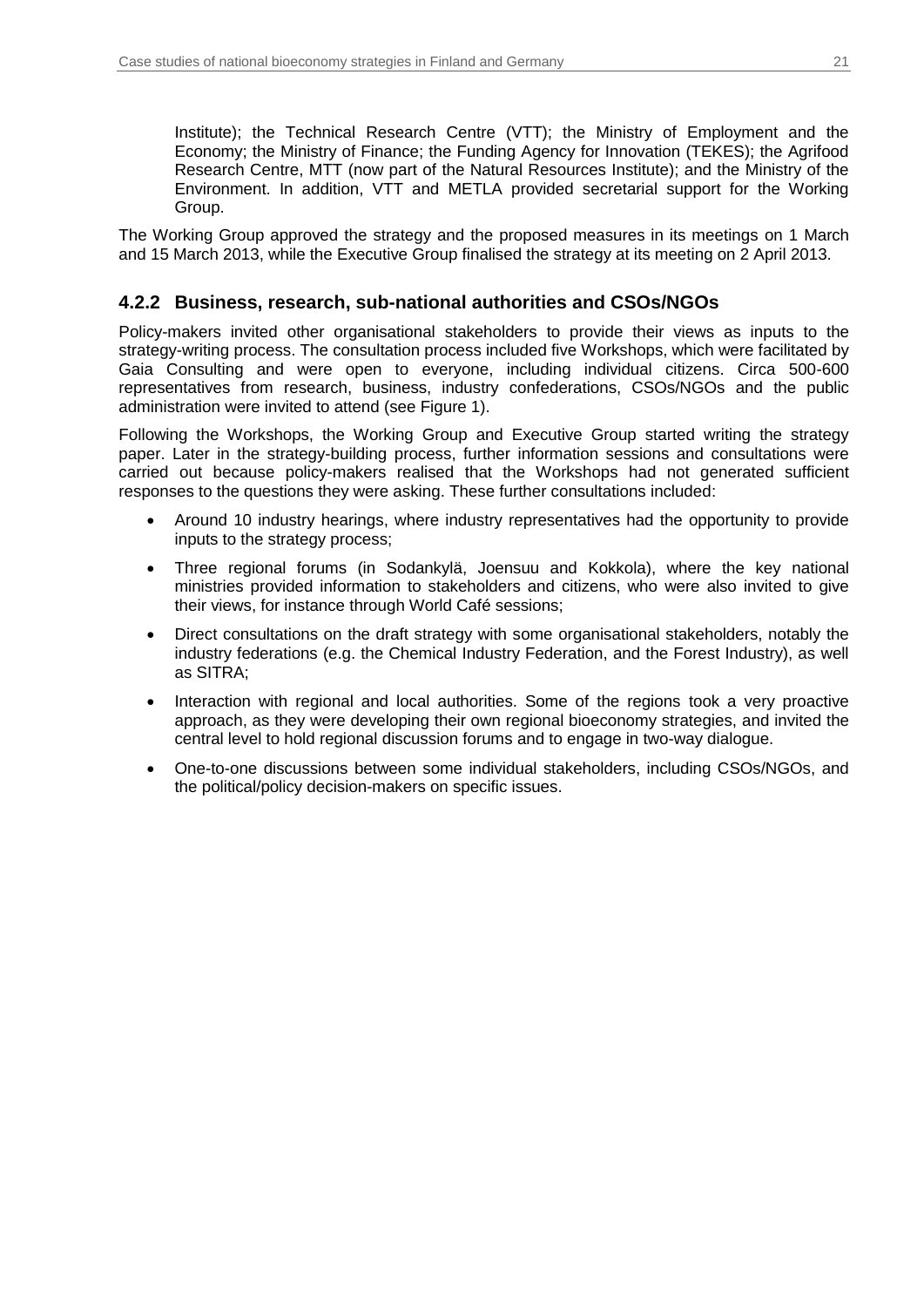Institute); the Technical Research Centre (VTT); the Ministry of Employment and the Economy; the Ministry of Finance; the Funding Agency for Innovation (TEKES); the Agrifood Research Centre, MTT (now part of the Natural Resources Institute); and the Ministry of the Environment. In addition, VTT and METLA provided secretarial support for the Working Group.

The Working Group approved the strategy and the proposed measures in its meetings on 1 March and 15 March 2013, while the Executive Group finalised the strategy at its meeting on 2 April 2013.

### **4.2.2 Business, research, sub-national authorities and CSOs/NGOs**

Policy-makers invited other organisational stakeholders to provide their views as inputs to the strategy-writing process. The consultation process included five Workshops, which were facilitated by Gaia Consulting and were open to everyone, including individual citizens. Circa 500-600 representatives from research, business, industry confederations, CSOs/NGOs and the public administration were invited to attend (see [Figure 1\)](#page-21-0).

Following the Workshops, the Working Group and Executive Group started writing the strategy paper. Later in the strategy-building process, further information sessions and consultations were carried out because policy-makers realised that the Workshops had not generated sufficient responses to the questions they were asking. These further consultations included:

- Around 10 industry hearings, where industry representatives had the opportunity to provide inputs to the strategy process;
- Three regional forums (in Sodankylä, Joensuu and Kokkola), where the key national ministries provided information to stakeholders and citizens, who were also invited to give their views, for instance through World Café sessions;
- Direct consultations on the draft strategy with some organisational stakeholders, notably the industry federations (e.g. the Chemical Industry Federation, and the Forest Industry), as well as SITRA;
- Interaction with regional and local authorities. Some of the regions took a very proactive approach, as they were developing their own regional bioeconomy strategies, and invited the central level to hold regional discussion forums and to engage in two-way dialogue.
- One-to-one discussions between some individual stakeholders, including CSOs/NGOs, and the political/policy decision-makers on specific issues.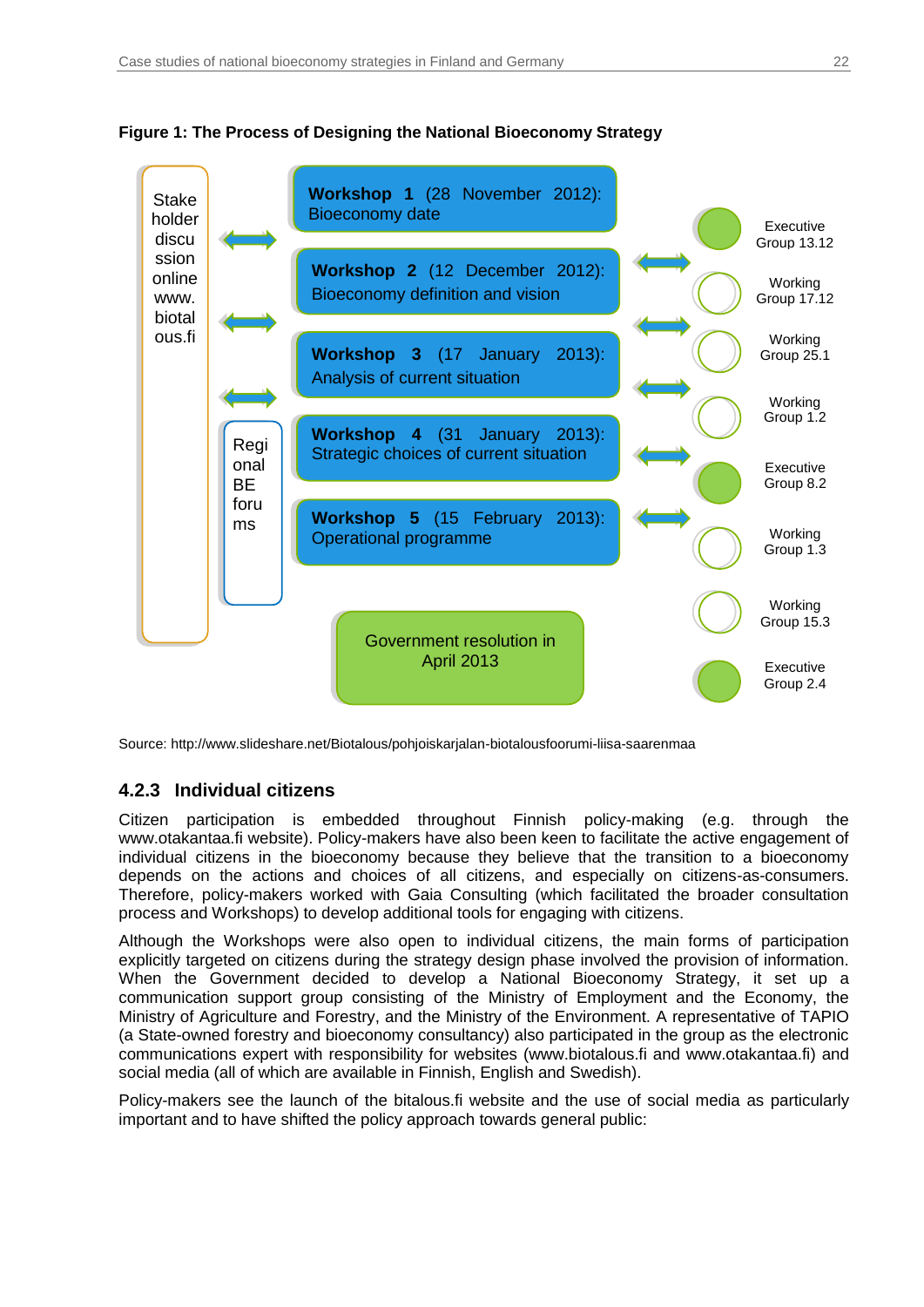

<span id="page-21-0"></span>

Source: http://www.slideshare.net/Biotalous/pohjoiskarjalan-biotalousfoorumi-liisa-saarenmaa

### **4.2.3 Individual citizens**

Citizen participation is embedded throughout Finnish policy-making (e.g. through the www.otakantaa.fi website). Policy-makers have also been keen to facilitate the active engagement of individual citizens in the bioeconomy because they believe that the transition to a bioeconomy depends on the actions and choices of all citizens, and especially on citizens-as-consumers. Therefore, policy-makers worked with Gaia Consulting (which facilitated the broader consultation process and Workshops) to develop additional tools for engaging with citizens.

Although the Workshops were also open to individual citizens, the main forms of participation explicitly targeted on citizens during the strategy design phase involved the provision of information. When the Government decided to develop a National Bioeconomy Strategy, it set up a communication support group consisting of the Ministry of Employment and the Economy, the Ministry of Agriculture and Forestry, and the Ministry of the Environment. A representative of TAPIO (a State-owned forestry and bioeconomy consultancy) also participated in the group as the electronic communications expert with responsibility for websites (www.biotalous.fi and www.otakantaa.fi) and social media (all of which are available in Finnish, English and Swedish).

Policy-makers see the launch of the bitalous.fi website and the use of social media as particularly important and to have shifted the policy approach towards general public: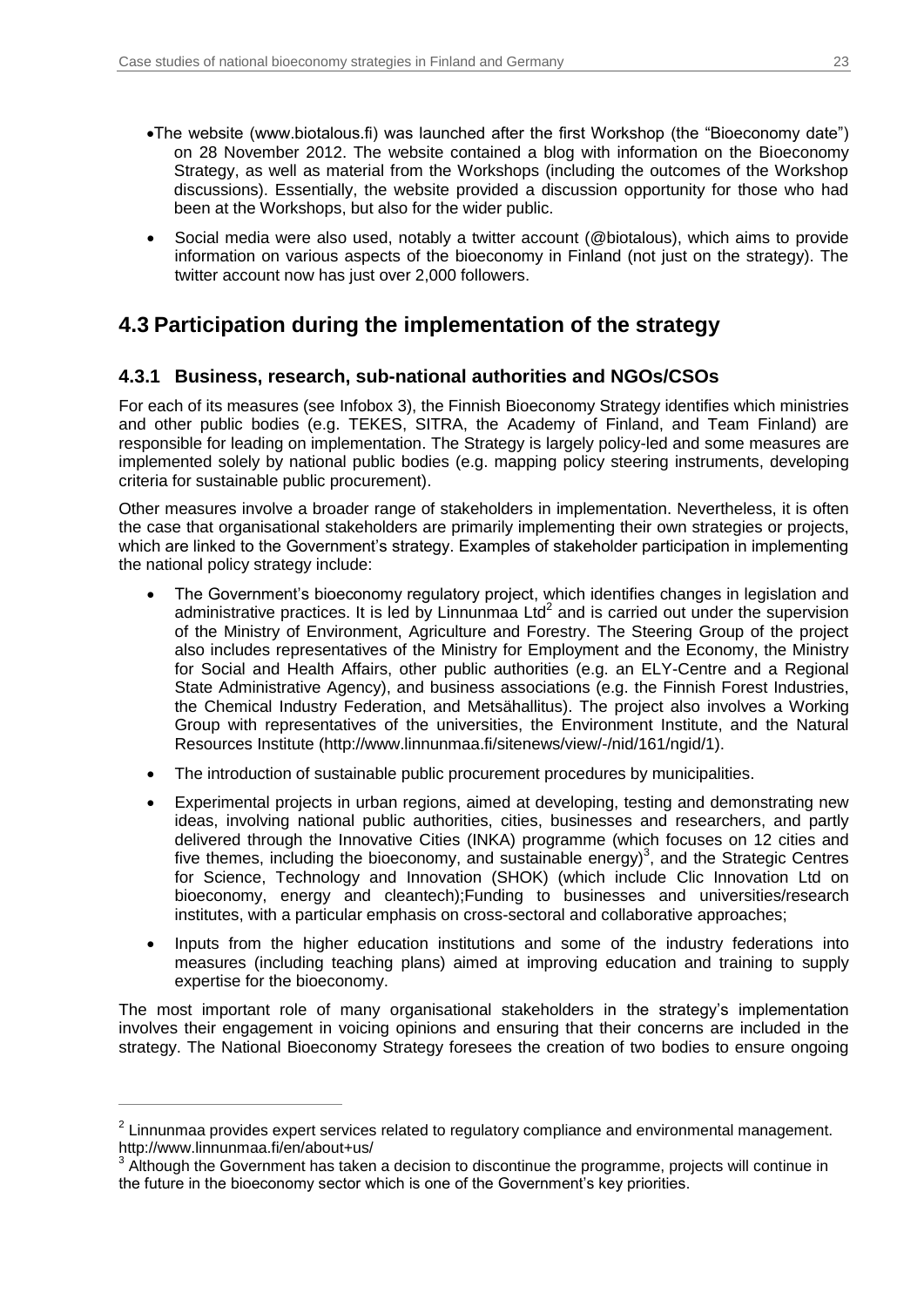- The website (www.biotalous.fi) was launched after the first Workshop (the "Bioeconomy date") on 28 November 2012. The website contained a blog with information on the Bioeconomy Strategy, as well as material from the Workshops (including the outcomes of the Workshop discussions). Essentially, the website provided a discussion opportunity for those who had been at the Workshops, but also for the wider public.
- Social media were also used, notably a twitter account (@biotalous), which aims to provide information on various aspects of the bioeconomy in Finland (not just on the strategy). The twitter account now has just over 2,000 followers.

## <span id="page-22-0"></span>**4.3 Participation during the implementation of the strategy**

### **4.3.1 Business, research, sub-national authorities and NGOs/CSOs**

For each of its measures (see [Infobox 3\)](#page-19-1), the Finnish Bioeconomy Strategy identifies which ministries and other public bodies (e.g. TEKES, SITRA, the Academy of Finland, and Team Finland) are responsible for leading on implementation. The Strategy is largely policy-led and some measures are implemented solely by national public bodies (e.g. mapping policy steering instruments, developing criteria for sustainable public procurement).

Other measures involve a broader range of stakeholders in implementation. Nevertheless, it is often the case that organisational stakeholders are primarily implementing their own strategies or projects, which are linked to the Government's strategy. Examples of stakeholder participation in implementing the national policy strategy include:

- The Government's bioeconomy regulatory project, which identifies changes in legislation and administrative practices. It is led by Linnunmaa Ltd<sup>2</sup> and is carried out under the supervision of the Ministry of Environment, Agriculture and Forestry. The Steering Group of the project also includes representatives of the Ministry for Employment and the Economy, the Ministry for Social and Health Affairs, other public authorities (e.g. an ELY-Centre and a Regional State Administrative Agency), and business associations (e.g. the Finnish Forest Industries, the Chemical Industry Federation, and Metsähallitus). The project also involves a Working Group with representatives of the universities, the Environment Institute, and the Natural Resources Institute (http://www.linnunmaa.fi/sitenews/view/-/nid/161/ngid/1).
- The introduction of sustainable public procurement procedures by municipalities.
- Experimental projects in urban regions, aimed at developing, testing and demonstrating new ideas, involving national public authorities, cities, businesses and researchers, and partly delivered through the Innovative Cities (INKA) programme (which focuses on 12 cities and five themes, including the bioeconomy, and sustainable energy)<sup>3</sup>, and the Strategic Centres for Science, Technology and Innovation (SHOK) (which include Clic Innovation Ltd on bioeconomy, energy and cleantech);Funding to businesses and universities/research institutes, with a particular emphasis on cross-sectoral and collaborative approaches;
- Inputs from the higher education institutions and some of the industry federations into measures (including teaching plans) aimed at improving education and training to supply expertise for the bioeconomy.

The most important role of many organisational stakeholders in the strategy's implementation involves their engagement in voicing opinions and ensuring that their concerns are included in the strategy. The National Bioeconomy Strategy foresees the creation of two bodies to ensure ongoing

 $\overline{a}$ 

 $2$  Linnunmaa provides expert services related to regulatory compliance and environmental management. [http://www.linnunmaa.fi/en/about+us/](https://www.linnunmaa.fi/en/about+us/)

 $3$  Although the Government has taken a decision to discontinue the programme, projects will continue in the future in the bioeconomy sector which is one of the Government's key priorities.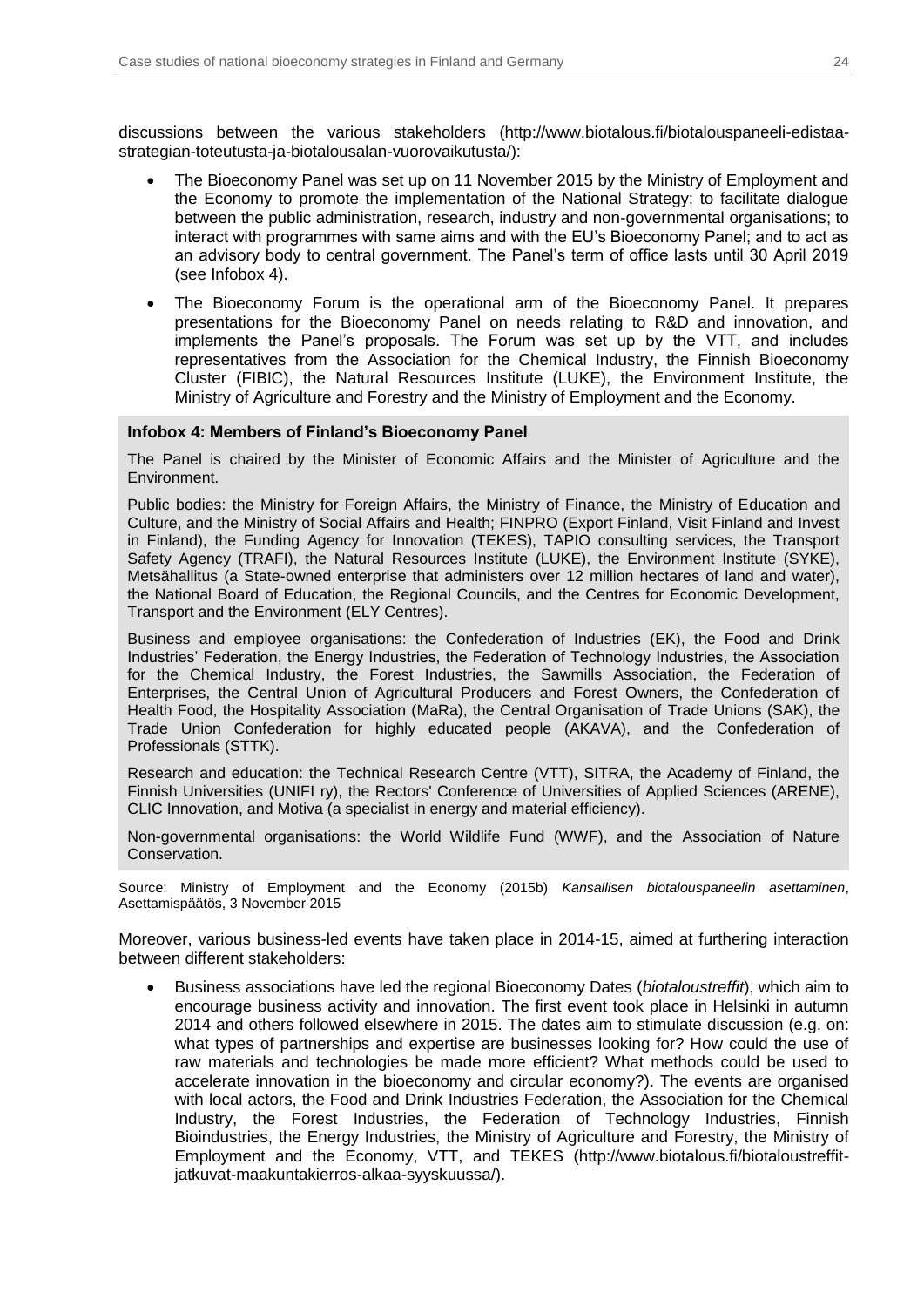discussions between the various stakeholders (http://www.biotalous.fi/biotalouspaneeli-edistaastrategian-toteutusta-ja-biotalousalan-vuorovaikutusta/):

- The Bioeconomy Panel was set up on 11 November 2015 by the Ministry of Employment and the Economy to promote the implementation of the National Strategy; to facilitate dialogue between the public administration, research, industry and non-governmental organisations; to interact with programmes with same aims and with the EU's Bioeconomy Panel; and to act as an advisory body to central government. The Panel's term of office lasts until 30 April 2019 (see [Infobox 4\)](#page-23-0).
- The Bioeconomy Forum is the operational arm of the Bioeconomy Panel. It prepares presentations for the Bioeconomy Panel on needs relating to R&D and innovation, and implements the Panel's proposals. The Forum was set up by the VTT, and includes representatives from the Association for the Chemical Industry, the Finnish Bioeconomy Cluster (FIBIC), the Natural Resources Institute (LUKE), the Environment Institute, the Ministry of Agriculture and Forestry and the Ministry of Employment and the Economy.

#### <span id="page-23-0"></span>**Infobox 4: Members of Finland's Bioeconomy Panel**

The Panel is chaired by the Minister of Economic Affairs and the Minister of Agriculture and the Environment.

Public bodies: the Ministry for Foreign Affairs, the Ministry of Finance, the Ministry of Education and Culture, and the Ministry of Social Affairs and Health; FINPRO (Export Finland, Visit Finland and Invest in Finland), the Funding Agency for Innovation (TEKES), TAPIO consulting services, the Transport Safety Agency (TRAFI), the Natural Resources Institute (LUKE), the Environment Institute (SYKE), Metsähallitus (a State-owned enterprise that administers over 12 million hectares of land and water), the National Board of Education, the Regional Councils, and the Centres for Economic Development, Transport and the Environment (ELY Centres).

Business and employee organisations: the Confederation of Industries (EK), the Food and Drink Industries' Federation, the Energy Industries, the Federation of Technology Industries, the Association for the Chemical Industry, the Forest Industries, the Sawmills Association, the Federation of Enterprises, the Central Union of Agricultural Producers and Forest Owners, the Confederation of Health Food, the Hospitality Association (MaRa), the Central Organisation of Trade Unions (SAK), the Trade Union Confederation for highly educated people (AKAVA), and the Confederation of Professionals (STTK).

Research and education: the Technical Research Centre (VTT), SITRA, the Academy of Finland, the Finnish Universities (UNIFI ry), the Rectors' Conference of Universities of Applied Sciences (ARENE), CLIC Innovation, and Motiva (a specialist in energy and material efficiency).

Non-governmental organisations: the World Wildlife Fund (WWF), and the Association of Nature Conservation.

Source: Ministry of Employment and the Economy (2015b) *Kansallisen biotalouspaneelin asettaminen*, Asettamispäätös, 3 November 2015

Moreover, various business-led events have taken place in 2014-15, aimed at furthering interaction between different stakeholders:

 Business associations have led the regional Bioeconomy Dates (*biotaloustreffit*), which aim to encourage business activity and innovation. The first event took place in Helsinki in autumn 2014 and others followed elsewhere in 2015. The dates aim to stimulate discussion (e.g. on: what types of partnerships and expertise are businesses looking for? How could the use of raw materials and technologies be made more efficient? What methods could be used to accelerate innovation in the bioeconomy and circular economy?). The events are organised with local actors, the Food and Drink Industries Federation, the Association for the Chemical Industry, the Forest Industries, the Federation of Technology Industries, Finnish Bioindustries, the Energy Industries, the Ministry of Agriculture and Forestry, the Ministry of Employment and the Economy, VTT, and TEKES (http://www.biotalous.fi/biotaloustreffitjatkuvat-maakuntakierros-alkaa-syyskuussa/).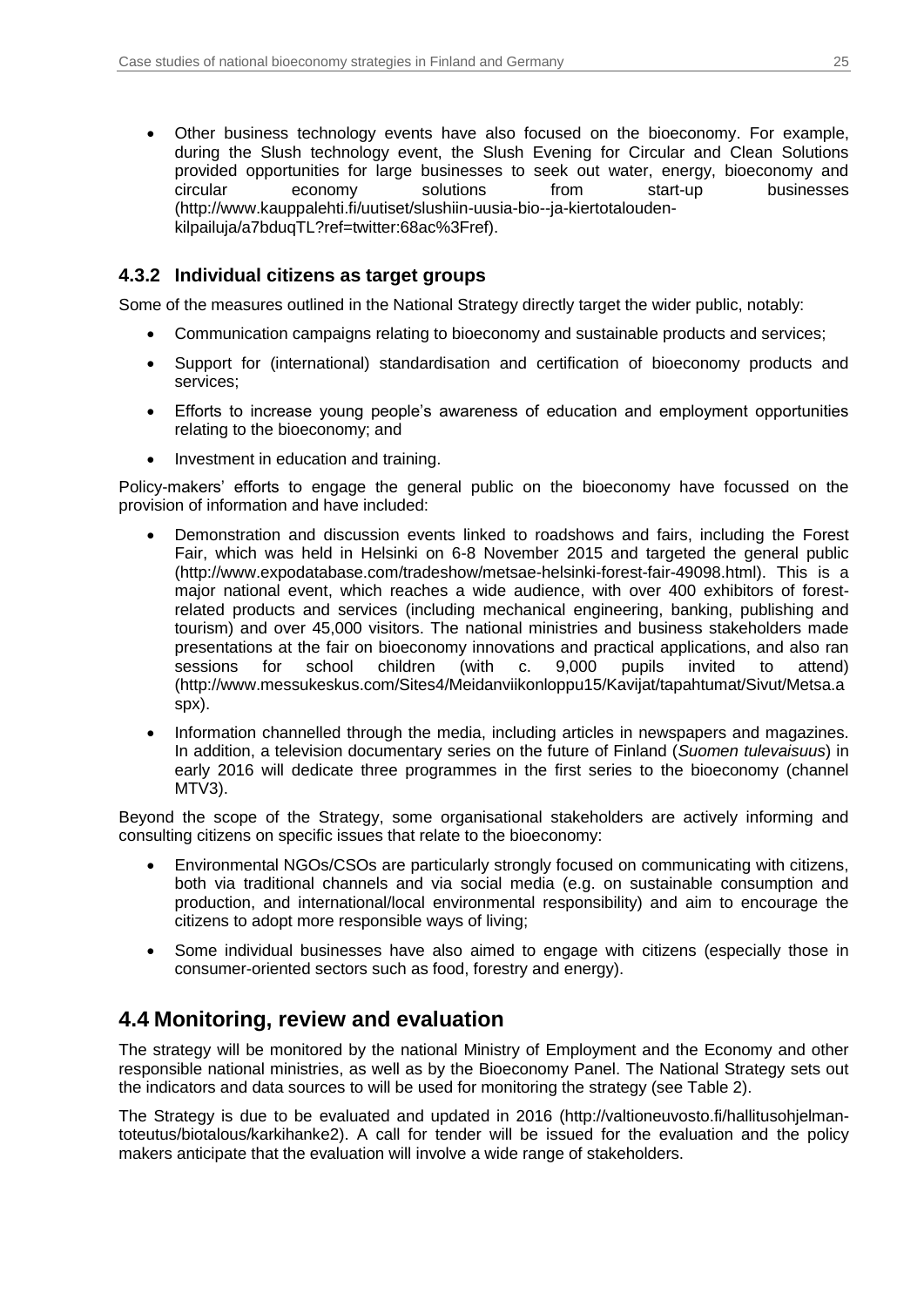Other business technology events have also focused on the bioeconomy. For example, during the Slush technology event, the Slush Evening for Circular and Clean Solutions provided opportunities for large businesses to seek out water, energy, bioeconomy and circular economy solutions from start-up businesses (http://www.kauppalehti.fi/uutiset/slushiin-uusia-bio--ja-kiertotaloudenkilpailuja/a7bduqTL?ref=twitter:68ac%3Fref).

### **4.3.2 Individual citizens as target groups**

Some of the measures outlined in the National Strategy directly target the wider public, notably:

- Communication campaigns relating to bioeconomy and sustainable products and services;
- Support for (international) standardisation and certification of bioeconomy products and services;
- Efforts to increase young people's awareness of education and employment opportunities relating to the bioeconomy; and
- Investment in education and training.

Policy-makers' efforts to engage the general public on the bioeconomy have focussed on the provision of information and have included:

- Demonstration and discussion events linked to roadshows and fairs, including the Forest Fair, which was held in Helsinki on 6-8 November 2015 and targeted the general public (http://www.expodatabase.com/tradeshow/metsae-helsinki-forest-fair-49098.html). This is a major national event, which reaches a wide audience, with over 400 exhibitors of forestrelated products and services (including mechanical engineering, banking, publishing and tourism) and over 45,000 visitors. The national ministries and business stakeholders made presentations at the fair on bioeconomy innovations and practical applications, and also ran sessions for school children (with c. 9,000 pupils invited to attend) (http://www.messukeskus.com/Sites4/Meidanviikonloppu15/Kavijat/tapahtumat/Sivut/Metsa.a spx).
- Information channelled through the media, including articles in newspapers and magazines. In addition, a television documentary series on the future of Finland (*Suomen tulevaisuus*) in early 2016 will dedicate three programmes in the first series to the bioeconomy (channel MTV3).

Beyond the scope of the Strategy, some organisational stakeholders are actively informing and consulting citizens on specific issues that relate to the bioeconomy:

- Environmental NGOs/CSOs are particularly strongly focused on communicating with citizens, both via traditional channels and via social media (e.g. on sustainable consumption and production, and international/local environmental responsibility) and aim to encourage the citizens to adopt more responsible ways of living;
- Some individual businesses have also aimed to engage with citizens (especially those in consumer-oriented sectors such as food, forestry and energy).

## <span id="page-24-0"></span>**4.4 Monitoring, review and evaluation**

The strategy will be monitored by the national Ministry of Employment and the Economy and other responsible national ministries, as well as by the Bioeconomy Panel. The National Strategy sets out the indicators and data sources to will be used for monitoring the strategy (see [Table 2\)](#page-25-1).

The Strategy is due to be evaluated and updated in 2016 (http://valtioneuvosto.fi/hallitusohjelmantoteutus/biotalous/karkihanke2). A call for tender will be issued for the evaluation and the policy makers anticipate that the evaluation will involve a wide range of stakeholders.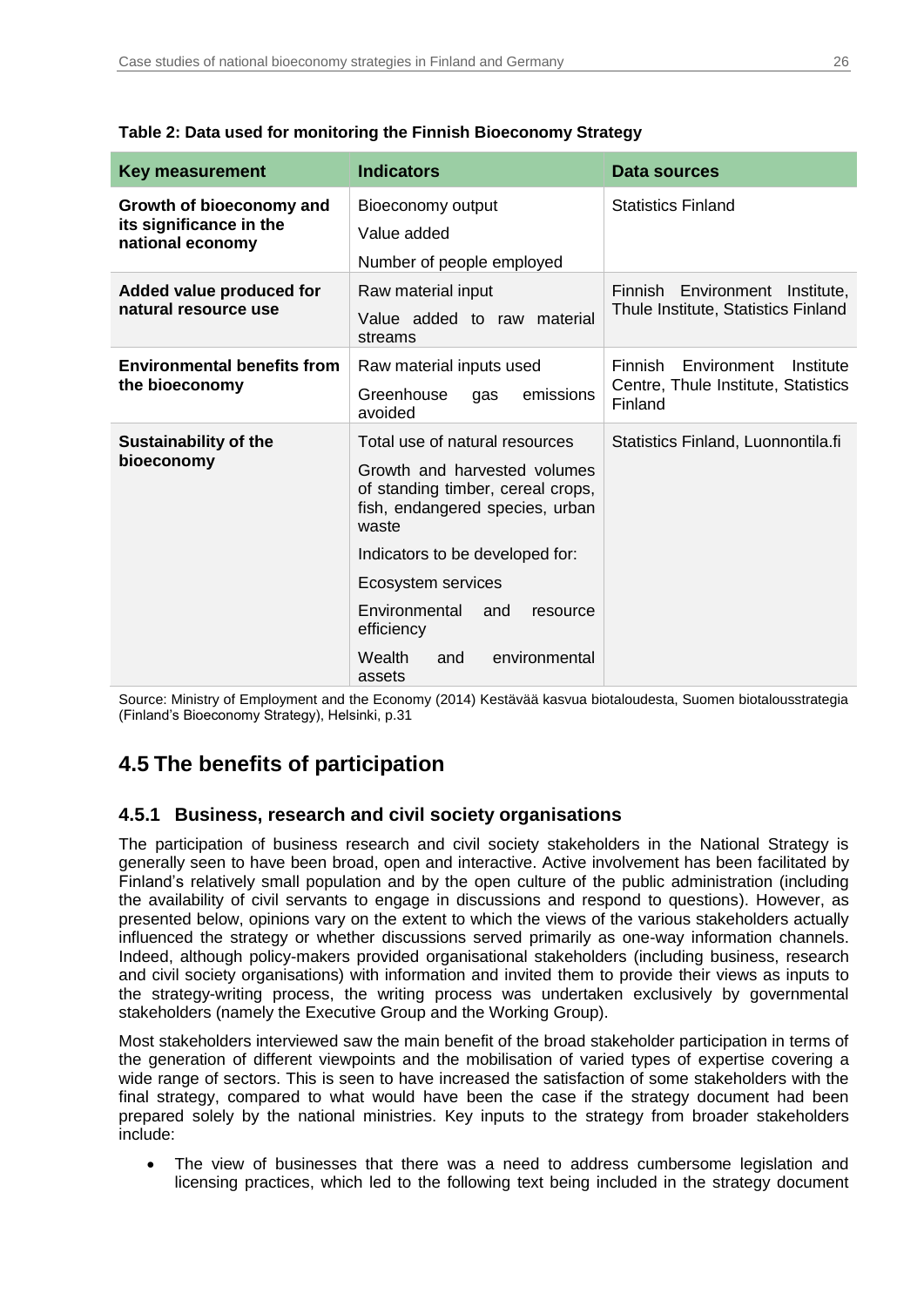| <b>Key measurement</b>                                                  | <b>Indicators</b>                                                                                                                                                                                                                                          | <b>Data sources</b>                                                                          |
|-------------------------------------------------------------------------|------------------------------------------------------------------------------------------------------------------------------------------------------------------------------------------------------------------------------------------------------------|----------------------------------------------------------------------------------------------|
| Growth of bioeconomy and<br>its significance in the<br>national economy | Bioeconomy output<br>Value added<br>Number of people employed                                                                                                                                                                                              | <b>Statistics Finland</b>                                                                    |
| Added value produced for<br>natural resource use                        | Raw material input<br>Value added to raw<br>material<br>streams                                                                                                                                                                                            | Finnish Environment Institute,<br>Thule Institute, Statistics Finland                        |
| <b>Environmental benefits from</b><br>the bioeconomy                    | Raw material inputs used<br>Greenhouse<br>emissions<br>gas<br>avoided                                                                                                                                                                                      | <b>Finnish</b><br>Environment<br>Institute<br>Centre, Thule Institute, Statistics<br>Finland |
| <b>Sustainability of the</b><br>bioeconomy                              | Total use of natural resources<br>Growth and harvested volumes<br>of standing timber, cereal crops,<br>fish, endangered species, urban<br>waste<br>Indicators to be developed for:<br>Ecosystem services<br>Environmental<br>and<br>resource<br>efficiency | Statistics Finland, Luonnontila.fi                                                           |
|                                                                         | Wealth<br>environmental<br>and<br>assets                                                                                                                                                                                                                   |                                                                                              |

### <span id="page-25-1"></span>**Table 2: Data used for monitoring the Finnish Bioeconomy Strategy**

Source: Ministry of Employment and the Economy (2014) Kestävää kasvua biotaloudesta, Suomen biotalousstrategia (Finland's Bioeconomy Strategy), Helsinki, p.31

## <span id="page-25-0"></span>**4.5 The benefits of participation**

### **4.5.1 Business, research and civil society organisations**

The participation of business research and civil society stakeholders in the National Strategy is generally seen to have been broad, open and interactive. Active involvement has been facilitated by Finland's relatively small population and by the open culture of the public administration (including the availability of civil servants to engage in discussions and respond to questions). However, as presented below, opinions vary on the extent to which the views of the various stakeholders actually influenced the strategy or whether discussions served primarily as one-way information channels. Indeed, although policy-makers provided organisational stakeholders (including business, research and civil society organisations) with information and invited them to provide their views as inputs to the strategy-writing process, the writing process was undertaken exclusively by governmental stakeholders (namely the Executive Group and the Working Group).

Most stakeholders interviewed saw the main benefit of the broad stakeholder participation in terms of the generation of different viewpoints and the mobilisation of varied types of expertise covering a wide range of sectors. This is seen to have increased the satisfaction of some stakeholders with the final strategy, compared to what would have been the case if the strategy document had been prepared solely by the national ministries. Key inputs to the strategy from broader stakeholders include:

 The view of businesses that there was a need to address cumbersome legislation and licensing practices, which led to the following text being included in the strategy document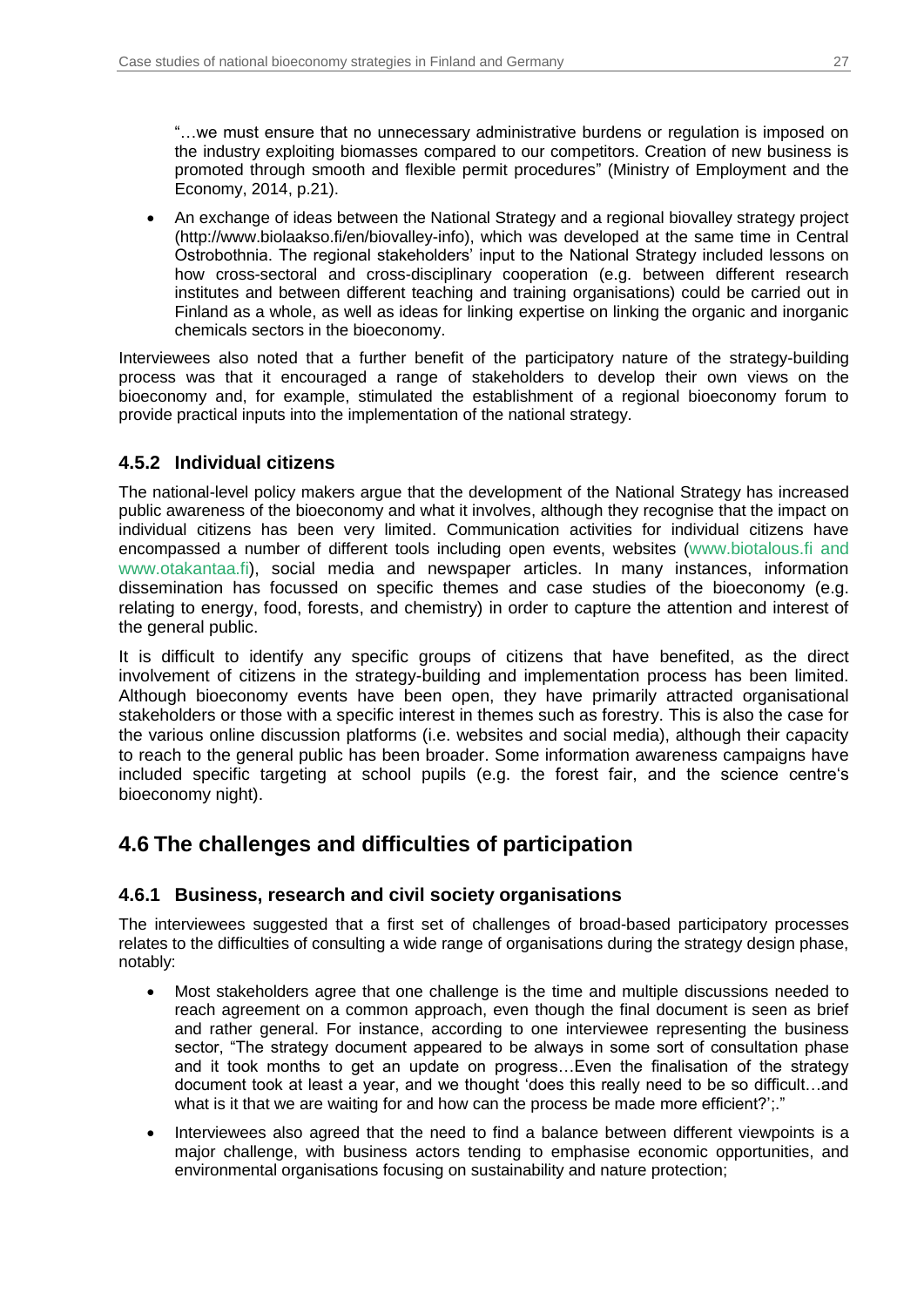"…we must ensure that no unnecessary administrative burdens or regulation is imposed on the industry exploiting biomasses compared to our competitors. Creation of new business is promoted through smooth and flexible permit procedures" (Ministry of Employment and the Economy, 2014, p.21).

• An exchange of ideas between the National Strategy and a regional biovalley strategy project (http://www.biolaakso.fi/en/biovalley-info), which was developed at the same time in Central Ostrobothnia. The regional stakeholders' input to the National Strategy included lessons on how cross-sectoral and cross-disciplinary cooperation (e.g. between different research institutes and between different teaching and training organisations) could be carried out in Finland as a whole, as well as ideas for linking expertise on linking the organic and inorganic chemicals sectors in the bioeconomy.

Interviewees also noted that a further benefit of the participatory nature of the strategy-building process was that it encouraged a range of stakeholders to develop their own views on the bioeconomy and, for example, stimulated the establishment of a regional bioeconomy forum to provide practical inputs into the implementation of the national strategy.

### **4.5.2 Individual citizens**

The national-level policy makers argue that the development of the National Strategy has increased public awareness of the bioeconomy and what it involves, although they recognise that the impact on individual citizens has been very limited. Communication activities for individual citizens have encompassed a number of different tools including open events, websites ([www.biotalous.fi](https://www.biotalous.fi/) and [www.otakantaa.fi\)](https://www.otakantaa.fi/), social media and newspaper articles. In many instances, information dissemination has focussed on specific themes and case studies of the bioeconomy (e.g. relating to energy, food, forests, and chemistry) in order to capture the attention and interest of the general public.

It is difficult to identify any specific groups of citizens that have benefited, as the direct involvement of citizens in the strategy-building and implementation process has been limited. Although bioeconomy events have been open, they have primarily attracted organisational stakeholders or those with a specific interest in themes such as forestry. This is also the case for the various online discussion platforms (i.e. websites and social media), although their capacity to reach to the general public has been broader. Some information awareness campaigns have included specific targeting at school pupils (e.g. the forest fair, and the science centre's bioeconomy night).

## <span id="page-26-0"></span>**4.6 The challenges and difficulties of participation**

### **4.6.1 Business, research and civil society organisations**

The interviewees suggested that a first set of challenges of broad-based participatory processes relates to the difficulties of consulting a wide range of organisations during the strategy design phase, notably:

- Most stakeholders agree that one challenge is the time and multiple discussions needed to reach agreement on a common approach, even though the final document is seen as brief and rather general. For instance, according to one interviewee representing the business sector, "The strategy document appeared to be always in some sort of consultation phase and it took months to get an update on progress…Even the finalisation of the strategy document took at least a year, and we thought 'does this really need to be so difficult…and what is it that we are waiting for and how can the process be made more efficient?';."
- Interviewees also agreed that the need to find a balance between different viewpoints is a major challenge, with business actors tending to emphasise economic opportunities, and environmental organisations focusing on sustainability and nature protection;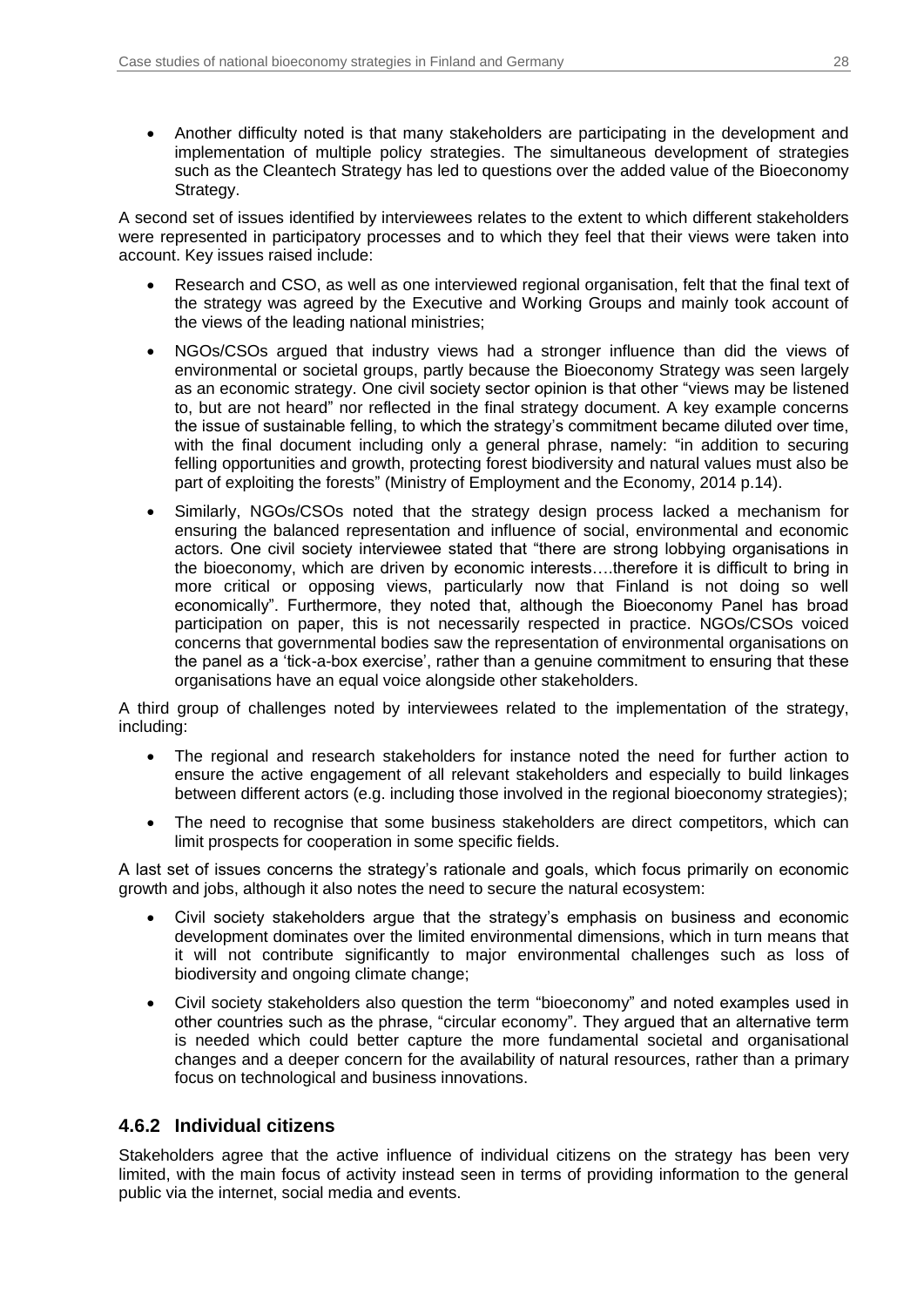Another difficulty noted is that many stakeholders are participating in the development and implementation of multiple policy strategies. The simultaneous development of strategies such as the Cleantech Strategy has led to questions over the added value of the Bioeconomy Strategy.

A second set of issues identified by interviewees relates to the extent to which different stakeholders were represented in participatory processes and to which they feel that their views were taken into account. Key issues raised include:

- Research and CSO, as well as one interviewed regional organisation, felt that the final text of the strategy was agreed by the Executive and Working Groups and mainly took account of the views of the leading national ministries;
- NGOs/CSOs argued that industry views had a stronger influence than did the views of environmental or societal groups, partly because the Bioeconomy Strategy was seen largely as an economic strategy. One civil society sector opinion is that other "views may be listened to, but are not heard" nor reflected in the final strategy document. A key example concerns the issue of sustainable felling, to which the strategy's commitment became diluted over time, with the final document including only a general phrase, namely: "in addition to securing felling opportunities and growth, protecting forest biodiversity and natural values must also be part of exploiting the forests" (Ministry of Employment and the Economy, 2014 p.14).
- Similarly, NGOs/CSOs noted that the strategy design process lacked a mechanism for ensuring the balanced representation and influence of social, environmental and economic actors. One civil society interviewee stated that "there are strong lobbying organisations in the bioeconomy, which are driven by economic interests….therefore it is difficult to bring in more critical or opposing views, particularly now that Finland is not doing so well economically". Furthermore, they noted that, although the Bioeconomy Panel has broad participation on paper, this is not necessarily respected in practice. NGOs/CSOs voiced concerns that governmental bodies saw the representation of environmental organisations on the panel as a 'tick-a-box exercise', rather than a genuine commitment to ensuring that these organisations have an equal voice alongside other stakeholders.

A third group of challenges noted by interviewees related to the implementation of the strategy, including:

- The regional and research stakeholders for instance noted the need for further action to ensure the active engagement of all relevant stakeholders and especially to build linkages between different actors (e.g. including those involved in the regional bioeconomy strategies);
- The need to recognise that some business stakeholders are direct competitors, which can limit prospects for cooperation in some specific fields.

A last set of issues concerns the strategy's rationale and goals, which focus primarily on economic growth and jobs, although it also notes the need to secure the natural ecosystem:

- Civil society stakeholders argue that the strategy's emphasis on business and economic development dominates over the limited environmental dimensions, which in turn means that it will not contribute significantly to major environmental challenges such as loss of biodiversity and ongoing climate change;
- Civil society stakeholders also question the term "bioeconomy" and noted examples used in other countries such as the phrase, "circular economy". They argued that an alternative term is needed which could better capture the more fundamental societal and organisational changes and a deeper concern for the availability of natural resources, rather than a primary focus on technological and business innovations.

### **4.6.2 Individual citizens**

Stakeholders agree that the active influence of individual citizens on the strategy has been very limited, with the main focus of activity instead seen in terms of providing information to the general public via the internet, social media and events.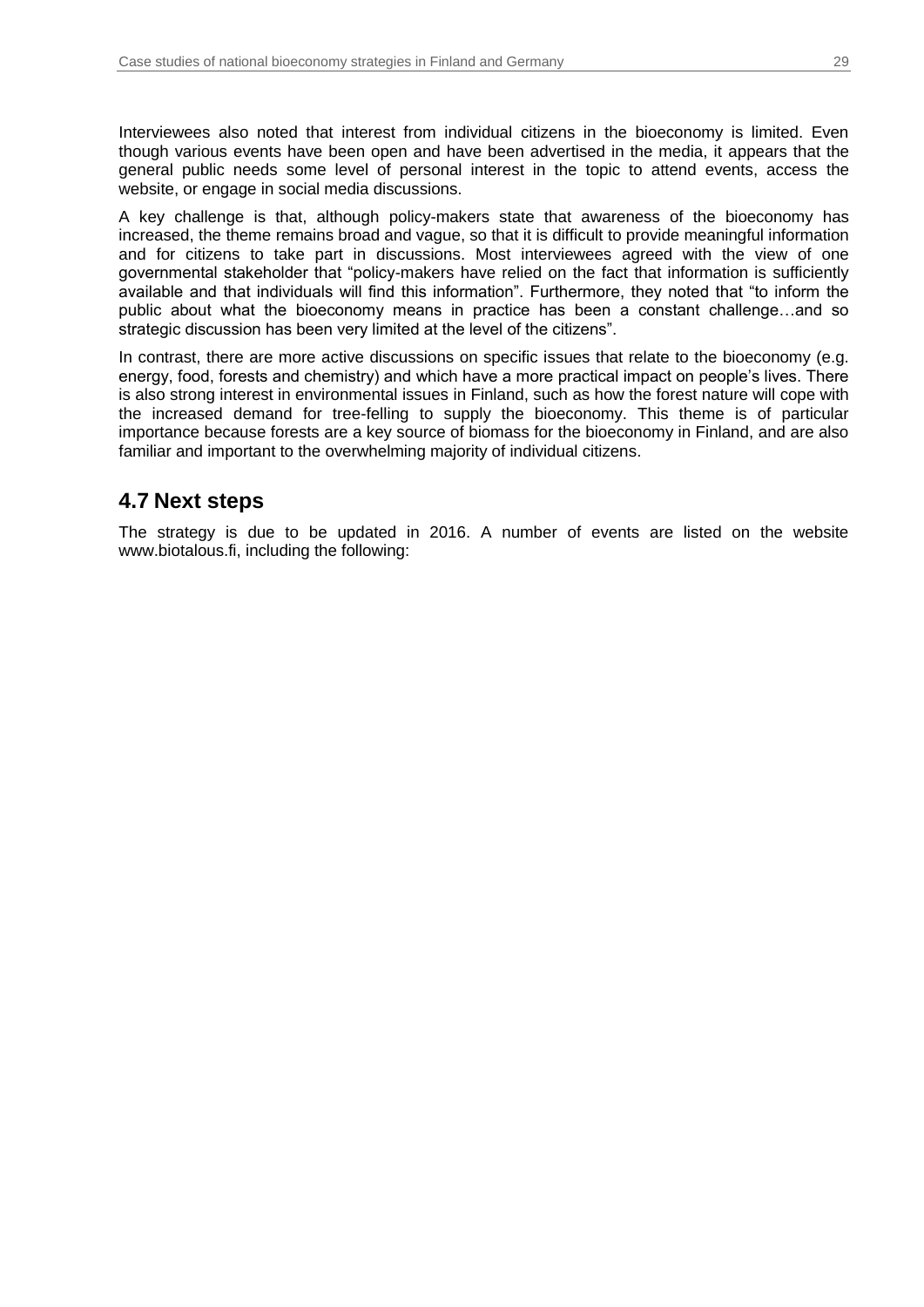Interviewees also noted that interest from individual citizens in the bioeconomy is limited. Even though various events have been open and have been advertised in the media, it appears that the general public needs some level of personal interest in the topic to attend events, access the website, or engage in social media discussions.

A key challenge is that, although policy-makers state that awareness of the bioeconomy has increased, the theme remains broad and vague, so that it is difficult to provide meaningful information and for citizens to take part in discussions. Most interviewees agreed with the view of one governmental stakeholder that "policy-makers have relied on the fact that information is sufficiently available and that individuals will find this information". Furthermore, they noted that "to inform the public about what the bioeconomy means in practice has been a constant challenge…and so strategic discussion has been very limited at the level of the citizens".

In contrast, there are more active discussions on specific issues that relate to the bioeconomy (e.g. energy, food, forests and chemistry) and which have a more practical impact on people's lives. There is also strong interest in environmental issues in Finland, such as how the forest nature will cope with the increased demand for tree-felling to supply the bioeconomy. This theme is of particular importance because forests are a key source of biomass for the bioeconomy in Finland, and are also familiar and important to the overwhelming majority of individual citizens.

## <span id="page-28-0"></span>**4.7 Next steps**

The strategy is due to be updated in 2016. A number of events are listed on the website www.biotalous.fi, including the following: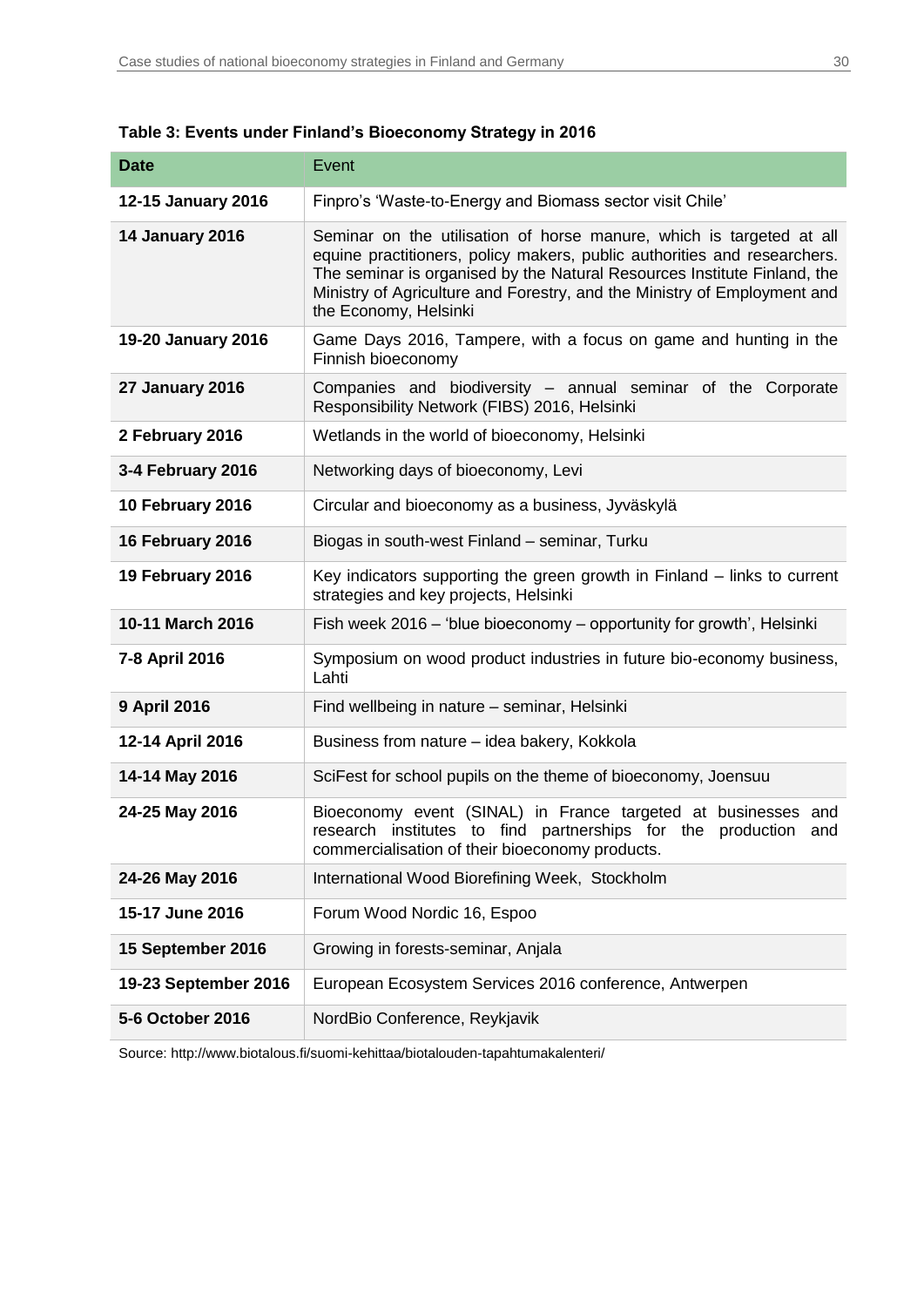| <b>Date</b>            | Event                                                                                                                                                                                                                                                                                                                             |  |
|------------------------|-----------------------------------------------------------------------------------------------------------------------------------------------------------------------------------------------------------------------------------------------------------------------------------------------------------------------------------|--|
| 12-15 January 2016     | Finpro's 'Waste-to-Energy and Biomass sector visit Chile'                                                                                                                                                                                                                                                                         |  |
| <b>14 January 2016</b> | Seminar on the utilisation of horse manure, which is targeted at all<br>equine practitioners, policy makers, public authorities and researchers.<br>The seminar is organised by the Natural Resources Institute Finland, the<br>Ministry of Agriculture and Forestry, and the Ministry of Employment and<br>the Economy, Helsinki |  |
| 19-20 January 2016     | Game Days 2016, Tampere, with a focus on game and hunting in the<br>Finnish bioeconomy                                                                                                                                                                                                                                            |  |
| <b>27 January 2016</b> | Companies and biodiversity - annual seminar of the Corporate<br>Responsibility Network (FIBS) 2016, Helsinki                                                                                                                                                                                                                      |  |
| 2 February 2016        | Wetlands in the world of bioeconomy, Helsinki                                                                                                                                                                                                                                                                                     |  |
| 3-4 February 2016      | Networking days of bioeconomy, Levi                                                                                                                                                                                                                                                                                               |  |
| 10 February 2016       | Circular and bioeconomy as a business, Jyväskylä                                                                                                                                                                                                                                                                                  |  |
| 16 February 2016       | Biogas in south-west Finland - seminar, Turku                                                                                                                                                                                                                                                                                     |  |
| 19 February 2016       | Key indicators supporting the green growth in Finland – links to current<br>strategies and key projects, Helsinki                                                                                                                                                                                                                 |  |
| 10-11 March 2016       | Fish week 2016 – 'blue bioeconomy – opportunity for growth', Helsinki                                                                                                                                                                                                                                                             |  |
| 7-8 April 2016         | Symposium on wood product industries in future bio-economy business,<br>Lahti                                                                                                                                                                                                                                                     |  |
| 9 April 2016           | Find wellbeing in nature - seminar, Helsinki                                                                                                                                                                                                                                                                                      |  |
| 12-14 April 2016       | Business from nature - idea bakery, Kokkola                                                                                                                                                                                                                                                                                       |  |
| 14-14 May 2016         | SciFest for school pupils on the theme of bioeconomy, Joensuu                                                                                                                                                                                                                                                                     |  |
| 24-25 May 2016         | Bioeconomy event (SINAL) in France targeted at businesses and<br>research institutes to find partnerships for the production<br>and<br>commercialisation of their bioeconomy products.                                                                                                                                            |  |
| 24-26 May 2016         | International Wood Biorefining Week, Stockholm                                                                                                                                                                                                                                                                                    |  |
| 15-17 June 2016        | Forum Wood Nordic 16, Espoo                                                                                                                                                                                                                                                                                                       |  |
| 15 September 2016      | Growing in forests-seminar, Anjala                                                                                                                                                                                                                                                                                                |  |
| 19-23 September 2016   | European Ecosystem Services 2016 conference, Antwerpen                                                                                                                                                                                                                                                                            |  |
| 5-6 October 2016       | NordBio Conference, Reykjavik                                                                                                                                                                                                                                                                                                     |  |

### <span id="page-29-0"></span>**Table 3: Events under Finland's Bioeconomy Strategy in 2016**

Source: http://www.biotalous.fi/suomi-kehittaa/biotalouden-tapahtumakalenteri/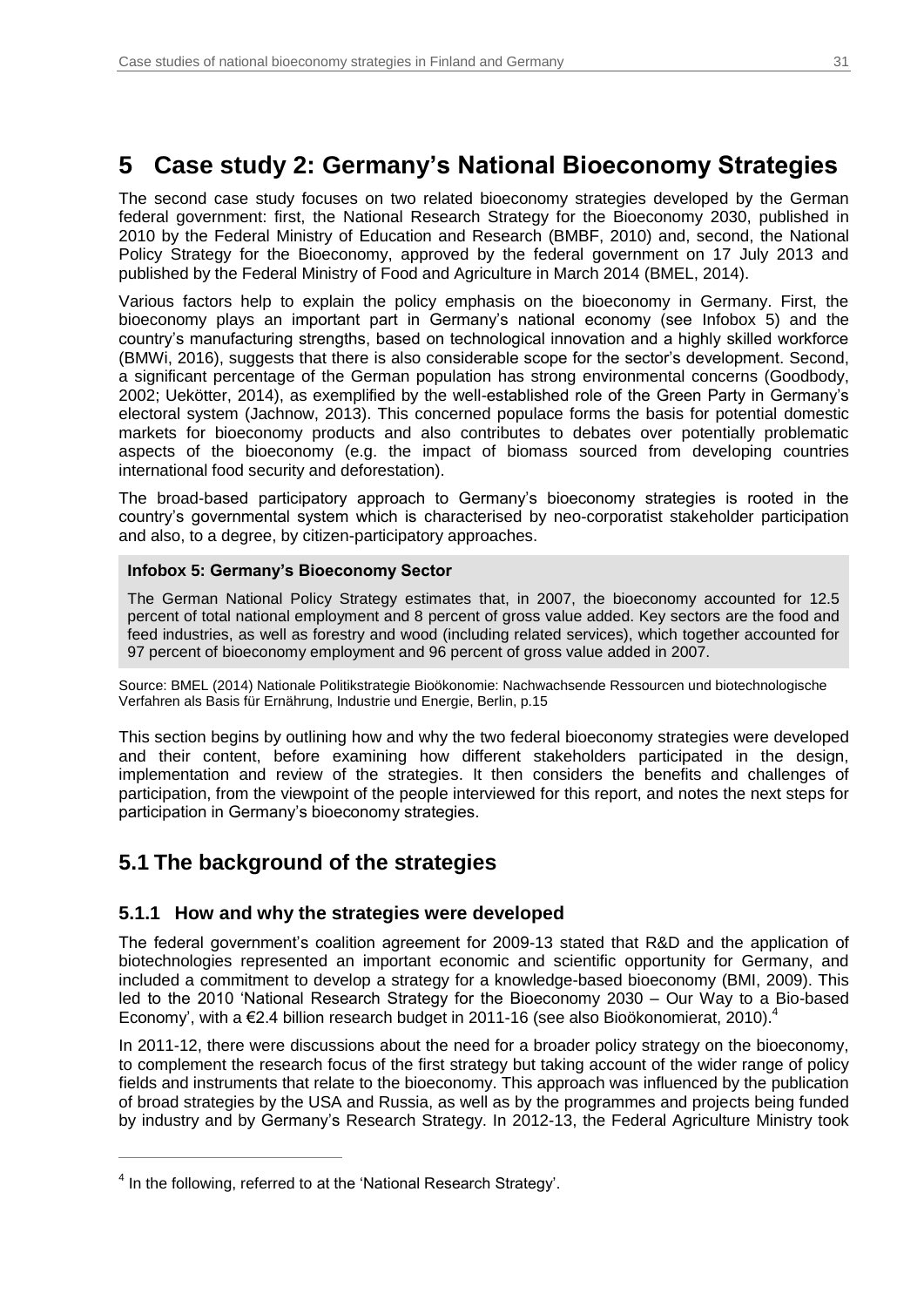## <span id="page-30-0"></span>**5 Case study 2: Germany's National Bioeconomy Strategies**

The second case study focuses on two related bioeconomy strategies developed by the German federal government: first, the National Research Strategy for the Bioeconomy 2030, published in 2010 by the Federal Ministry of Education and Research (BMBF, 2010) and, second, the National Policy Strategy for the Bioeconomy, approved by the federal government on 17 July 2013 and published by the Federal Ministry of Food and Agriculture in March 2014 (BMEL, 2014).

Various factors help to explain the policy emphasis on the bioeconomy in Germany. First, the bioeconomy plays an important part in Germany's national economy (see [Infobox](#page-30-2) 5) and the country's manufacturing strengths, based on technological innovation and a highly skilled workforce (BMWi, 2016), suggests that there is also considerable scope for the sector's development. Second, a significant percentage of the German population has strong environmental concerns (Goodbody, 2002; Uekötter, 2014), as exemplified by the well-established role of the Green Party in Germany's electoral system (Jachnow, 2013). This concerned populace forms the basis for potential domestic markets for bioeconomy products and also contributes to debates over potentially problematic aspects of the bioeconomy (e.g. the impact of biomass sourced from developing countries international food security and deforestation).

The broad-based participatory approach to Germany's bioeconomy strategies is rooted in the country's governmental system which is characterised by neo-corporatist stakeholder participation and also, to a degree, by citizen-participatory approaches.

### <span id="page-30-2"></span>**Infobox 5: Germany's Bioeconomy Sector**

The German National Policy Strategy estimates that, in 2007, the bioeconomy accounted for 12.5 percent of total national employment and 8 percent of gross value added. Key sectors are the food and feed industries, as well as forestry and wood (including related services), which together accounted for 97 percent of bioeconomy employment and 96 percent of gross value added in 2007.

Source: BMEL (2014) Nationale Politikstrategie Bioökonomie: Nachwachsende Ressourcen und biotechnologische Verfahren als Basis für Ernährung, Industrie und Energie, Berlin, p.15

This section begins by outlining how and why the two federal bioeconomy strategies were developed and their content, before examining how different stakeholders participated in the design, implementation and review of the strategies. It then considers the benefits and challenges of participation, from the viewpoint of the people interviewed for this report, and notes the next steps for participation in Germany's bioeconomy strategies.

## <span id="page-30-1"></span>**5.1 The background of the strategies**

### **5.1.1 How and why the strategies were developed**

The federal government's coalition agreement for 2009-13 stated that R&D and the application of biotechnologies represented an important economic and scientific opportunity for Germany, and included a commitment to develop a strategy for a knowledge-based bioeconomy (BMI, 2009). This led to the 2010 'National Research Strategy for the Bioeconomy 2030 – Our Way to a Bio-based Economy', with a  $E$ 2.4 billion research budget in 2011-16 (see also Bioökonomierat, 2010).<sup>4</sup>

In 2011-12, there were discussions about the need for a broader policy strategy on the bioeconomy, to complement the research focus of the first strategy but taking account of the wider range of policy fields and instruments that relate to the bioeconomy. This approach was influenced by the publication of broad strategies by the USA and Russia, as well as by the programmes and projects being funded by industry and by Germany's Research Strategy. In 2012-13, the Federal Agriculture Ministry took

 $\overline{a}$ 

 $<sup>4</sup>$  In the following, referred to at the 'National Research Strategy'.</sup>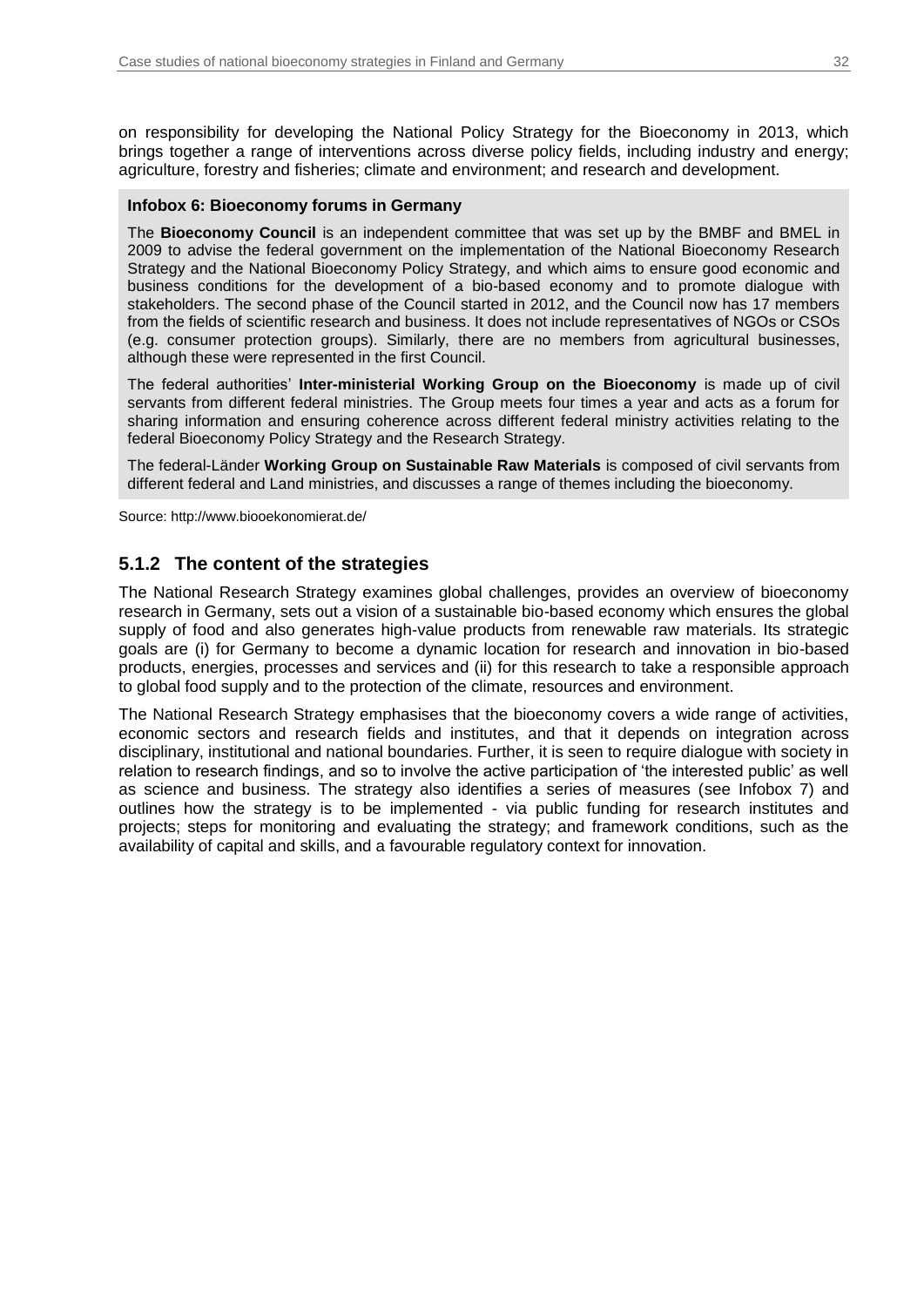on responsibility for developing the National Policy Strategy for the Bioeconomy in 2013, which brings together a range of interventions across diverse policy fields, including industry and energy; agriculture, forestry and fisheries; climate and environment; and research and development.

#### <span id="page-31-0"></span>**Infobox 6: Bioeconomy forums in Germany**

The **Bioeconomy Council** is an independent committee that was set up by the BMBF and BMEL in 2009 to advise the federal government on the implementation of the National Bioeconomy Research Strategy and the National Bioeconomy Policy Strategy, and which aims to ensure good economic and business conditions for the development of a bio-based economy and to promote dialogue with stakeholders. The second phase of the Council started in 2012, and the Council now has 17 members from the fields of scientific research and business. It does not include representatives of NGOs or CSOs (e.g. consumer protection groups). Similarly, there are no members from agricultural businesses, although these were represented in the first Council.

The federal authorities' **Inter-ministerial Working Group on the Bioeconomy** is made up of civil servants from different federal ministries. The Group meets four times a year and acts as a forum for sharing information and ensuring coherence across different federal ministry activities relating to the federal Bioeconomy Policy Strategy and the Research Strategy.

The federal-Länder **Working Group on Sustainable Raw Materials** is composed of civil servants from different federal and Land ministries, and discusses a range of themes including the bioeconomy.

Source: http://www.biooekonomierat.de/

### **5.1.2 The content of the strategies**

The National Research Strategy examines global challenges, provides an overview of bioeconomy research in Germany, sets out a vision of a sustainable bio-based economy which ensures the global supply of food and also generates high-value products from renewable raw materials. Its strategic goals are (i) for Germany to become a dynamic location for research and innovation in bio-based products, energies, processes and services and (ii) for this research to take a responsible approach to global food supply and to the protection of the climate, resources and environment.

The National Research Strategy emphasises that the bioeconomy covers a wide range of activities, economic sectors and research fields and institutes, and that it depends on integration across disciplinary, institutional and national boundaries. Further, it is seen to require dialogue with society in relation to research findings, and so to involve the active participation of 'the interested public' as well as science and business. The strategy also identifies a series of measures (see [Infobox 7\)](#page-32-0) and outlines how the strategy is to be implemented - via public funding for research institutes and projects; steps for monitoring and evaluating the strategy; and framework conditions, such as the availability of capital and skills, and a favourable regulatory context for innovation.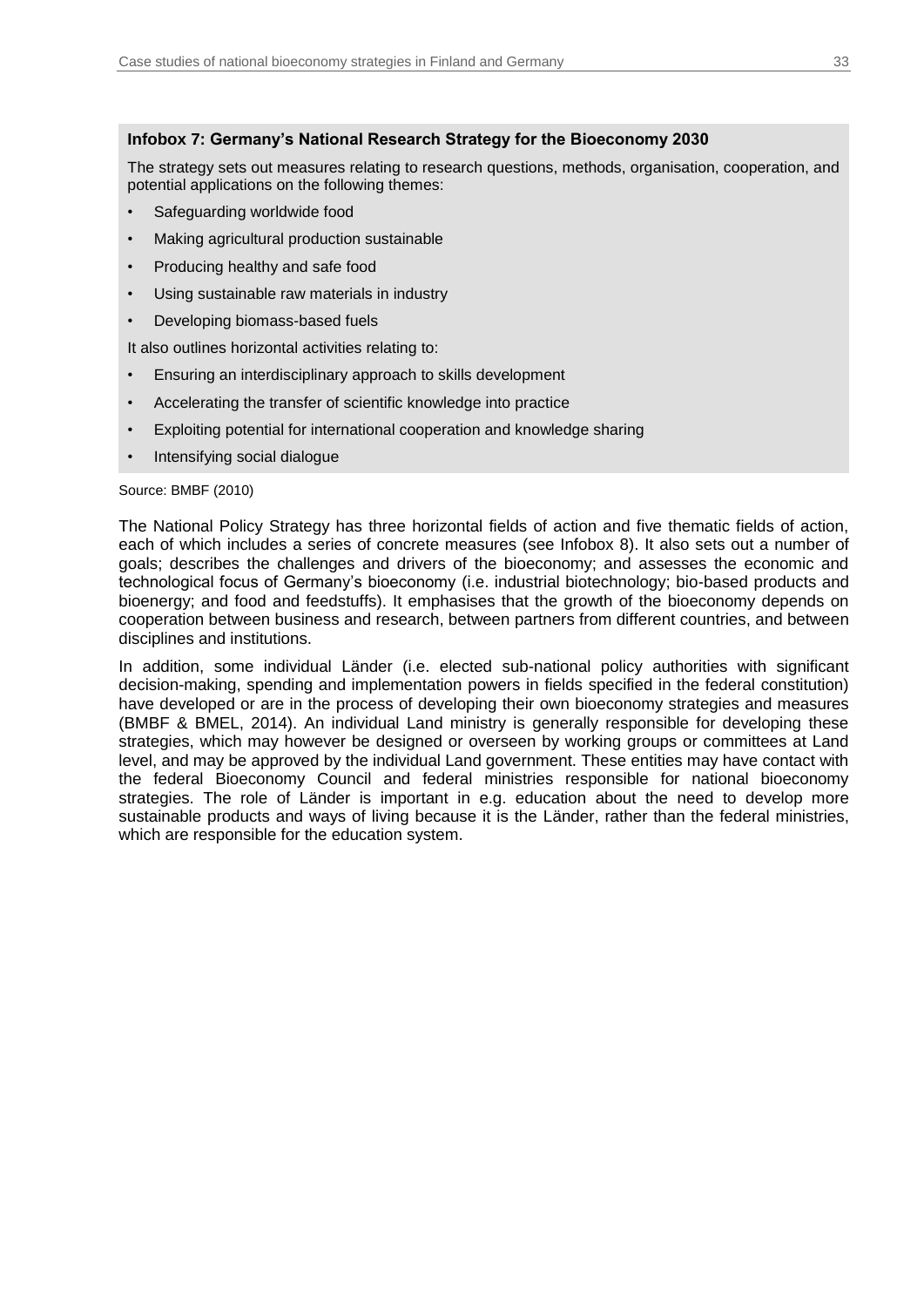### <span id="page-32-0"></span>**Infobox 7: Germany's National Research Strategy for the Bioeconomy 2030**

The strategy sets out measures relating to research questions, methods, organisation, cooperation, and potential applications on the following themes:

- Safeguarding worldwide food
- Making agricultural production sustainable
- Producing healthy and safe food
- Using sustainable raw materials in industry
- Developing biomass-based fuels

It also outlines horizontal activities relating to:

- Ensuring an interdisciplinary approach to skills development
- Accelerating the transfer of scientific knowledge into practice
- Exploiting potential for international cooperation and knowledge sharing
- Intensifying social dialogue

#### Source: BMBF (2010)

The National Policy Strategy has three horizontal fields of action and five thematic fields of action, each of which includes a series of concrete measures (see [Infobox 8\)](#page-33-0). It also sets out a number of goals; describes the challenges and drivers of the bioeconomy; and assesses the economic and technological focus of Germany's bioeconomy (i.e. industrial biotechnology; bio-based products and bioenergy; and food and feedstuffs). It emphasises that the growth of the bioeconomy depends on cooperation between business and research, between partners from different countries, and between disciplines and institutions.

In addition, some individual Länder (i.e. elected sub-national policy authorities with significant decision-making, spending and implementation powers in fields specified in the federal constitution) have developed or are in the process of developing their own bioeconomy strategies and measures (BMBF & BMEL, 2014). An individual Land ministry is generally responsible for developing these strategies, which may however be designed or overseen by working groups or committees at Land level, and may be approved by the individual Land government. These entities may have contact with the federal Bioeconomy Council and federal ministries responsible for national bioeconomy strategies. The role of Länder is important in e.g. education about the need to develop more sustainable products and ways of living because it is the Länder, rather than the federal ministries, which are responsible for the education system.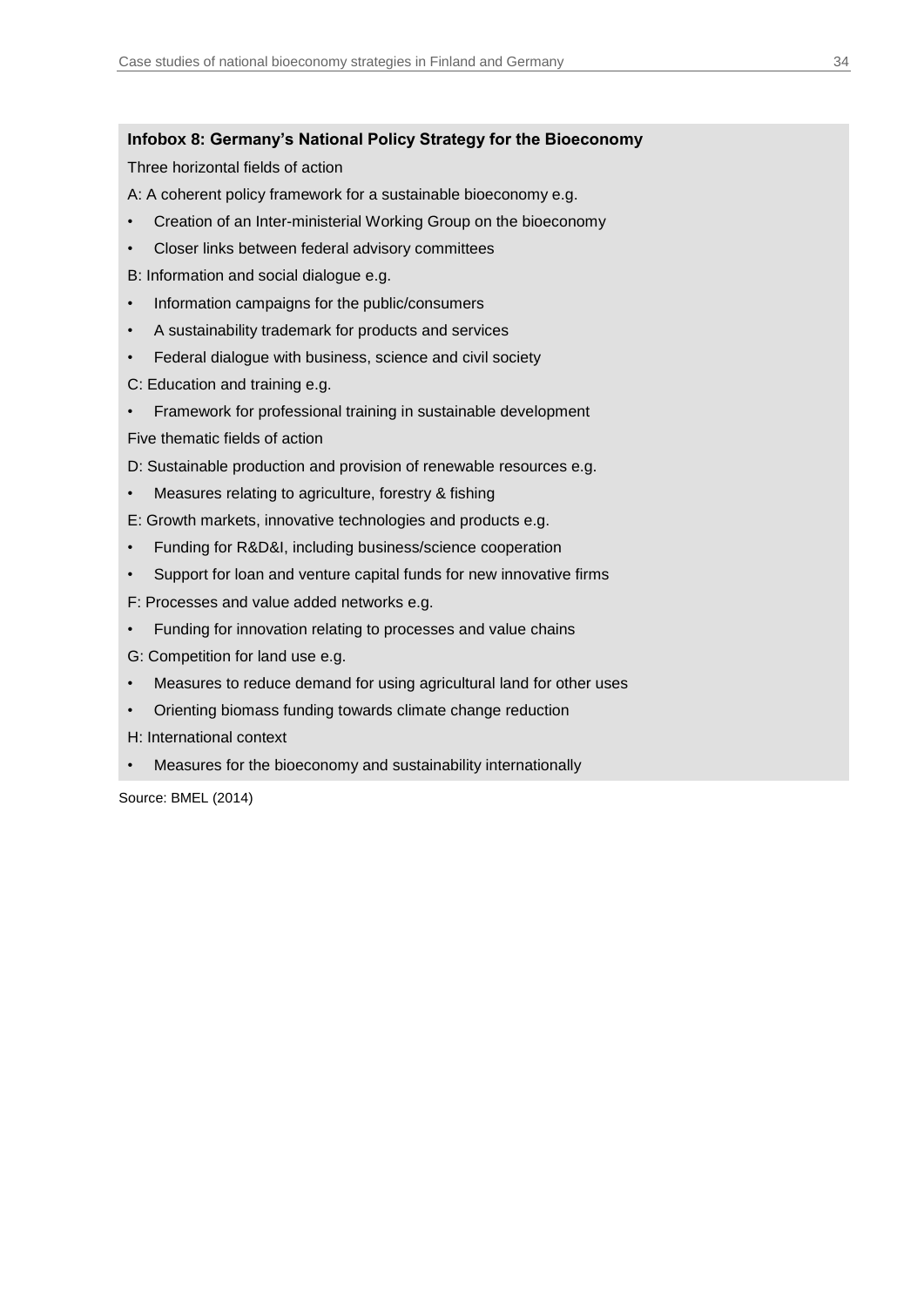### <span id="page-33-0"></span>**Infobox 8: Germany's National Policy Strategy for the Bioeconomy**

Three horizontal fields of action

A: A coherent policy framework for a sustainable bioeconomy e.g.

- Creation of an Inter-ministerial Working Group on the bioeconomy
- Closer links between federal advisory committees

B: Information and social dialogue e.g.

- Information campaigns for the public/consumers
- A sustainability trademark for products and services
- Federal dialogue with business, science and civil society
- C: Education and training e.g.
- Framework for professional training in sustainable development

Five thematic fields of action

D: Sustainable production and provision of renewable resources e.g.

Measures relating to agriculture, forestry & fishing

E: Growth markets, innovative technologies and products e.g.

- Funding for R&D&I, including business/science cooperation
- Support for loan and venture capital funds for new innovative firms

F: Processes and value added networks e.g.

• Funding for innovation relating to processes and value chains

G: Competition for land use e.g.

- Measures to reduce demand for using agricultural land for other uses
- Orienting biomass funding towards climate change reduction

H: International context

• Measures for the bioeconomy and sustainability internationally

Source: BMEL (2014)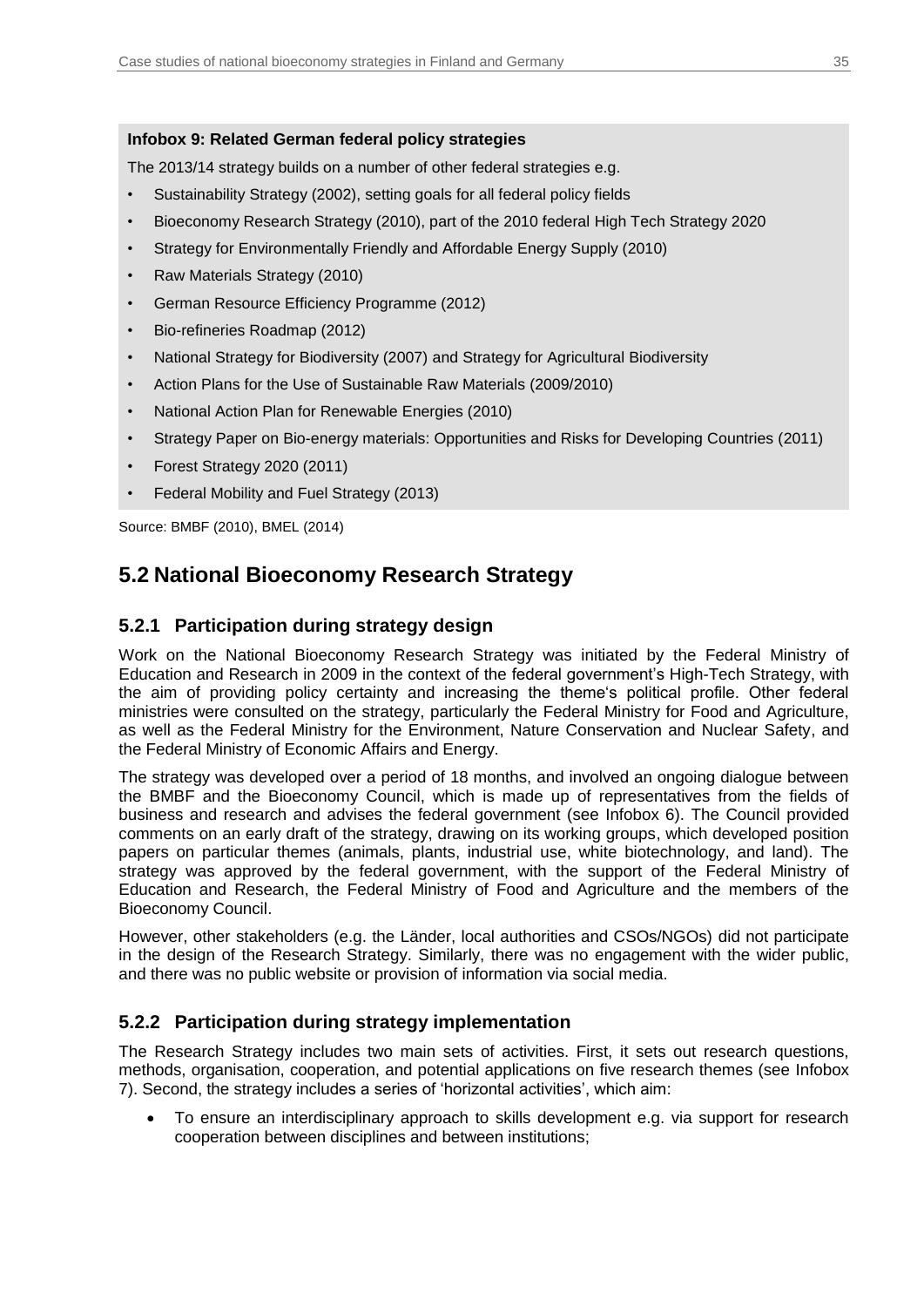### <span id="page-34-1"></span>**Infobox 9: Related German federal policy strategies**

The 2013/14 strategy builds on a number of other federal strategies e.g.

- Sustainability Strategy (2002), setting goals for all federal policy fields
- Bioeconomy Research Strategy (2010), part of the 2010 federal High Tech Strategy 2020
- Strategy for Environmentally Friendly and Affordable Energy Supply (2010)
- Raw Materials Strategy (2010)
- German Resource Efficiency Programme (2012)
- Bio-refineries Roadmap (2012)
- National Strategy for Biodiversity (2007) and Strategy for Agricultural Biodiversity
- Action Plans for the Use of Sustainable Raw Materials (2009/2010)
- National Action Plan for Renewable Energies (2010)
- Strategy Paper on Bio-energy materials: Opportunities and Risks for Developing Countries (2011)
- Forest Strategy 2020 (2011)
- Federal Mobility and Fuel Strategy (2013)

Source: BMBF (2010), BMEL (2014)

## <span id="page-34-0"></span>**5.2 National Bioeconomy Research Strategy**

### **5.2.1 Participation during strategy design**

Work on the National Bioeconomy Research Strategy was initiated by the Federal Ministry of Education and Research in 2009 in the context of the federal government's High-Tech Strategy, with the aim of providing policy certainty and increasing the theme's political profile. Other federal ministries were consulted on the strategy, particularly the Federal Ministry for Food and Agriculture, as well as the Federal Ministry for the Environment, Nature Conservation and Nuclear Safety, and the Federal Ministry of Economic Affairs and Energy.

The strategy was developed over a period of 18 months, and involved an ongoing dialogue between the BMBF and the Bioeconomy Council, which is made up of representatives from the fields of business and research and advises the federal government (see [Infobox 6\)](#page-31-0). The Council provided comments on an early draft of the strategy, drawing on its working groups, which developed position papers on particular themes (animals, plants, industrial use, white biotechnology, and land). The strategy was approved by the federal government, with the support of the Federal Ministry of Education and Research, the Federal Ministry of Food and Agriculture and the members of the Bioeconomy Council.

However, other stakeholders (e.g. the Länder, local authorities and CSOs/NGOs) did not participate in the design of the Research Strategy. Similarly, there was no engagement with the wider public, and there was no public website or provision of information via social media.

### **5.2.2 Participation during strategy implementation**

The Research Strategy includes two main sets of activities. First, it sets out research questions, methods, organisation, cooperation, and potential applications on five research themes (see [Infobox](#page-32-0)  [7\)](#page-32-0). Second, the strategy includes a series of 'horizontal activities', which aim:

 To ensure an interdisciplinary approach to skills development e.g. via support for research cooperation between disciplines and between institutions;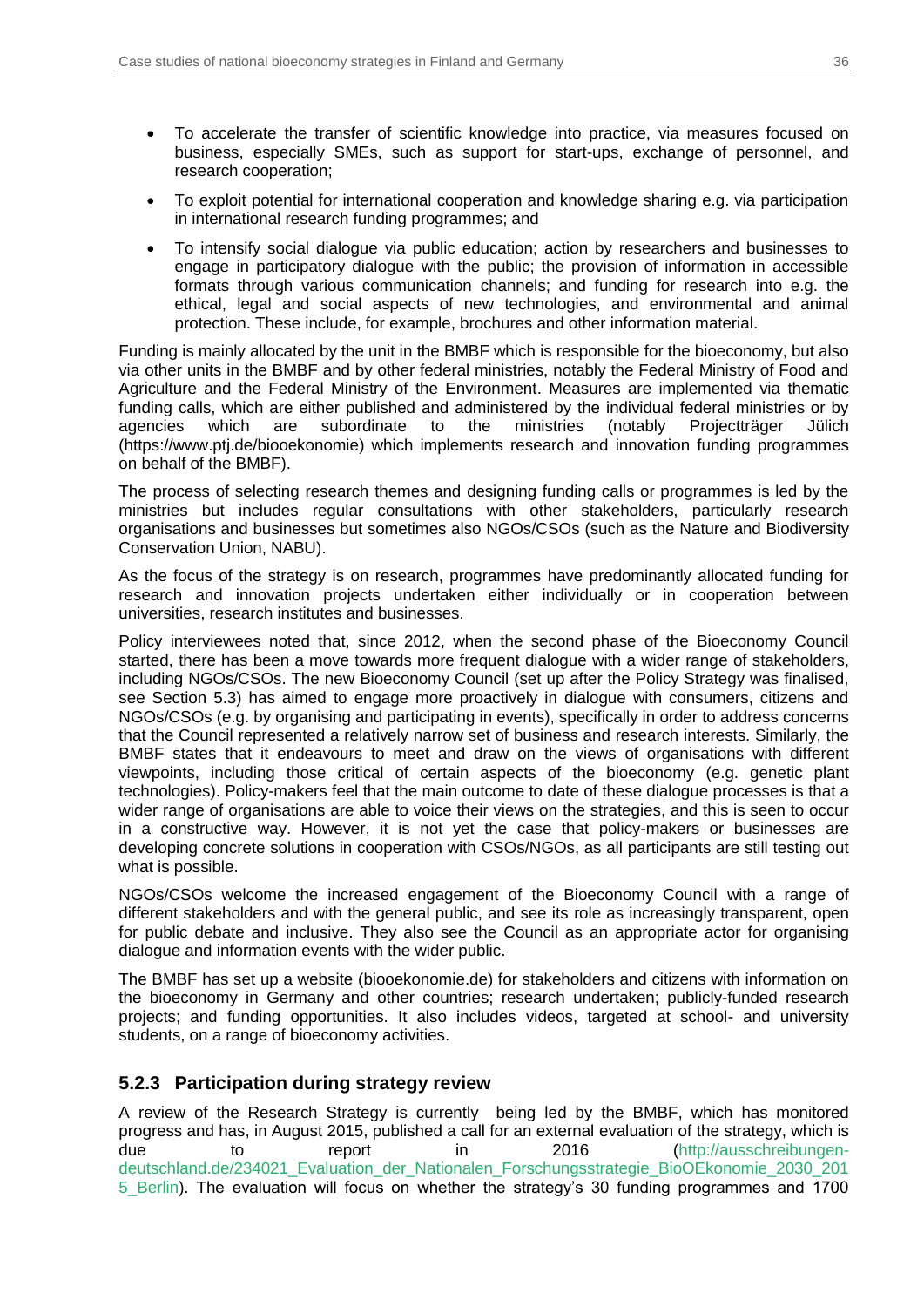- To accelerate the transfer of scientific knowledge into practice, via measures focused on business, especially SMEs, such as support for start-ups, exchange of personnel, and research cooperation;
- To exploit potential for international cooperation and knowledge sharing e.g. via participation in international research funding programmes; and
- To intensify social dialogue via public education; action by researchers and businesses to engage in participatory dialogue with the public; the provision of information in accessible formats through various communication channels; and funding for research into e.g. the ethical, legal and social aspects of new technologies, and environmental and animal protection. These include, for example, brochures and other information material.

Funding is mainly allocated by the unit in the BMBF which is responsible for the bioeconomy, but also via other units in the BMBF and by other federal ministries, notably the Federal Ministry of Food and Agriculture and the Federal Ministry of the Environment. Measures are implemented via thematic funding calls, which are either published and administered by the individual federal ministries or by agencies which are subordinate to the ministries (notably Projectträger Jülich (https://www.ptj.de/biooekonomie) which implements research and innovation funding programmes on behalf of the BMBF).

The process of selecting research themes and designing funding calls or programmes is led by the ministries but includes regular consultations with other stakeholders, particularly research organisations and businesses but sometimes also NGOs/CSOs (such as the Nature and Biodiversity Conservation Union, NABU).

As the focus of the strategy is on research, programmes have predominantly allocated funding for research and innovation projects undertaken either individually or in cooperation between universities, research institutes and businesses.

Policy interviewees noted that, since 2012, when the second phase of the Bioeconomy Council started, there has been a move towards more frequent dialogue with a wider range of stakeholders, including NGOs/CSOs. The new Bioeconomy Council (set up after the Policy Strategy was finalised, see Section 5.3) has aimed to engage more proactively in dialogue with consumers, citizens and NGOs/CSOs (e.g. by organising and participating in events), specifically in order to address concerns that the Council represented a relatively narrow set of business and research interests. Similarly, the BMBF states that it endeavours to meet and draw on the views of organisations with different viewpoints, including those critical of certain aspects of the bioeconomy (e.g. genetic plant technologies). Policy-makers feel that the main outcome to date of these dialogue processes is that a wider range of organisations are able to voice their views on the strategies, and this is seen to occur in a constructive way. However, it is not yet the case that policy-makers or businesses are developing concrete solutions in cooperation with CSOs/NGOs, as all participants are still testing out what is possible.

NGOs/CSOs welcome the increased engagement of the Bioeconomy Council with a range of different stakeholders and with the general public, and see its role as increasingly transparent, open for public debate and inclusive. They also see the Council as an appropriate actor for organising dialogue and information events with the wider public.

The BMBF has set up a website (biooekonomie.de) for stakeholders and citizens with information on the bioeconomy in Germany and other countries; research undertaken; publicly-funded research projects; and funding opportunities. It also includes videos, targeted at school- and university students, on a range of bioeconomy activities.

### **5.2.3 Participation during strategy review**

A review of the Research Strategy is currently being led by the BMBF, which has monitored progress and has, in August 2015, published a call for an external evaluation of the strategy, which is due to report in 2016 [\(http://ausschreibungen](https://ausschreibungen-deutschland.de/234021_Evaluation_der_Nationalen_Forschungsstrategie_BioOEkonomie_2030_2015_Berlin)[deutschland.de/234021\\_Evaluation\\_der\\_Nationalen\\_Forschungsstrategie\\_BioOEkonomie\\_2030\\_201](https://ausschreibungen-deutschland.de/234021_Evaluation_der_Nationalen_Forschungsstrategie_BioOEkonomie_2030_2015_Berlin) [5\\_Berlin\)](https://ausschreibungen-deutschland.de/234021_Evaluation_der_Nationalen_Forschungsstrategie_BioOEkonomie_2030_2015_Berlin). The evaluation will focus on whether the strategy's 30 funding programmes and 1700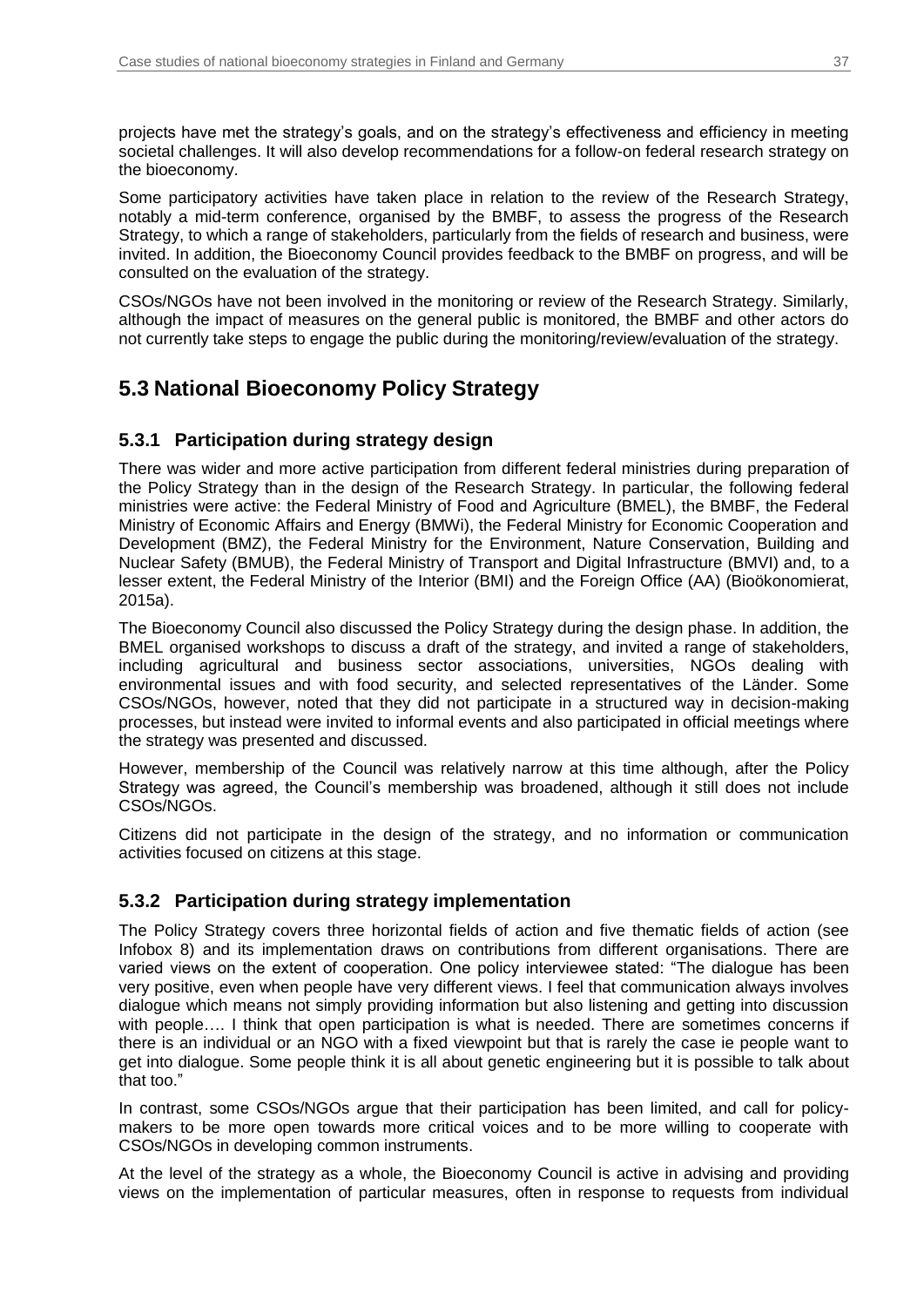projects have met the strategy's goals, and on the strategy's effectiveness and efficiency in meeting societal challenges. It will also develop recommendations for a follow-on federal research strategy on the bioeconomy.

Some participatory activities have taken place in relation to the review of the Research Strategy, notably a mid-term conference, organised by the BMBF, to assess the progress of the Research Strategy, to which a range of stakeholders, particularly from the fields of research and business, were invited. In addition, the Bioeconomy Council provides feedback to the BMBF on progress, and will be consulted on the evaluation of the strategy.

CSOs/NGOs have not been involved in the monitoring or review of the Research Strategy. Similarly, although the impact of measures on the general public is monitored, the BMBF and other actors do not currently take steps to engage the public during the monitoring/review/evaluation of the strategy.

## <span id="page-36-0"></span>**5.3 National Bioeconomy Policy Strategy**

### **5.3.1 Participation during strategy design**

There was wider and more active participation from different federal ministries during preparation of the Policy Strategy than in the design of the Research Strategy. In particular, the following federal ministries were active: the Federal Ministry of Food and Agriculture (BMEL), the BMBF, the Federal Ministry of Economic Affairs and Energy (BMWi), the Federal Ministry for Economic Cooperation and Development (BMZ), the Federal Ministry for the Environment, Nature Conservation, Building and Nuclear Safety (BMUB), the Federal Ministry of Transport and Digital Infrastructure (BMVI) and, to a lesser extent, the Federal Ministry of the Interior (BMI) and the Foreign Office (AA) (Bioökonomierat, 2015a).

The Bioeconomy Council also discussed the Policy Strategy during the design phase. In addition, the BMEL organised workshops to discuss a draft of the strategy, and invited a range of stakeholders, including agricultural and business sector associations, universities, NGOs dealing with environmental issues and with food security, and selected representatives of the Länder. Some CSOs/NGOs, however, noted that they did not participate in a structured way in decision-making processes, but instead were invited to informal events and also participated in official meetings where the strategy was presented and discussed.

However, membership of the Council was relatively narrow at this time although, after the Policy Strategy was agreed, the Council's membership was broadened, although it still does not include CSOs/NGOs.

Citizens did not participate in the design of the strategy, and no information or communication activities focused on citizens at this stage.

### **5.3.2 Participation during strategy implementation**

The Policy Strategy covers three horizontal fields of action and five thematic fields of action (see [Infobox 8\)](#page-33-0) and its implementation draws on contributions from different organisations. There are varied views on the extent of cooperation. One policy interviewee stated: "The dialogue has been very positive, even when people have very different views. I feel that communication always involves dialogue which means not simply providing information but also listening and getting into discussion with people.... I think that open participation is what is needed. There are sometimes concerns if there is an individual or an NGO with a fixed viewpoint but that is rarely the case ie people want to get into dialogue. Some people think it is all about genetic engineering but it is possible to talk about that too."

In contrast, some CSOs/NGOs argue that their participation has been limited, and call for policymakers to be more open towards more critical voices and to be more willing to cooperate with CSOs/NGOs in developing common instruments.

At the level of the strategy as a whole, the Bioeconomy Council is active in advising and providing views on the implementation of particular measures, often in response to requests from individual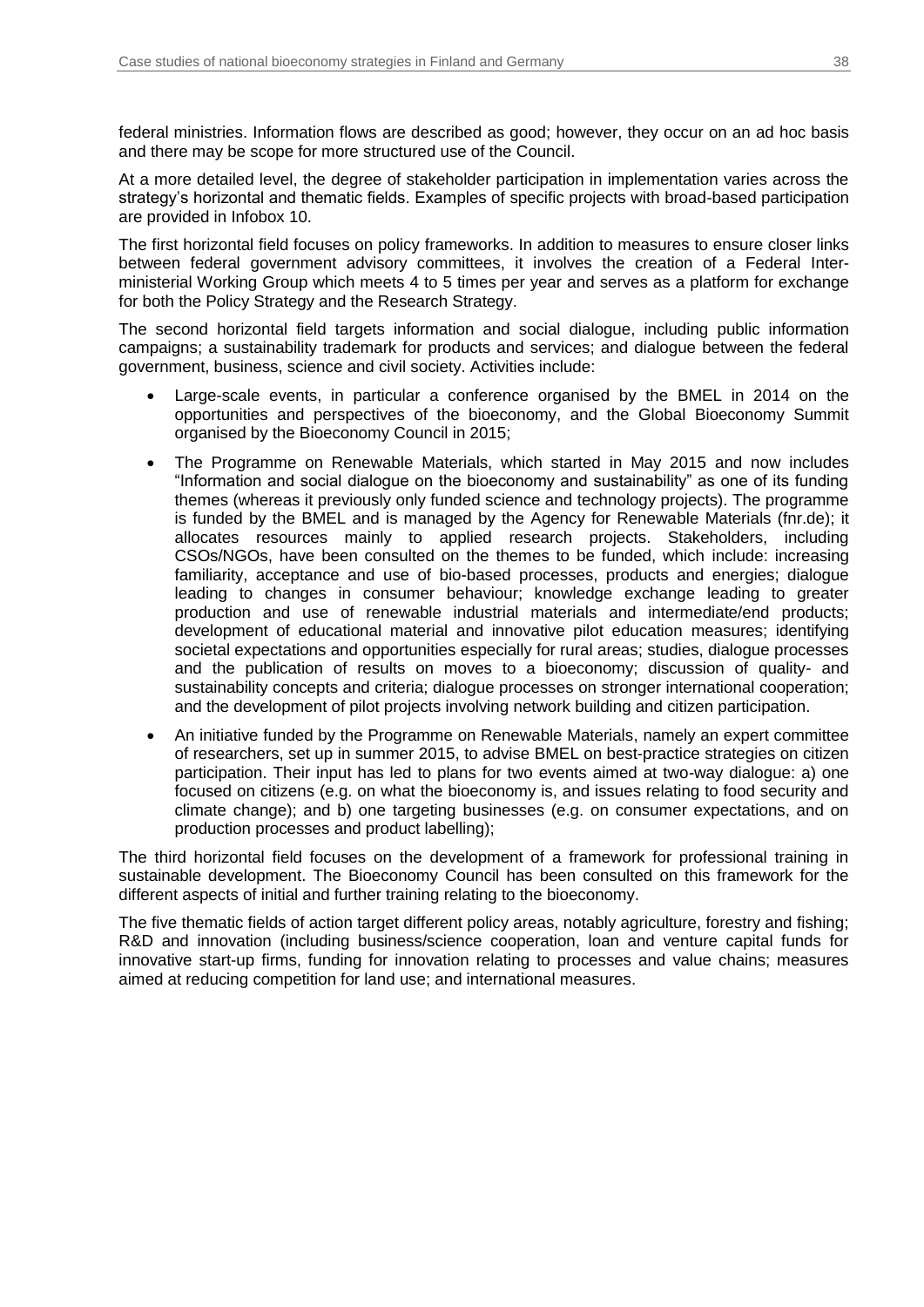federal ministries. Information flows are described as good; however, they occur on an ad hoc basis and there may be scope for more structured use of the Council.

At a more detailed level, the degree of stakeholder participation in implementation varies across the strategy's horizontal and thematic fields. Examples of specific projects with broad-based participation are provided in [Infobox 10.](#page-38-1)

The first horizontal field focuses on policy frameworks. In addition to measures to ensure closer links between federal government advisory committees, it involves the creation of a Federal Interministerial Working Group which meets 4 to 5 times per year and serves as a platform for exchange for both the Policy Strategy and the Research Strategy.

The second horizontal field targets information and social dialogue, including public information campaigns; a sustainability trademark for products and services; and dialogue between the federal government, business, science and civil society. Activities include:

- Large-scale events, in particular a conference organised by the BMEL in 2014 on the opportunities and perspectives of the bioeconomy, and the Global Bioeconomy Summit organised by the Bioeconomy Council in 2015;
- The Programme on Renewable Materials, which started in May 2015 and now includes "Information and social dialogue on the bioeconomy and sustainability" as one of its funding themes (whereas it previously only funded science and technology projects). The programme is funded by the BMEL and is managed by the Agency for Renewable Materials (fnr.de); it allocates resources mainly to applied research projects. Stakeholders, including CSOs/NGOs, have been consulted on the themes to be funded, which include: increasing familiarity, acceptance and use of bio-based processes, products and energies; dialogue leading to changes in consumer behaviour; knowledge exchange leading to greater production and use of renewable industrial materials and intermediate/end products; development of educational material and innovative pilot education measures; identifying societal expectations and opportunities especially for rural areas; studies, dialogue processes and the publication of results on moves to a bioeconomy; discussion of quality- and sustainability concepts and criteria; dialogue processes on stronger international cooperation; and the development of pilot projects involving network building and citizen participation.
- An initiative funded by the Programme on Renewable Materials, namely an expert committee of researchers, set up in summer 2015, to advise BMEL on best-practice strategies on citizen participation. Their input has led to plans for two events aimed at two-way dialogue: a) one focused on citizens (e.g. on what the bioeconomy is, and issues relating to food security and climate change); and b) one targeting businesses (e.g. on consumer expectations, and on production processes and product labelling);

The third horizontal field focuses on the development of a framework for professional training in sustainable development. The Bioeconomy Council has been consulted on this framework for the different aspects of initial and further training relating to the bioeconomy.

The five thematic fields of action target different policy areas, notably agriculture, forestry and fishing; R&D and innovation (including business/science cooperation, loan and venture capital funds for innovative start-up firms, funding for innovation relating to processes and value chains; measures aimed at reducing competition for land use; and international measures.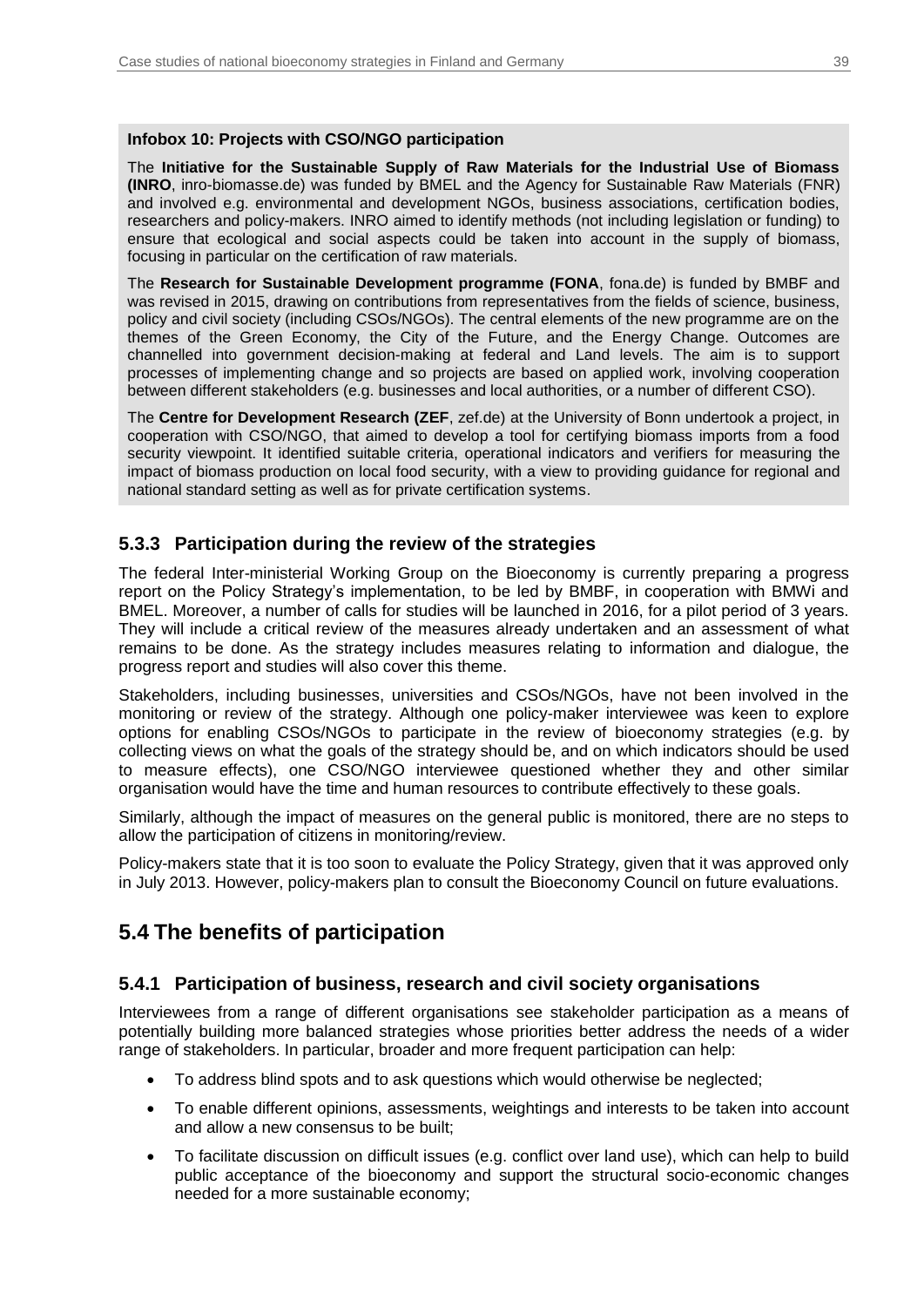#### <span id="page-38-1"></span>**Infobox 10: Projects with CSO/NGO participation**

The **Initiative for the Sustainable Supply of Raw Materials for the Industrial Use of Biomass (INRO**, inro-biomasse.de) was funded by BMEL and the Agency for Sustainable Raw Materials (FNR) and involved e.g. environmental and development NGOs, business associations, certification bodies, researchers and policy-makers. INRO aimed to identify methods (not including legislation or funding) to ensure that ecological and social aspects could be taken into account in the supply of biomass, focusing in particular on the certification of raw materials.

The **Research for Sustainable Development programme (FONA**, fona.de) is funded by BMBF and was revised in 2015, drawing on contributions from representatives from the fields of science, business, policy and civil society (including CSOs/NGOs). The central elements of the new programme are on the themes of the Green Economy, the City of the Future, and the Energy Change. Outcomes are channelled into government decision-making at federal and Land levels. The aim is to support processes of implementing change and so projects are based on applied work, involving cooperation between different stakeholders (e.g. businesses and local authorities, or a number of different CSO).

The **Centre for Development Research (ZEF**, zef.de) at the University of Bonn undertook a project, in cooperation with CSO/NGO, that aimed to develop a tool for certifying biomass imports from a food security viewpoint. It identified suitable criteria, operational indicators and verifiers for measuring the impact of biomass production on local food security, with a view to providing guidance for regional and national standard setting as well as for private certification systems.

### **5.3.3 Participation during the review of the strategies**

The federal Inter-ministerial Working Group on the Bioeconomy is currently preparing a progress report on the Policy Strategy's implementation, to be led by BMBF, in cooperation with BMWi and BMEL. Moreover, a number of calls for studies will be launched in 2016, for a pilot period of 3 years. They will include a critical review of the measures already undertaken and an assessment of what remains to be done. As the strategy includes measures relating to information and dialogue, the progress report and studies will also cover this theme.

Stakeholders, including businesses, universities and CSOs/NGOs, have not been involved in the monitoring or review of the strategy. Although one policy-maker interviewee was keen to explore options for enabling CSOs/NGOs to participate in the review of bioeconomy strategies (e.g. by collecting views on what the goals of the strategy should be, and on which indicators should be used to measure effects), one CSO/NGO interviewee questioned whether they and other similar organisation would have the time and human resources to contribute effectively to these goals.

Similarly, although the impact of measures on the general public is monitored, there are no steps to allow the participation of citizens in monitoring/review.

Policy-makers state that it is too soon to evaluate the Policy Strategy, given that it was approved only in July 2013. However, policy-makers plan to consult the Bioeconomy Council on future evaluations.

## <span id="page-38-0"></span>**5.4 The benefits of participation**

### **5.4.1 Participation of business, research and civil society organisations**

Interviewees from a range of different organisations see stakeholder participation as a means of potentially building more balanced strategies whose priorities better address the needs of a wider range of stakeholders. In particular, broader and more frequent participation can help:

- To address blind spots and to ask questions which would otherwise be neglected;
- To enable different opinions, assessments, weightings and interests to be taken into account and allow a new consensus to be built;
- To facilitate discussion on difficult issues (e.g. conflict over land use), which can help to build public acceptance of the bioeconomy and support the structural socio-economic changes needed for a more sustainable economy;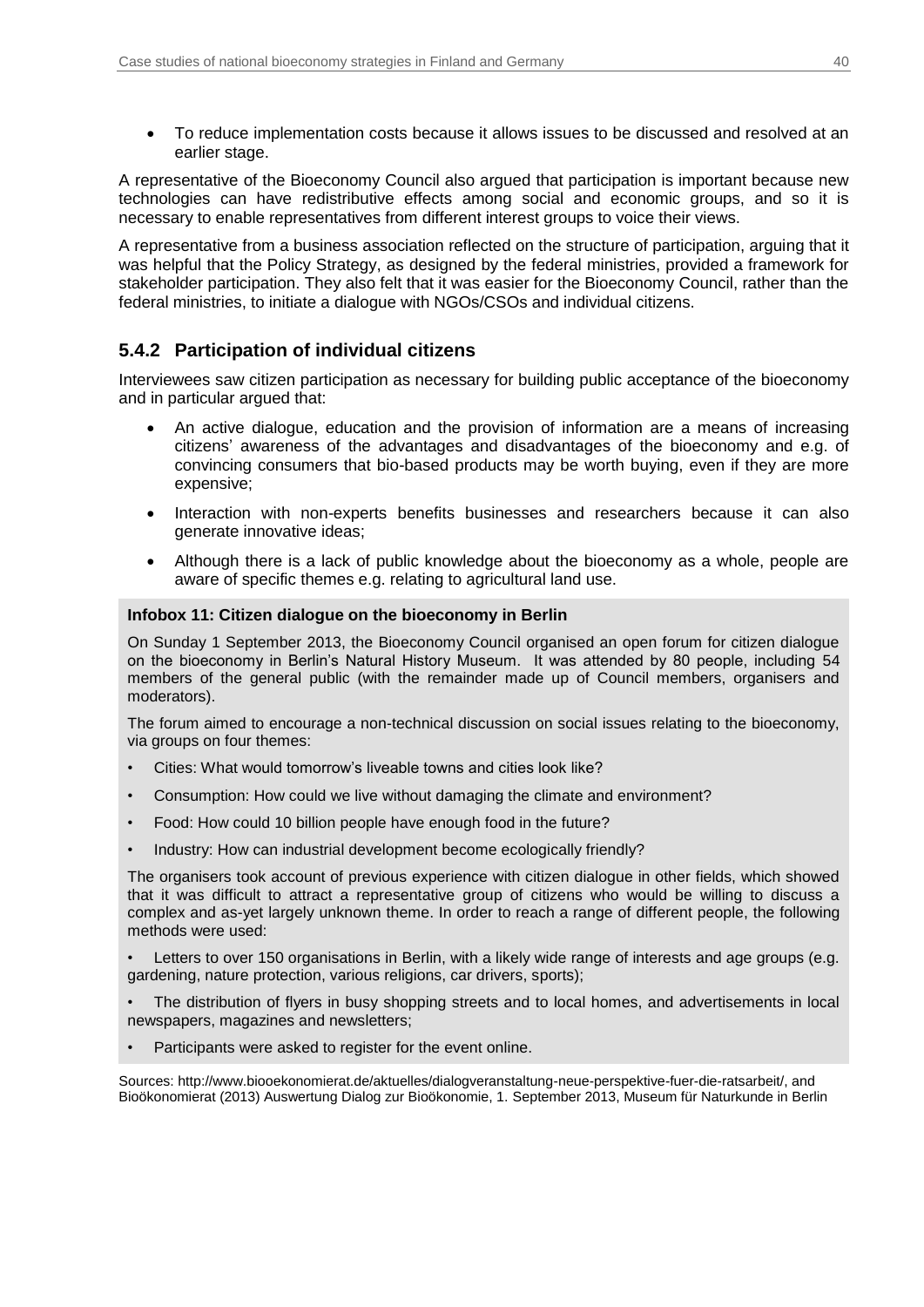To reduce implementation costs because it allows issues to be discussed and resolved at an earlier stage.

A representative of the Bioeconomy Council also argued that participation is important because new technologies can have redistributive effects among social and economic groups, and so it is necessary to enable representatives from different interest groups to voice their views.

A representative from a business association reflected on the structure of participation, arguing that it was helpful that the Policy Strategy, as designed by the federal ministries, provided a framework for stakeholder participation. They also felt that it was easier for the Bioeconomy Council, rather than the federal ministries, to initiate a dialogue with NGOs/CSOs and individual citizens.

### **5.4.2 Participation of individual citizens**

Interviewees saw citizen participation as necessary for building public acceptance of the bioeconomy and in particular argued that:

- An active dialogue, education and the provision of information are a means of increasing citizens' awareness of the advantages and disadvantages of the bioeconomy and e.g. of convincing consumers that bio-based products may be worth buying, even if they are more expensive;
- Interaction with non-experts benefits businesses and researchers because it can also generate innovative ideas;
- Although there is a lack of public knowledge about the bioeconomy as a whole, people are aware of specific themes e.g. relating to agricultural land use.

#### <span id="page-39-0"></span>**Infobox 11: Citizen dialogue on the bioeconomy in Berlin**

On Sunday 1 September 2013, the Bioeconomy Council organised an open forum for citizen dialogue on the bioeconomy in Berlin's Natural History Museum. It was attended by 80 people, including 54 members of the general public (with the remainder made up of Council members, organisers and moderators).

The forum aimed to encourage a non-technical discussion on social issues relating to the bioeconomy, via groups on four themes:

- Cities: What would tomorrow's liveable towns and cities look like?
- Consumption: How could we live without damaging the climate and environment?
- Food: How could 10 billion people have enough food in the future?
- Industry: How can industrial development become ecologically friendly?

The organisers took account of previous experience with citizen dialogue in other fields, which showed that it was difficult to attract a representative group of citizens who would be willing to discuss a complex and as-yet largely unknown theme. In order to reach a range of different people, the following methods were used:

- Letters to over 150 organisations in Berlin, with a likely wide range of interests and age groups (e.g. gardening, nature protection, various religions, car drivers, sports);
- The distribution of flyers in busy shopping streets and to local homes, and advertisements in local newspapers, magazines and newsletters;
- Participants were asked to register for the event online.

Sources[: http://www.biooekonomierat.de/aktuelles/dialogveranstaltung-neue-perspektive-fuer-die-ratsarbeit/,](https://www.biooekonomierat.de/aktuelles/dialogveranstaltung-neue-perspektive-fuer-die-ratsarbeit/) and Bioökonomierat (2013) Auswertung Dialog zur Bioökonomie, 1. September 2013, Museum für Naturkunde in Berlin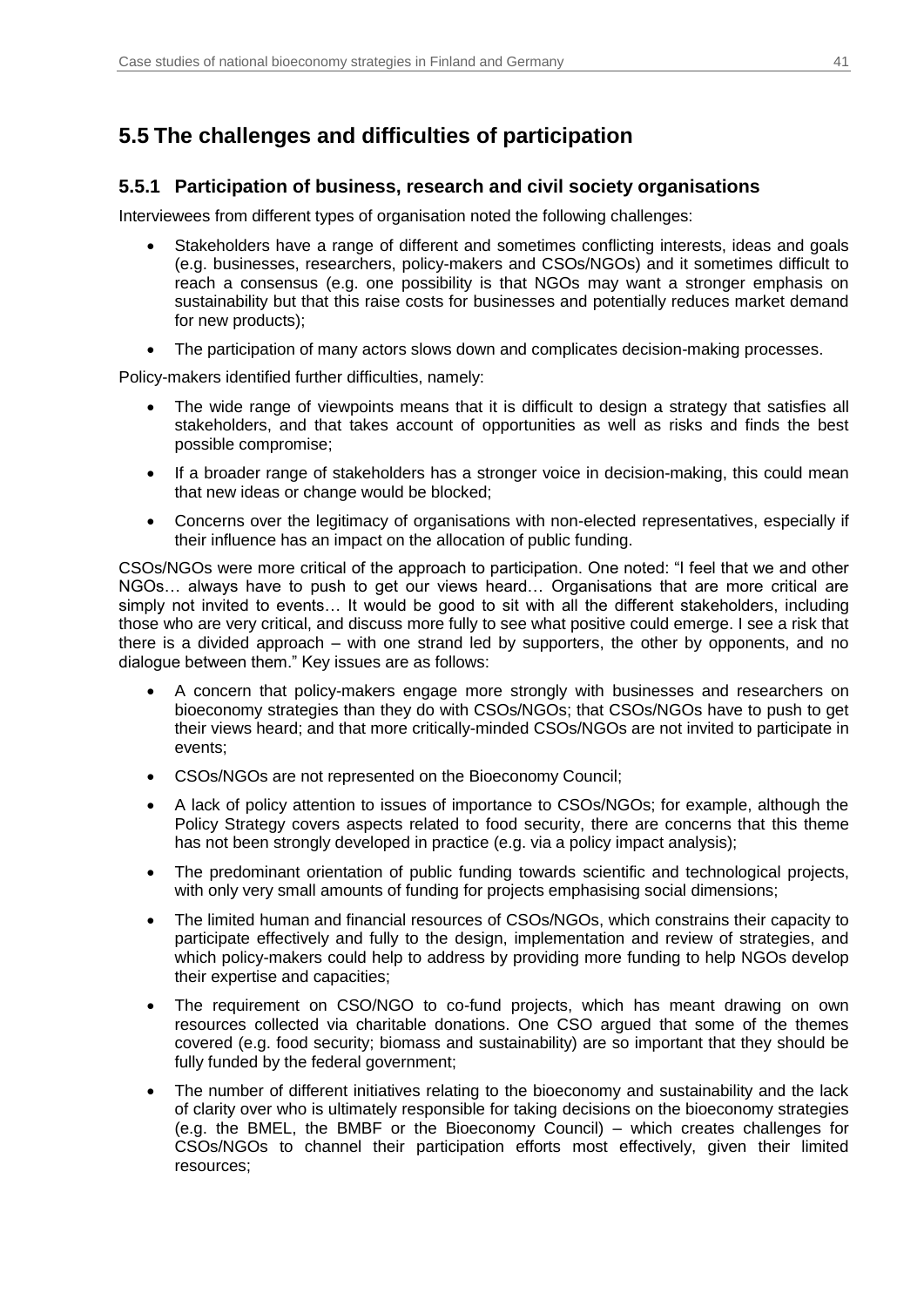## <span id="page-40-0"></span>**5.5 The challenges and difficulties of participation**

### **5.5.1 Participation of business, research and civil society organisations**

Interviewees from different types of organisation noted the following challenges:

- Stakeholders have a range of different and sometimes conflicting interests, ideas and goals (e.g. businesses, researchers, policy-makers and CSOs/NGOs) and it sometimes difficult to reach a consensus (e.g. one possibility is that NGOs may want a stronger emphasis on sustainability but that this raise costs for businesses and potentially reduces market demand for new products);
- The participation of many actors slows down and complicates decision-making processes.

Policy-makers identified further difficulties, namely:

- The wide range of viewpoints means that it is difficult to design a strategy that satisfies all stakeholders, and that takes account of opportunities as well as risks and finds the best possible compromise;
- If a broader range of stakeholders has a stronger voice in decision-making, this could mean that new ideas or change would be blocked;
- Concerns over the legitimacy of organisations with non-elected representatives, especially if their influence has an impact on the allocation of public funding.

CSOs/NGOs were more critical of the approach to participation. One noted: "I feel that we and other NGOs… always have to push to get our views heard… Organisations that are more critical are simply not invited to events... It would be good to sit with all the different stakeholders, including those who are very critical, and discuss more fully to see what positive could emerge. I see a risk that there is a divided approach – with one strand led by supporters, the other by opponents, and no dialogue between them." Key issues are as follows:

- A concern that policy-makers engage more strongly with businesses and researchers on bioeconomy strategies than they do with CSOs/NGOs; that CSOs/NGOs have to push to get their views heard; and that more critically-minded CSOs/NGOs are not invited to participate in events;
- CSOs/NGOs are not represented on the Bioeconomy Council;
- A lack of policy attention to issues of importance to CSOs/NGOs; for example, although the Policy Strategy covers aspects related to food security, there are concerns that this theme has not been strongly developed in practice (e.g. via a policy impact analysis);
- The predominant orientation of public funding towards scientific and technological projects, with only very small amounts of funding for projects emphasising social dimensions;
- The limited human and financial resources of CSOs/NGOs, which constrains their capacity to participate effectively and fully to the design, implementation and review of strategies, and which policy-makers could help to address by providing more funding to help NGOs develop their expertise and capacities;
- The requirement on CSO/NGO to co-fund projects, which has meant drawing on own resources collected via charitable donations. One CSO argued that some of the themes covered (e.g. food security; biomass and sustainability) are so important that they should be fully funded by the federal government;
- The number of different initiatives relating to the bioeconomy and sustainability and the lack of clarity over who is ultimately responsible for taking decisions on the bioeconomy strategies (e.g. the BMEL, the BMBF or the Bioeconomy Council) – which creates challenges for CSOs/NGOs to channel their participation efforts most effectively, given their limited resources;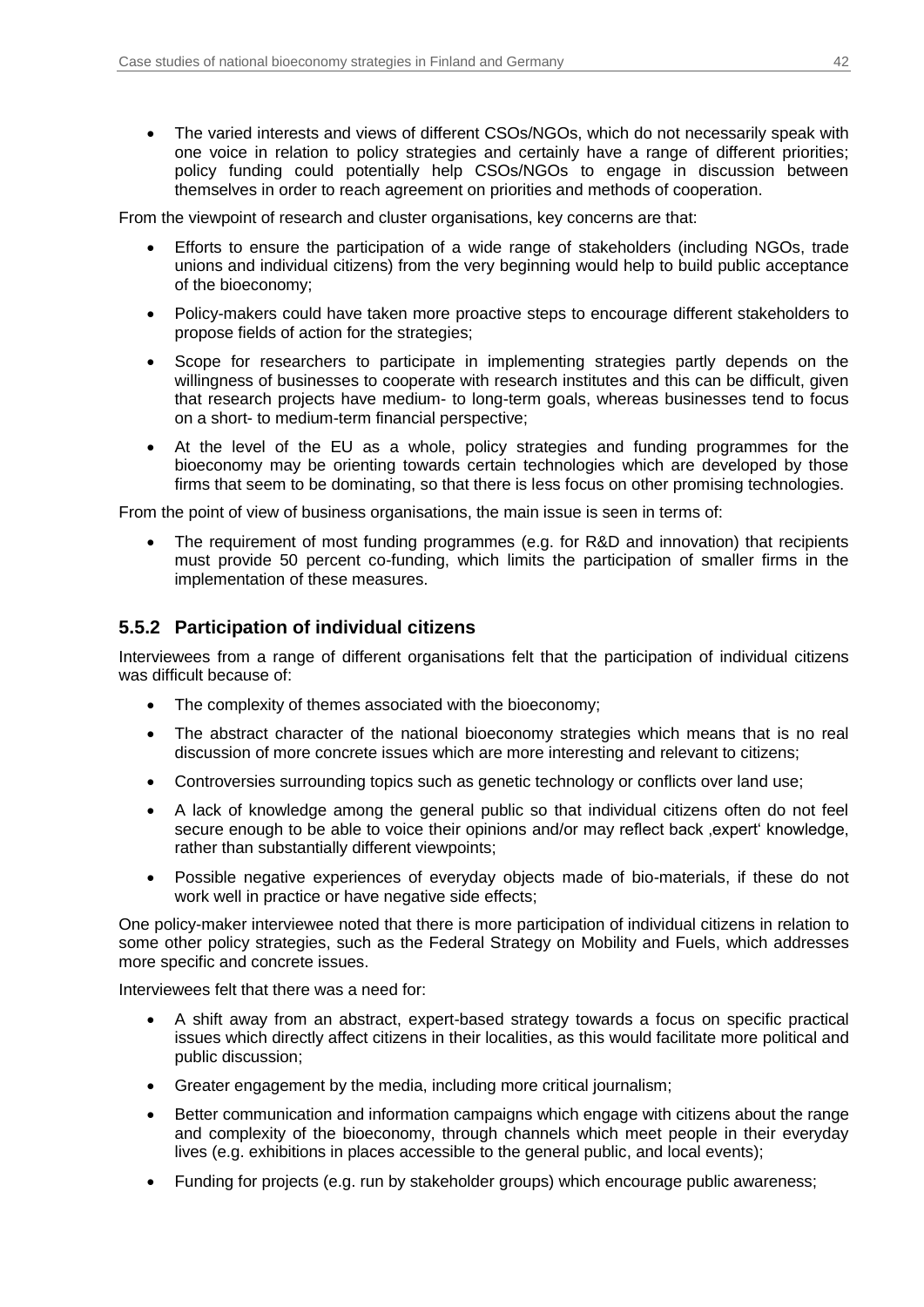The varied interests and views of different CSOs/NGOs, which do not necessarily speak with one voice in relation to policy strategies and certainly have a range of different priorities; policy funding could potentially help CSOs/NGOs to engage in discussion between themselves in order to reach agreement on priorities and methods of cooperation.

From the viewpoint of research and cluster organisations, key concerns are that:

- Efforts to ensure the participation of a wide range of stakeholders (including NGOs, trade unions and individual citizens) from the very beginning would help to build public acceptance of the bioeconomy;
- Policy-makers could have taken more proactive steps to encourage different stakeholders to propose fields of action for the strategies;
- Scope for researchers to participate in implementing strategies partly depends on the willingness of businesses to cooperate with research institutes and this can be difficult, given that research projects have medium- to long-term goals, whereas businesses tend to focus on a short- to medium-term financial perspective;
- At the level of the EU as a whole, policy strategies and funding programmes for the bioeconomy may be orienting towards certain technologies which are developed by those firms that seem to be dominating, so that there is less focus on other promising technologies.

From the point of view of business organisations, the main issue is seen in terms of:

 The requirement of most funding programmes (e.g. for R&D and innovation) that recipients must provide 50 percent co-funding, which limits the participation of smaller firms in the implementation of these measures.

### **5.5.2 Participation of individual citizens**

Interviewees from a range of different organisations felt that the participation of individual citizens was difficult because of:

- The complexity of themes associated with the bioeconomy;
- The abstract character of the national bioeconomy strategies which means that is no real discussion of more concrete issues which are more interesting and relevant to citizens;
- Controversies surrounding topics such as genetic technology or conflicts over land use;
- A lack of knowledge among the general public so that individual citizens often do not feel secure enough to be able to voice their opinions and/or may reflect back expert knowledge, rather than substantially different viewpoints;
- Possible negative experiences of everyday objects made of bio-materials, if these do not work well in practice or have negative side effects;

One policy-maker interviewee noted that there is more participation of individual citizens in relation to some other policy strategies, such as the Federal Strategy on Mobility and Fuels, which addresses more specific and concrete issues.

Interviewees felt that there was a need for:

- A shift away from an abstract, expert-based strategy towards a focus on specific practical issues which directly affect citizens in their localities, as this would facilitate more political and public discussion;
- Greater engagement by the media, including more critical journalism;
- Better communication and information campaigns which engage with citizens about the range and complexity of the bioeconomy, through channels which meet people in their everyday lives (e.g. exhibitions in places accessible to the general public, and local events);
- Funding for projects (e.g. run by stakeholder groups) which encourage public awareness;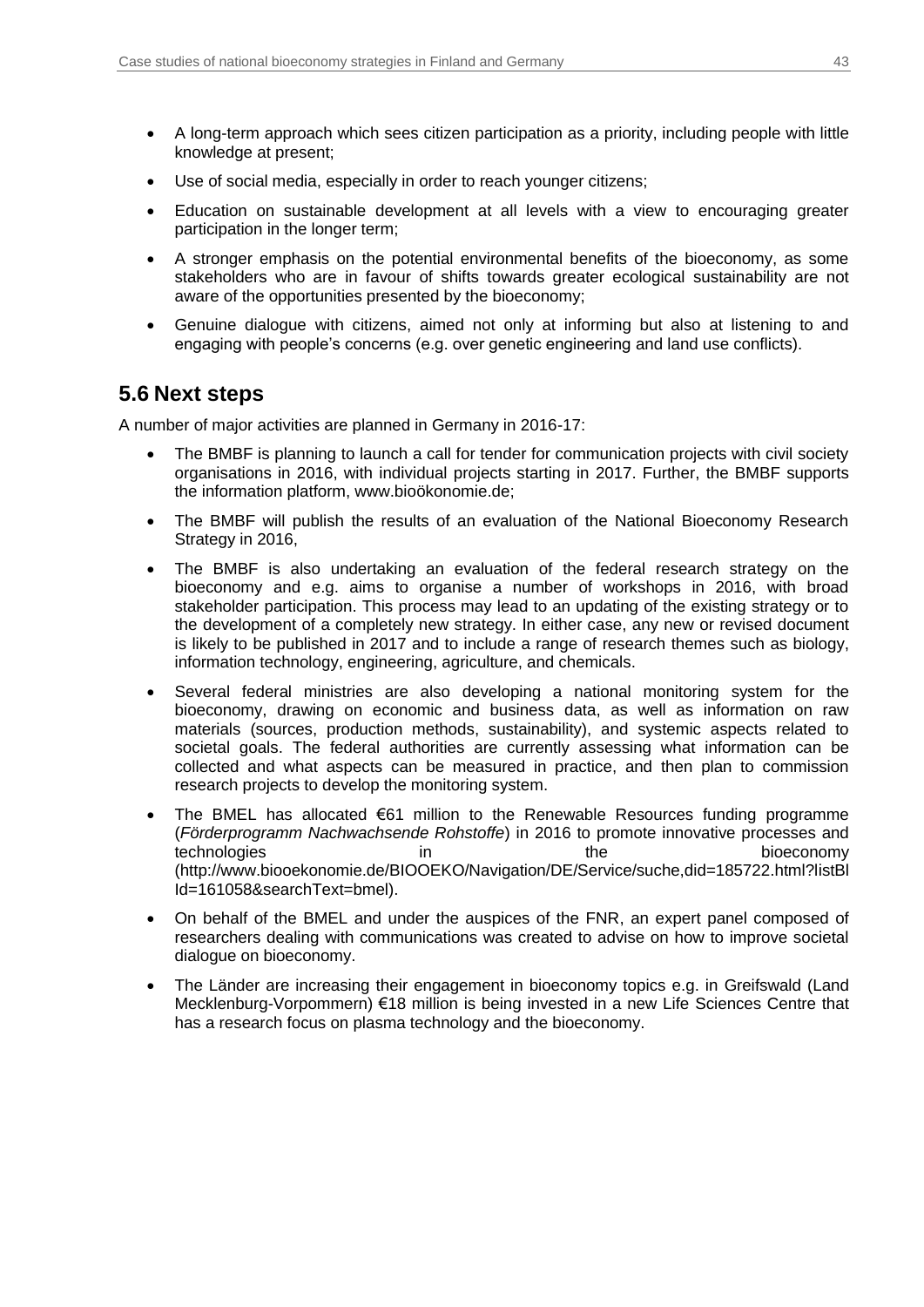- A long-term approach which sees citizen participation as a priority, including people with little knowledge at present;
- Use of social media, especially in order to reach younger citizens;
- Education on sustainable development at all levels with a view to encouraging greater participation in the longer term;
- A stronger emphasis on the potential environmental benefits of the bioeconomy, as some stakeholders who are in favour of shifts towards greater ecological sustainability are not aware of the opportunities presented by the bioeconomy;
- Genuine dialogue with citizens, aimed not only at informing but also at listening to and engaging with people's concerns (e.g. over genetic engineering and land use conflicts).

## <span id="page-42-0"></span>**5.6 Next steps**

A number of major activities are planned in Germany in 2016-17:

- The BMBF is planning to launch a call for tender for communication projects with civil society organisations in 2016, with individual projects starting in 2017. Further, the BMBF supports the information platform, www.bioökonomie.de;
- The BMBF will publish the results of an evaluation of the National Bioeconomy Research Strategy in 2016.
- The BMBF is also undertaking an evaluation of the federal research strategy on the bioeconomy and e.g. aims to organise a number of workshops in 2016, with broad stakeholder participation. This process may lead to an updating of the existing strategy or to the development of a completely new strategy. In either case, any new or revised document is likely to be published in 2017 and to include a range of research themes such as biology, information technology, engineering, agriculture, and chemicals.
- Several federal ministries are also developing a national monitoring system for the bioeconomy, drawing on economic and business data, as well as information on raw materials (sources, production methods, sustainability), and systemic aspects related to societal goals. The federal authorities are currently assessing what information can be collected and what aspects can be measured in practice, and then plan to commission research projects to develop the monitoring system.
- The BMEL has allocated  $\epsilon$ 61 million to the Renewable Resources funding programme (*Förderprogramm Nachwachsende Rohstoffe*) in 2016 to promote innovative processes and technologies in the bioeconomy (http://www.biooekonomie.de/BIOOEKO/Navigation/DE/Service/suche,did=185722.html?listBl Id=161058&searchText=bmel).
- On behalf of the BMEL and under the auspices of the FNR, an expert panel composed of researchers dealing with communications was created to advise on how to improve societal dialogue on bioeconomy.
- The Länder are increasing their engagement in bioeconomy topics e.g. in Greifswald (Land Mecklenburg-Vorpommern) €18 million is being invested in a new Life Sciences Centre that has a research focus on plasma technology and the bioeconomy.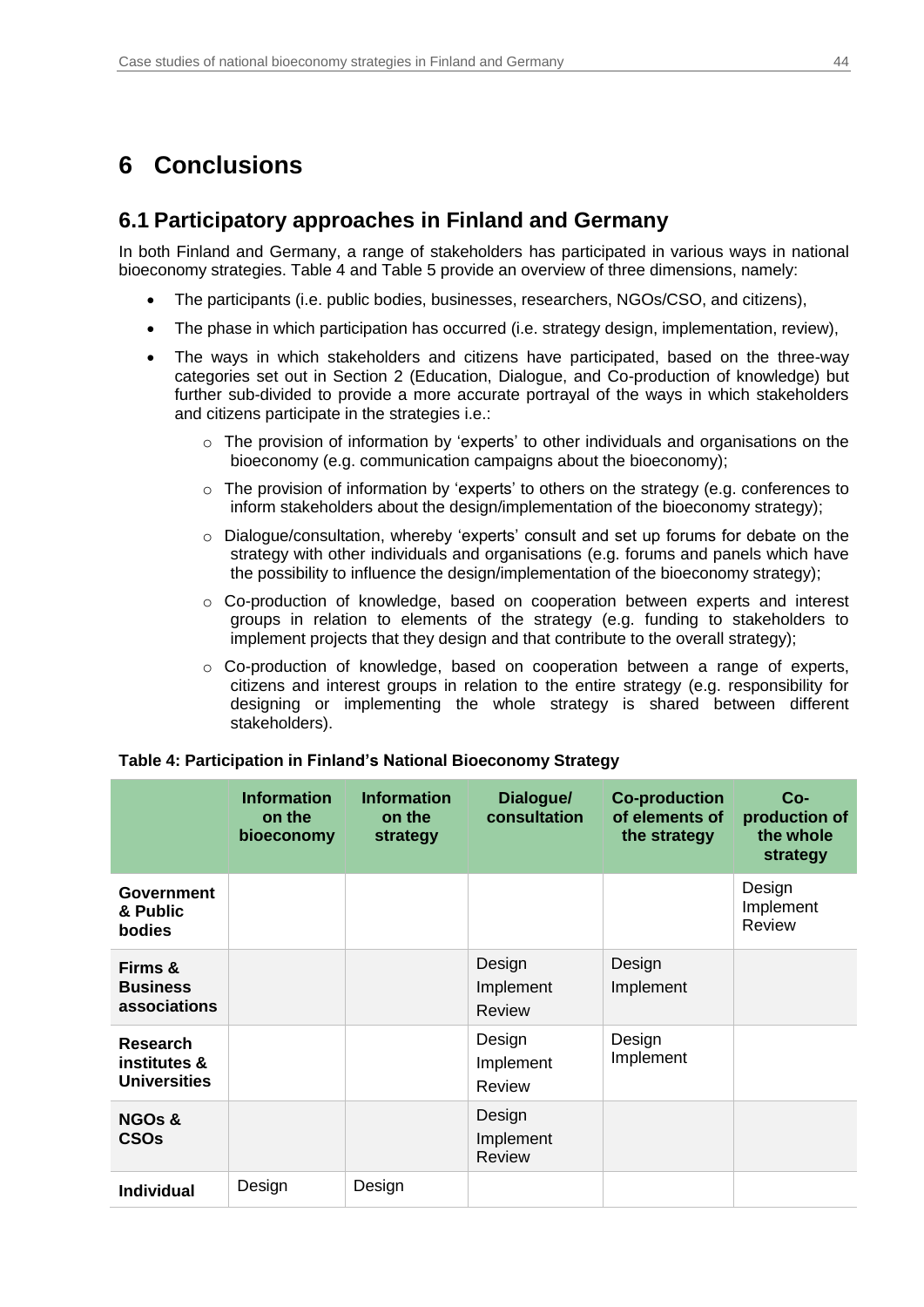## <span id="page-43-1"></span><span id="page-43-0"></span>**6 Conclusions**

### **6.1 Participatory approaches in Finland and Germany**

In both Finland and Germany, a range of stakeholders has participated in various ways in national bioeconomy strategies. [Table 4](#page-43-2) and [Table 5](#page-44-1) provide an overview of three dimensions, namely:

- The participants (i.e. public bodies, businesses, researchers, NGOs/CSO, and citizens),
- The phase in which participation has occurred (i.e. strategy design, implementation, review),
- The ways in which stakeholders and citizens have participated, based on the three-way categories set out in Section 2 (Education, Dialogue, and Co-production of knowledge) but further sub-divided to provide a more accurate portrayal of the ways in which stakeholders and citizens participate in the strategies i.e.:
	- $\circ$  The provision of information by 'experts' to other individuals and organisations on the bioeconomy (e.g. communication campaigns about the bioeconomy);
	- o The provision of information by 'experts' to others on the strategy (e.g. conferences to inform stakeholders about the design/implementation of the bioeconomy strategy);
	- $\circ$  Dialogue/consultation, whereby 'experts' consult and set up forums for debate on the strategy with other individuals and organisations (e.g. forums and panels which have the possibility to influence the design/implementation of the bioeconomy strategy);
	- o Co-production of knowledge, based on cooperation between experts and interest groups in relation to elements of the strategy (e.g. funding to stakeholders to implement projects that they design and that contribute to the overall strategy);
	- o Co-production of knowledge, based on cooperation between a range of experts, citizens and interest groups in relation to the entire strategy (e.g. responsibility for designing or implementing the whole strategy is shared between different stakeholders).

|                                                        | <b>Information</b><br>on the<br>bioeconomy | <b>Information</b><br>on the<br>strategy | Dialogue/<br>consultation            | <b>Co-production</b><br>of elements of<br>the strategy | $Co-$<br>production of<br>the whole<br>strategy |
|--------------------------------------------------------|--------------------------------------------|------------------------------------------|--------------------------------------|--------------------------------------------------------|-------------------------------------------------|
| <b>Government</b><br>& Public<br><b>bodies</b>         |                                            |                                          |                                      |                                                        | Design<br>Implement<br>Review                   |
| Firms &<br><b>Business</b><br>associations             |                                            |                                          | Design<br>Implement<br><b>Review</b> | Design<br>Implement                                    |                                                 |
| <b>Research</b><br>institutes &<br><b>Universities</b> |                                            |                                          | Design<br>Implement<br><b>Review</b> | Design<br>Implement                                    |                                                 |
| <b>NGOs &amp;</b><br><b>CSOs</b>                       |                                            |                                          | Design<br>Implement<br><b>Review</b> |                                                        |                                                 |
| <b>Individual</b>                                      | Design                                     | Design                                   |                                      |                                                        |                                                 |

#### <span id="page-43-2"></span>**Table 4: Participation in Finland's National Bioeconomy Strategy**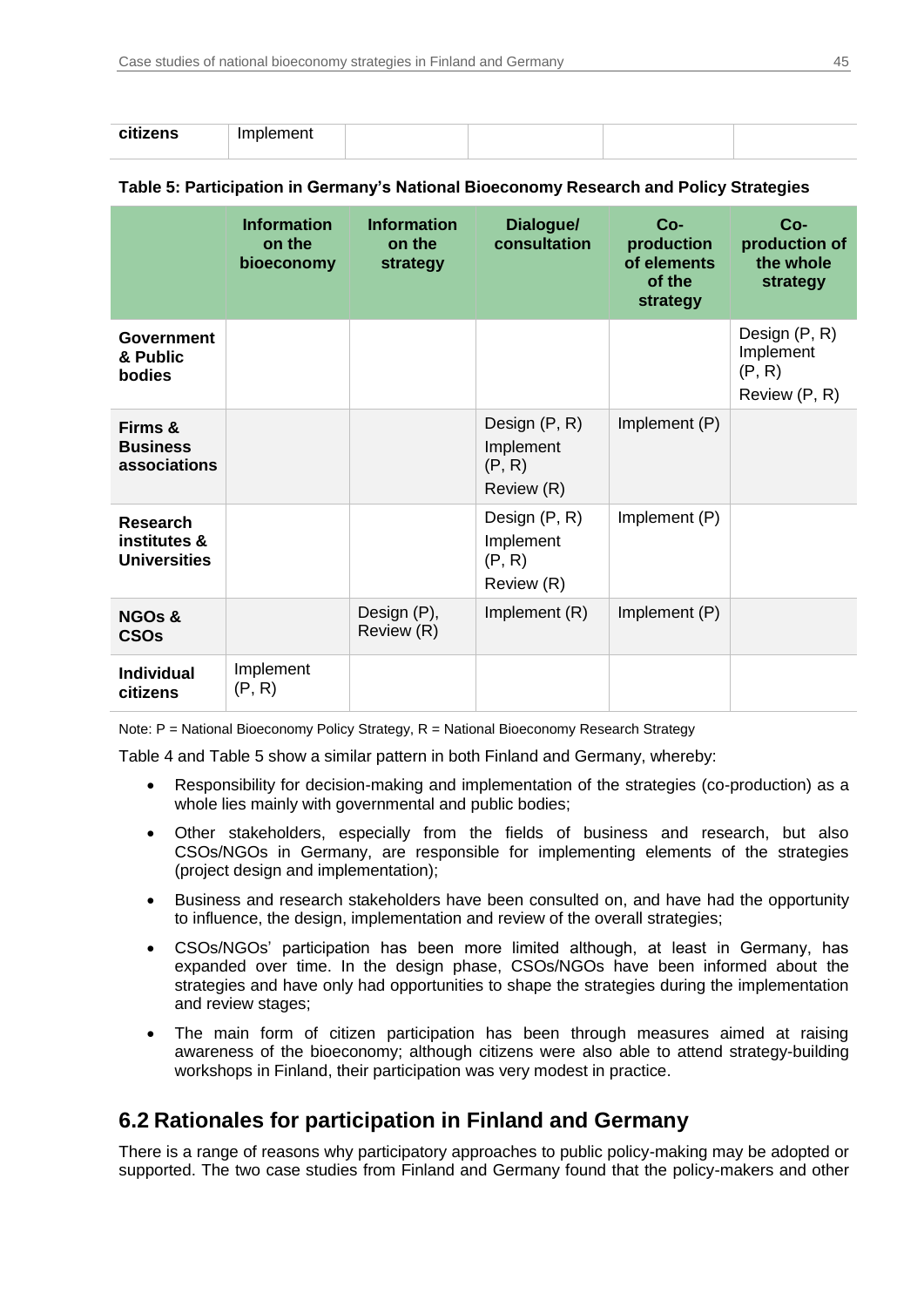| citizanc<br><b>CITIZENS</b> | - Imr<br>$\sim$ $\sim$ $\sim$ $\sim$<br>piernent |  |  |
|-----------------------------|--------------------------------------------------|--|--|

### <span id="page-44-1"></span>**Table 5: Participation in Germany's National Bioeconomy Research and Policy Strategies**

|                                                        | <b>Information</b><br>on the<br>bioeconomy | <b>Information</b><br>on the<br>strategy | Dialogue/<br>consultation                          | $Co-$<br>production<br>of elements<br>of the<br>strategy | $Co-$<br>production of<br>the whole<br>strategy       |
|--------------------------------------------------------|--------------------------------------------|------------------------------------------|----------------------------------------------------|----------------------------------------------------------|-------------------------------------------------------|
| <b>Government</b><br>& Public<br>bodies                |                                            |                                          |                                                    |                                                          | Design (P, R)<br>Implement<br>(P, R)<br>Review (P, R) |
| Firms &<br><b>Business</b><br>associations             |                                            |                                          | Design (P, R)<br>Implement<br>(P, R)<br>Review (R) | Implement (P)                                            |                                                       |
| <b>Research</b><br>institutes &<br><b>Universities</b> |                                            |                                          | Design (P, R)<br>Implement<br>(P, R)<br>Review (R) | Implement (P)                                            |                                                       |
| <b>NGOs &amp;</b><br><b>CSOs</b>                       |                                            | Design (P),<br>Review (R)                | Implement (R)                                      | Implement (P)                                            |                                                       |
| <b>Individual</b><br>citizens                          | Implement<br>(P, R)                        |                                          |                                                    |                                                          |                                                       |

Note: P = National Bioeconomy Policy Strategy, R = National Bioeconomy Research Strategy

[Table 4](#page-43-2) and [Table 5](#page-44-1) show a similar pattern in both Finland and Germany, whereby:

- Responsibility for decision-making and implementation of the strategies (co-production) as a whole lies mainly with governmental and public bodies;
- Other stakeholders, especially from the fields of business and research, but also CSOs/NGOs in Germany, are responsible for implementing elements of the strategies (project design and implementation);
- Business and research stakeholders have been consulted on, and have had the opportunity to influence, the design, implementation and review of the overall strategies;
- CSOs/NGOs' participation has been more limited although, at least in Germany, has expanded over time. In the design phase, CSOs/NGOs have been informed about the strategies and have only had opportunities to shape the strategies during the implementation and review stages;
- The main form of citizen participation has been through measures aimed at raising awareness of the bioeconomy; although citizens were also able to attend strategy-building workshops in Finland, their participation was very modest in practice.

## <span id="page-44-0"></span>**6.2 Rationales for participation in Finland and Germany**

There is a range of reasons why participatory approaches to public policy-making may be adopted or supported. The two case studies from Finland and Germany found that the policy-makers and other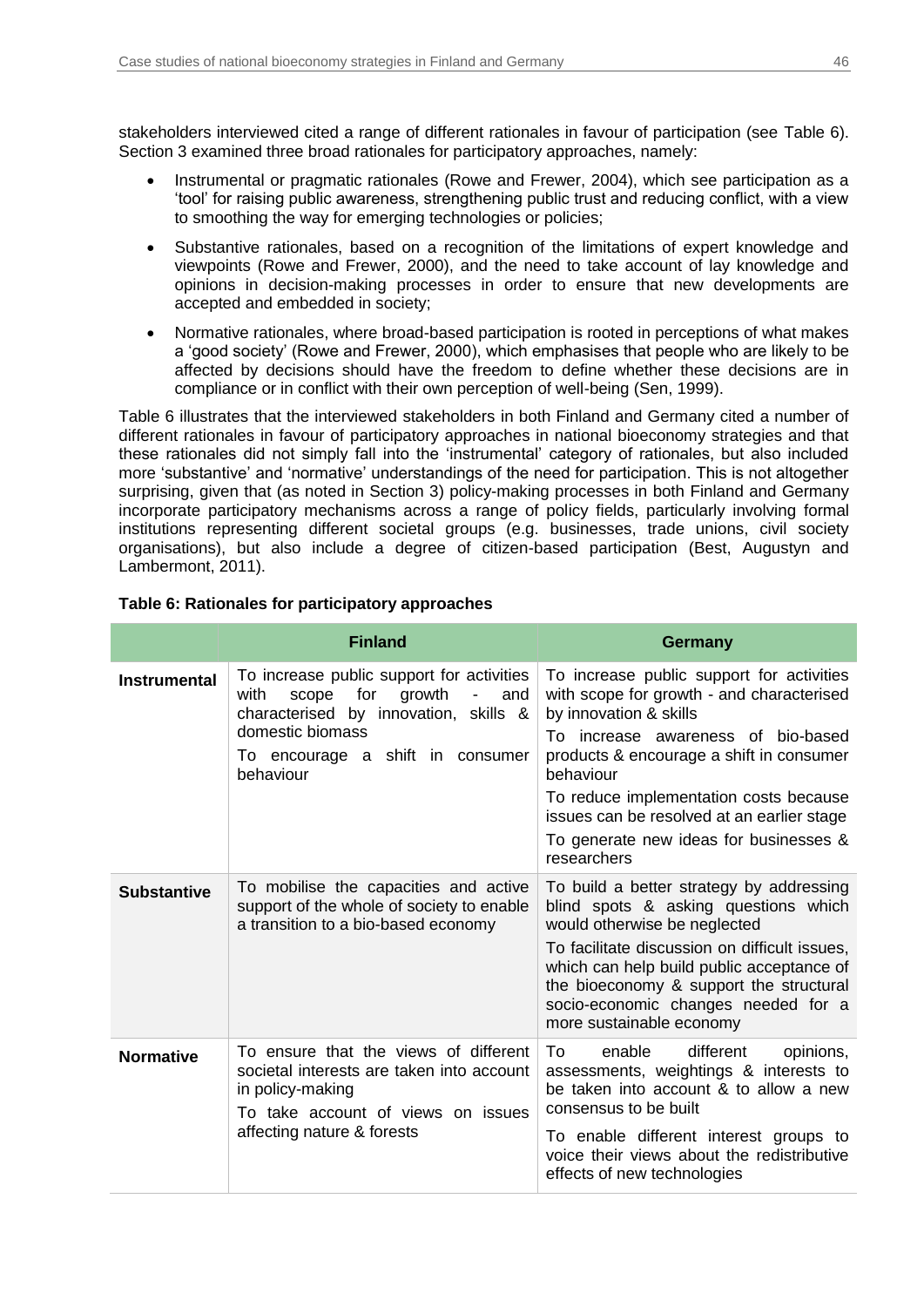stakeholders interviewed cited a range of different rationales in favour of participation (see [Table 6\)](#page-45-0). Section 3 examined three broad rationales for participatory approaches, namely:

- Instrumental or pragmatic rationales (Rowe and Frewer, 2004), which see participation as a 'tool' for raising public awareness, strengthening public trust and reducing conflict, with a view to smoothing the way for emerging technologies or policies;
- Substantive rationales, based on a recognition of the limitations of expert knowledge and viewpoints (Rowe and Frewer, 2000), and the need to take account of lay knowledge and opinions in decision-making processes in order to ensure that new developments are accepted and embedded in society;
- Normative rationales, where broad-based participation is rooted in perceptions of what makes a 'good society' (Rowe and Frewer, 2000), which emphasises that people who are likely to be affected by decisions should have the freedom to define whether these decisions are in compliance or in conflict with their own perception of well-being (Sen, 1999).

[Table 6](#page-45-0) illustrates that the interviewed stakeholders in both Finland and Germany cited a number of different rationales in favour of participatory approaches in national bioeconomy strategies and that these rationales did not simply fall into the 'instrumental' category of rationales, but also included more 'substantive' and 'normative' understandings of the need for participation. This is not altogether surprising, given that (as noted in Section 3) policy-making processes in both Finland and Germany incorporate participatory mechanisms across a range of policy fields, particularly involving formal institutions representing different societal groups (e.g. businesses, trade unions, civil society organisations), but also include a degree of citizen-based participation (Best, Augustyn and Lambermont, 2011).

|                     | <b>Finland</b>                                                                                                                                                                                   | <b>Germany</b>                                                                                                                                                                                                                                                                                                                                                   |
|---------------------|--------------------------------------------------------------------------------------------------------------------------------------------------------------------------------------------------|------------------------------------------------------------------------------------------------------------------------------------------------------------------------------------------------------------------------------------------------------------------------------------------------------------------------------------------------------------------|
| <b>Instrumental</b> | To increase public support for activities<br>with<br>for<br>growth<br>scope<br>and<br>characterised by innovation, skills &<br>domestic biomass<br>To encourage a shift in consumer<br>behaviour | To increase public support for activities<br>with scope for growth - and characterised<br>by innovation & skills<br>To increase awareness of bio-based<br>products & encourage a shift in consumer<br>behaviour<br>To reduce implementation costs because<br>issues can be resolved at an earlier stage<br>To generate new ideas for businesses &<br>researchers |
| <b>Substantive</b>  | To mobilise the capacities and active<br>support of the whole of society to enable<br>a transition to a bio-based economy                                                                        | To build a better strategy by addressing<br>blind spots & asking questions which<br>would otherwise be neglected<br>To facilitate discussion on difficult issues,<br>which can help build public acceptance of<br>the bioeconomy & support the structural<br>socio-economic changes needed for a<br>more sustainable economy                                     |
| <b>Normative</b>    | To ensure that the views of different<br>societal interests are taken into account<br>in policy-making<br>To take account of views on issues<br>affecting nature & forests                       | enable<br>different<br>opinions,<br>To<br>assessments, weightings & interests to<br>be taken into account & to allow a new<br>consensus to be built<br>To enable different interest groups to<br>voice their views about the redistributive<br>effects of new technologies                                                                                       |

### <span id="page-45-0"></span>**Table 6: Rationales for participatory approaches**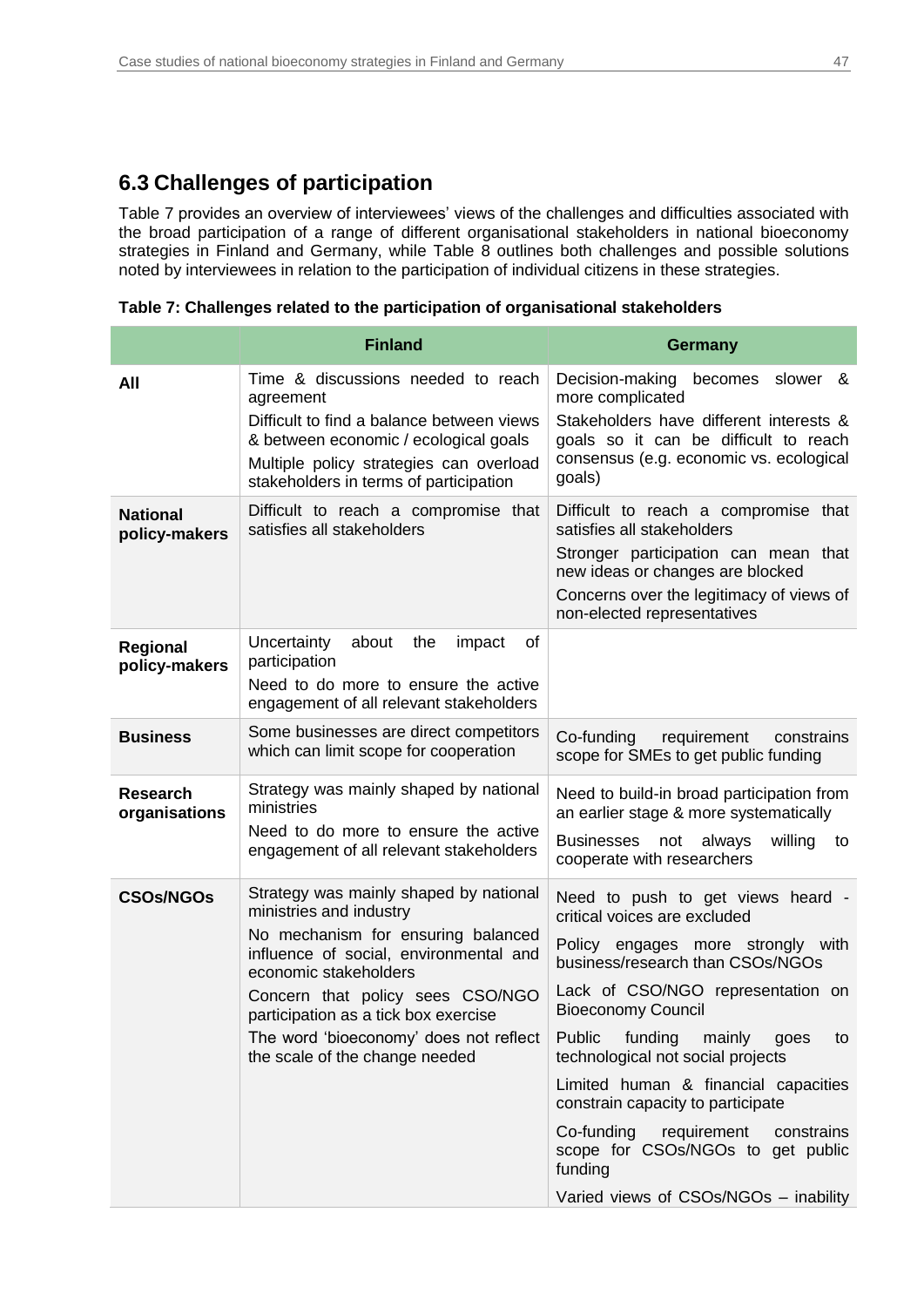## <span id="page-46-0"></span>**6.3 Challenges of participation**

[Table 7](#page-46-1) provides an overview of interviewees' views of the challenges and difficulties associated with the broad participation of a range of different organisational stakeholders in national bioeconomy strategies in Finland and Germany, while [Table 8](#page-47-0) outlines both challenges and possible solutions noted by interviewees in relation to the participation of individual citizens in these strategies.

|                                  | <b>Finland</b>                                                                                                                                                                                                                                                                                                                     | <b>Germany</b>                                                                                                                                                                                                                                                                                                                                                                                                                                                                                                  |  |  |
|----------------------------------|------------------------------------------------------------------------------------------------------------------------------------------------------------------------------------------------------------------------------------------------------------------------------------------------------------------------------------|-----------------------------------------------------------------------------------------------------------------------------------------------------------------------------------------------------------------------------------------------------------------------------------------------------------------------------------------------------------------------------------------------------------------------------------------------------------------------------------------------------------------|--|--|
| All                              | Time & discussions needed to reach<br>agreement<br>Difficult to find a balance between views<br>& between economic / ecological goals<br>Multiple policy strategies can overload<br>stakeholders in terms of participation                                                                                                         | Decision-making<br>becomes<br>slower &<br>more complicated<br>Stakeholders have different interests &<br>goals so it can be difficult to reach<br>consensus (e.g. economic vs. ecological<br>goals)                                                                                                                                                                                                                                                                                                             |  |  |
| <b>National</b><br>policy-makers | Difficult to reach a compromise that<br>satisfies all stakeholders                                                                                                                                                                                                                                                                 | Difficult to reach a compromise that<br>satisfies all stakeholders<br>Stronger participation can mean that<br>new ideas or changes are blocked<br>Concerns over the legitimacy of views of<br>non-elected representatives                                                                                                                                                                                                                                                                                       |  |  |
| Regional<br>policy-makers        | Uncertainty<br>about<br>the<br>impact<br>οf<br>participation<br>Need to do more to ensure the active<br>engagement of all relevant stakeholders                                                                                                                                                                                    |                                                                                                                                                                                                                                                                                                                                                                                                                                                                                                                 |  |  |
| <b>Business</b>                  | Some businesses are direct competitors<br>which can limit scope for cooperation                                                                                                                                                                                                                                                    | Co-funding<br>requirement<br>constrains<br>scope for SMEs to get public funding                                                                                                                                                                                                                                                                                                                                                                                                                                 |  |  |
| <b>Research</b><br>organisations | Strategy was mainly shaped by national<br>ministries<br>Need to do more to ensure the active<br>engagement of all relevant stakeholders                                                                                                                                                                                            | Need to build-in broad participation from<br>an earlier stage & more systematically<br><b>Businesses</b><br>not<br>always<br>willing<br>to<br>cooperate with researchers                                                                                                                                                                                                                                                                                                                                        |  |  |
| <b>CSOs/NGOs</b>                 | Strategy was mainly shaped by national<br>ministries and industry<br>No mechanism for ensuring balanced<br>influence of social, environmental and<br>economic stakeholders<br>Concern that policy sees CSO/NGO<br>participation as a tick box exercise<br>The word 'bioeconomy' does not reflect<br>the scale of the change needed | Need to push to get views heard -<br>critical voices are excluded<br>Policy engages more strongly with<br>business/research than CSOs/NGOs<br>Lack of CSO/NGO representation on<br><b>Bioeconomy Council</b><br>Public<br>funding<br>mainly<br>goes<br>to<br>technological not social projects<br>Limited human & financial capacities<br>constrain capacity to participate<br>Co-funding<br>requirement<br>constrains<br>scope for CSOs/NGOs to get public<br>funding<br>Varied views of CSOs/NGOs - inability |  |  |

<span id="page-46-1"></span>**Table 7: Challenges related to the participation of organisational stakeholders**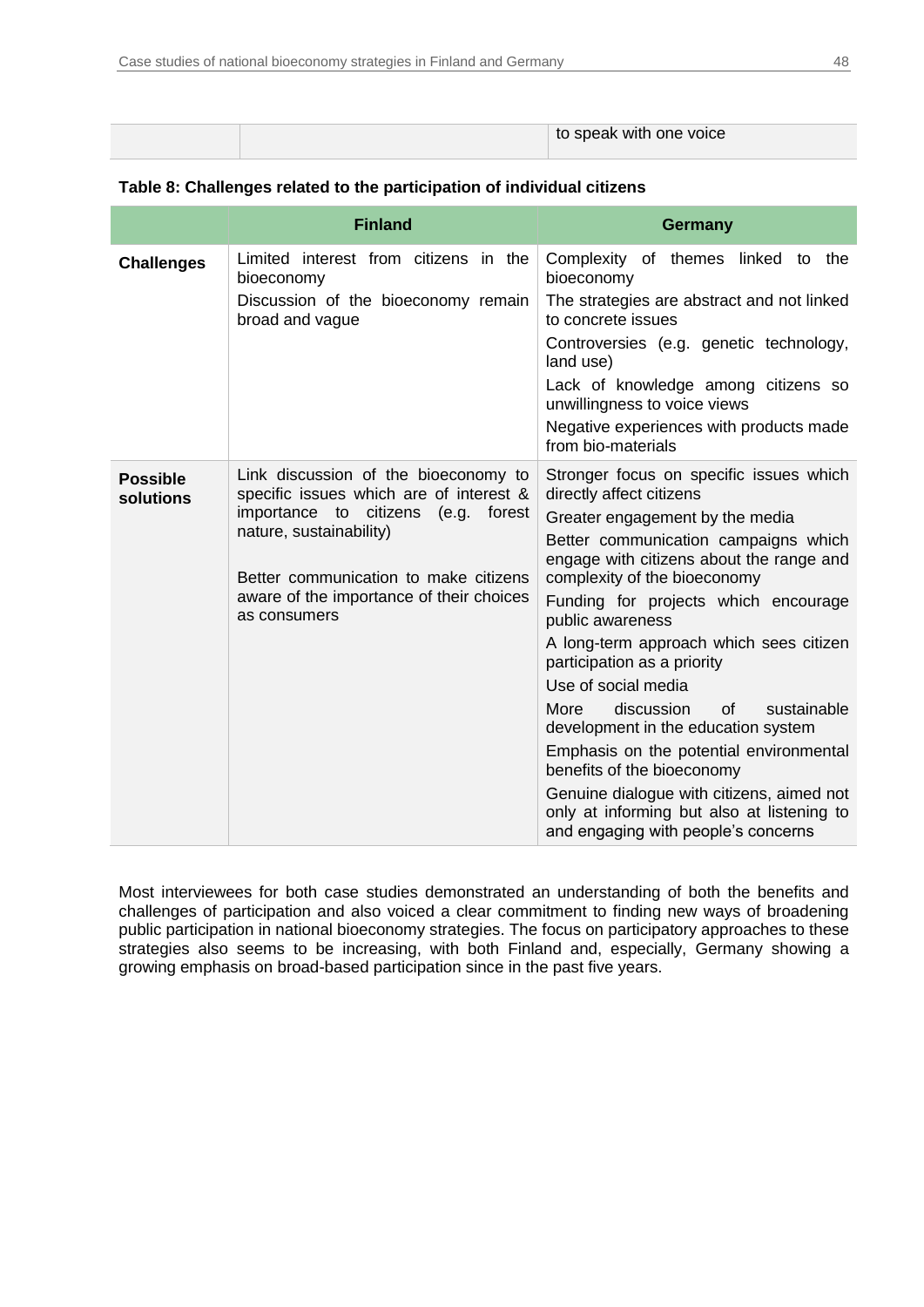|  | to speak with one voice |
|--|-------------------------|
|--|-------------------------|

|                              | <b>Finland</b>                                                                             | <b>Germany</b>                                                                                                                 |
|------------------------------|--------------------------------------------------------------------------------------------|--------------------------------------------------------------------------------------------------------------------------------|
| <b>Challenges</b>            | Limited interest from citizens in the<br>bioeconomy<br>Discussion of the bioeconomy remain | Complexity of themes linked to the<br>bioeconomy<br>The strategies are abstract and not linked                                 |
|                              | broad and vague                                                                            | to concrete issues                                                                                                             |
|                              |                                                                                            | Controversies (e.g. genetic technology,<br>land use)                                                                           |
|                              |                                                                                            | Lack of knowledge among citizens so<br>unwillingness to voice views                                                            |
|                              |                                                                                            | Negative experiences with products made<br>from bio-materials                                                                  |
| <b>Possible</b><br>solutions | Link discussion of the bioeconomy to<br>specific issues which are of interest &            | Stronger focus on specific issues which<br>directly affect citizens                                                            |
|                              | importance to citizens (e.g. forest                                                        | Greater engagement by the media                                                                                                |
|                              | nature, sustainability)                                                                    | Better communication campaigns which                                                                                           |
|                              | Better communication to make citizens                                                      | engage with citizens about the range and<br>complexity of the bioeconomy                                                       |
|                              | aware of the importance of their choices<br>as consumers                                   | Funding for projects which encourage<br>public awareness                                                                       |
|                              |                                                                                            | A long-term approach which sees citizen<br>participation as a priority                                                         |
|                              |                                                                                            | Use of social media                                                                                                            |
|                              |                                                                                            | More<br>discussion<br>0f<br>sustainable<br>development in the education system                                                 |
|                              |                                                                                            | Emphasis on the potential environmental<br>benefits of the bioeconomy                                                          |
|                              |                                                                                            | Genuine dialogue with citizens, aimed not<br>only at informing but also at listening to<br>and engaging with people's concerns |

### <span id="page-47-0"></span>**Table 8: Challenges related to the participation of individual citizens**

Most interviewees for both case studies demonstrated an understanding of both the benefits and challenges of participation and also voiced a clear commitment to finding new ways of broadening public participation in national bioeconomy strategies. The focus on participatory approaches to these strategies also seems to be increasing, with both Finland and, especially, Germany showing a growing emphasis on broad-based participation since in the past five years.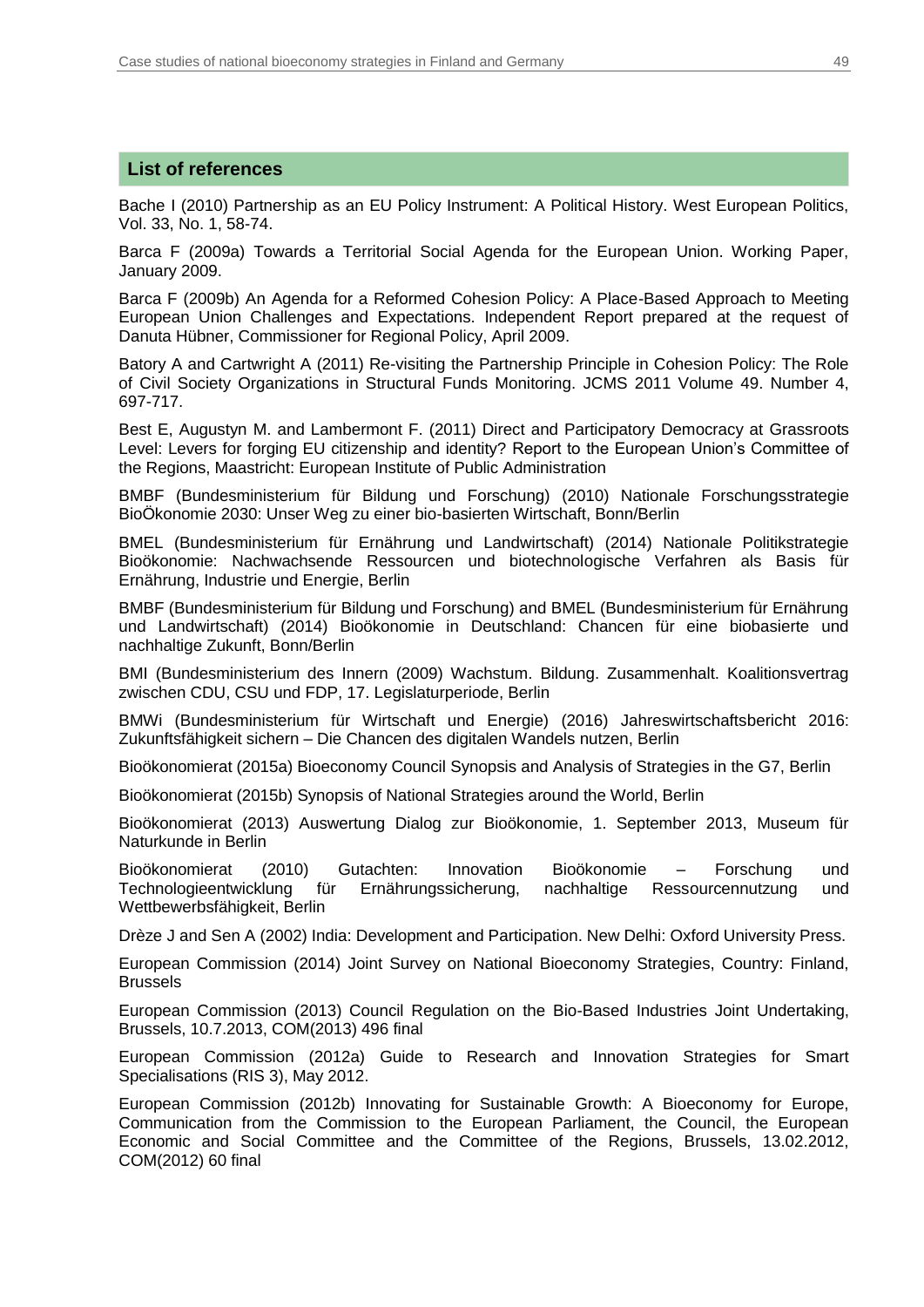### **List of references**

Bache I (2010) Partnership as an EU Policy Instrument: A Political History. West European Politics, Vol. 33, No. 1, 58-74.

Barca F (2009a) Towards a Territorial Social Agenda for the European Union. Working Paper, January 2009.

Barca F (2009b) An Agenda for a Reformed Cohesion Policy: A Place-Based Approach to Meeting European Union Challenges and Expectations. Independent Report prepared at the request of Danuta Hübner, Commissioner for Regional Policy, April 2009.

Batory A and Cartwright A (2011) Re-visiting the Partnership Principle in Cohesion Policy: The Role of Civil Society Organizations in Structural Funds Monitoring. JCMS 2011 Volume 49. Number 4, 697-717.

Best E, Augustyn M. and Lambermont F. (2011) Direct and Participatory Democracy at Grassroots Level: Levers for forging EU citizenship and identity? Report to the European Union's Committee of the Regions, Maastricht: European Institute of Public Administration

BMBF (Bundesministerium für Bildung und Forschung) (2010) Nationale Forschungsstrategie BioÖkonomie 2030: Unser Weg zu einer bio-basierten Wirtschaft, Bonn/Berlin

BMEL (Bundesministerium für Ernährung und Landwirtschaft) (2014) Nationale Politikstrategie Bioökonomie: Nachwachsende Ressourcen und biotechnologische Verfahren als Basis für Ernährung, Industrie und Energie, Berlin

BMBF (Bundesministerium für Bildung und Forschung) and BMEL (Bundesministerium für Ernährung und Landwirtschaft) (2014) Bioökonomie in Deutschland: Chancen für eine biobasierte und nachhaltige Zukunft, Bonn/Berlin

BMI (Bundesministerium des Innern (2009) Wachstum. Bildung. Zusammenhalt. Koalitionsvertrag zwischen CDU, CSU und FDP, 17. Legislaturperiode, Berlin

BMWi (Bundesministerium für Wirtschaft und Energie) (2016) Jahreswirtschaftsbericht 2016: Zukunftsfähigkeit sichern – Die Chancen des digitalen Wandels nutzen, Berlin

Bioökonomierat (2015a) Bioeconomy Council Synopsis and Analysis of Strategies in the G7, Berlin

Bioökonomierat (2015b) Synopsis of National Strategies around the World, Berlin

Bioökonomierat (2013) Auswertung Dialog zur Bioökonomie, 1. September 2013, Museum für Naturkunde in Berlin

Bioökonomierat (2010) Gutachten: Innovation Bioökonomie – Forschung und Technologieentwicklung für Ernährungssicherung, nachhaltige Ressourcennutzung und Wettbewerbsfähigkeit, Berlin

Drèze J and Sen A (2002) India: Development and Participation. New Delhi: Oxford University Press.

European Commission (2014) Joint Survey on National Bioeconomy Strategies, Country: Finland, Brussels

European Commission (2013) Council Regulation on the Bio-Based Industries Joint Undertaking, Brussels, 10.7.2013, COM(2013) 496 final

European Commission (2012a) Guide to Research and Innovation Strategies for Smart Specialisations (RIS 3), May 2012.

European Commission (2012b) Innovating for Sustainable Growth: A Bioeconomy for Europe, Communication from the Commission to the European Parliament, the Council, the European Economic and Social Committee and the Committee of the Regions, Brussels, 13.02.2012, COM(2012) 60 final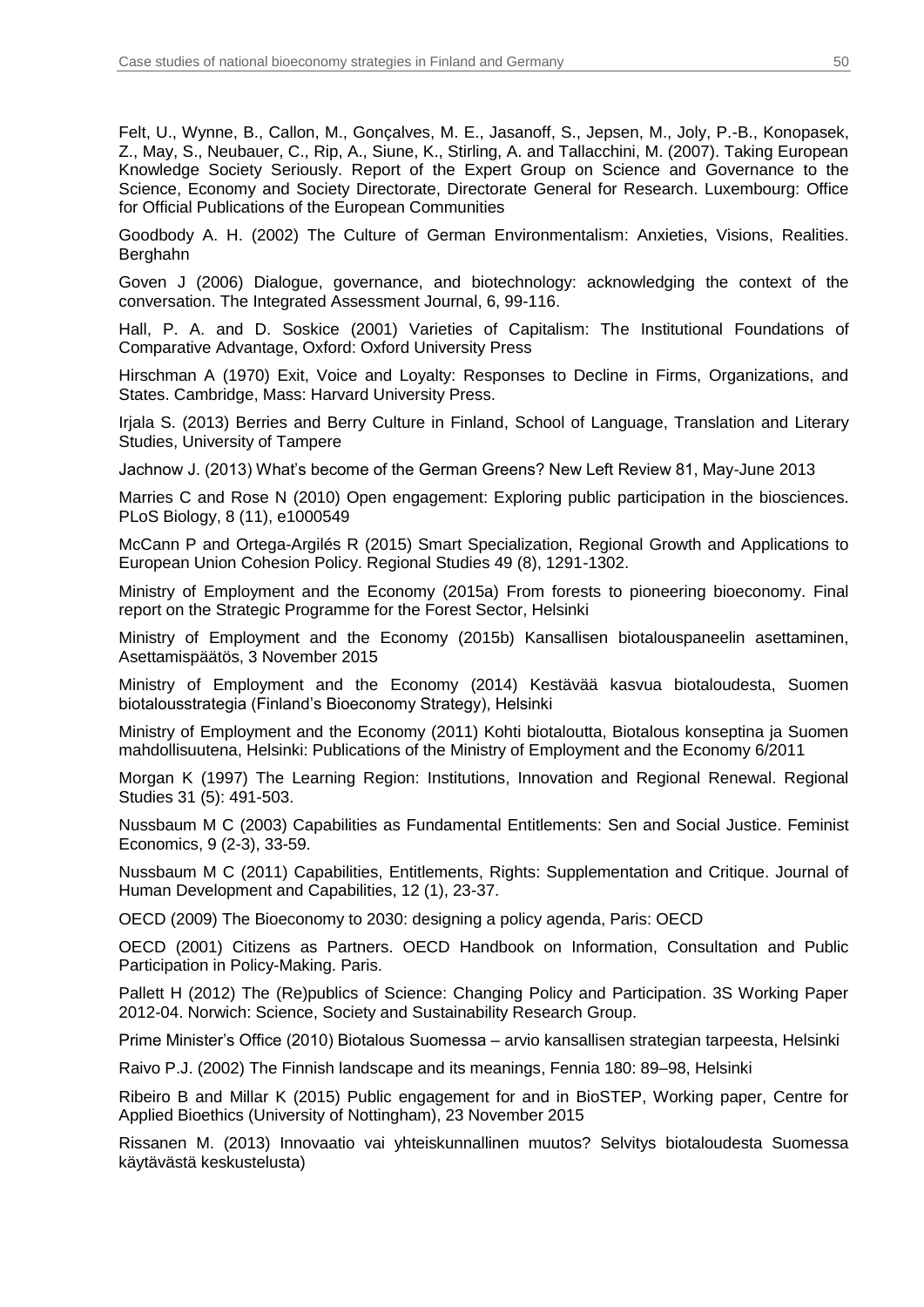Felt, U., Wynne, B., Callon, M., Gonçalves, M. E., Jasanoff, S., Jepsen, M., Joly, P.-B., Konopasek, Z., May, S., Neubauer, C., Rip, A., Siune, K., Stirling, A. and Tallacchini, M. (2007). Taking European Knowledge Society Seriously. Report of the Expert Group on Science and Governance to the Science, Economy and Society Directorate, Directorate General for Research. Luxembourg: Office for Official Publications of the European Communities

Goodbody A. H. (2002) The Culture of German Environmentalism: Anxieties, Visions, Realities. **Berghahn** 

Goven J (2006) Dialogue, governance, and biotechnology: acknowledging the context of the conversation. The Integrated Assessment Journal, 6, 99-116.

Hall, P. A. and D. Soskice (2001) Varieties of Capitalism: The Institutional Foundations of Comparative Advantage, Oxford: Oxford University Press

Hirschman A (1970) Exit, Voice and Loyalty: Responses to Decline in Firms, Organizations, and States. Cambridge, Mass: Harvard University Press.

Irjala S. (2013) Berries and Berry Culture in Finland, School of Language, Translation and Literary Studies, University of Tampere

Jachnow J. (2013) What's become of the German Greens? New Left Review 81, May-June 2013

Marries C and Rose N (2010) Open engagement: Exploring public participation in the biosciences. PLoS Biology, 8 (11), e1000549

McCann P and Ortega-Argilés R (2015) Smart Specialization, Regional Growth and Applications to European Union Cohesion Policy. Regional Studies 49 (8), 1291-1302.

Ministry of Employment and the Economy (2015a) From forests to pioneering bioeconomy. Final report on the Strategic Programme for the Forest Sector, Helsinki

Ministry of Employment and the Economy (2015b) Kansallisen biotalouspaneelin asettaminen, Asettamispäätös, 3 November 2015

Ministry of Employment and the Economy (2014) Kestävää kasvua biotaloudesta, Suomen biotalousstrategia (Finland's Bioeconomy Strategy), Helsinki

Ministry of Employment and the Economy (2011) Kohti biotaloutta, Biotalous konseptina ja Suomen mahdollisuutena, Helsinki: Publications of the Ministry of Employment and the Economy 6/2011

Morgan K (1997) The Learning Region: Institutions, Innovation and Regional Renewal. Regional Studies 31 (5): 491-503.

Nussbaum M C (2003) Capabilities as Fundamental Entitlements: Sen and Social Justice. Feminist Economics, 9 (2-3), 33-59.

Nussbaum M C (2011) Capabilities, Entitlements, Rights: Supplementation and Critique. Journal of Human Development and Capabilities, 12 (1), 23-37.

OECD (2009) The Bioeconomy to 2030: designing a policy agenda, Paris: OECD

OECD (2001) Citizens as Partners. OECD Handbook on Information, Consultation and Public Participation in Policy-Making. Paris.

Pallett H (2012) The (Re)publics of Science: Changing Policy and Participation. 3S Working Paper 2012-04. Norwich: Science, Society and Sustainability Research Group.

Prime Minister's Office (2010) Biotalous Suomessa – arvio kansallisen strategian tarpeesta, Helsinki

Raivo P.J. (2002) The Finnish landscape and its meanings, Fennia 180: 89–98, Helsinki

Ribeiro B and Millar K (2015) Public engagement for and in BioSTEP, Working paper, Centre for Applied Bioethics (University of Nottingham), 23 November 2015

Rissanen M. (2013) Innovaatio vai yhteiskunnallinen muutos? Selvitys biotaloudesta Suomessa käytävästä keskustelusta)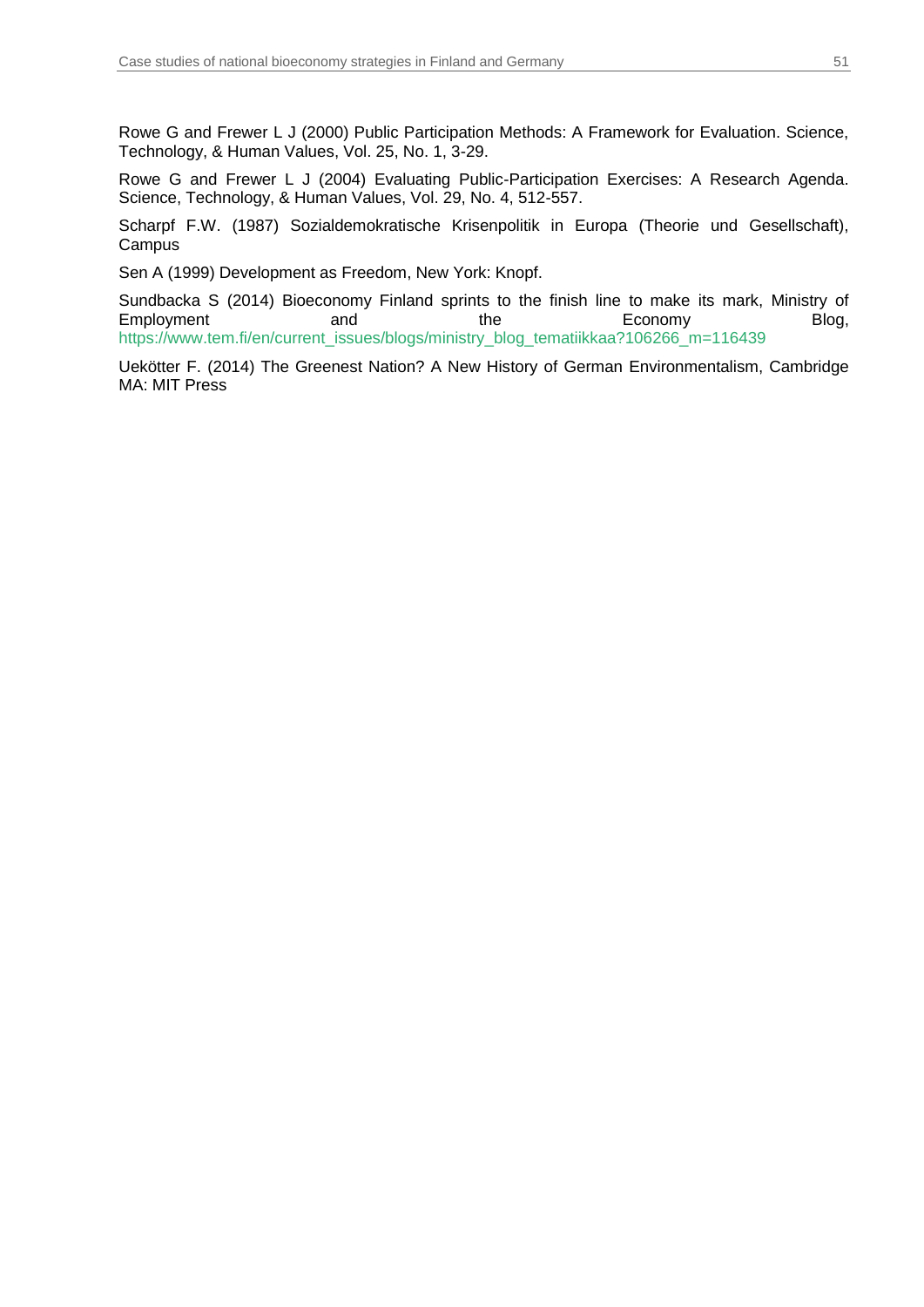Rowe G and Frewer L J (2000) Public Participation Methods: A Framework for Evaluation. Science, Technology, & Human Values, Vol. 25, No. 1, 3-29.

Rowe G and Frewer L J (2004) Evaluating Public-Participation Exercises: A Research Agenda. Science, Technology, & Human Values, Vol. 29, No. 4, 512-557.

Scharpf F.W. (1987) Sozialdemokratische Krisenpolitik in Europa (Theorie und Gesellschaft), Campus

Sen A (1999) Development as Freedom, New York: Knopf.

Sundbacka S (2014) Bioeconomy Finland sprints to the finish line to make its mark, Ministry of Employment and and the Economy Blog, [https://www.tem.fi/en/current\\_issues/blogs/ministry\\_blog\\_tematiikkaa?106266\\_m=116439](https://www.tem.fi/en/current_issues/blogs/ministry_blog_tematiikkaa?106266_m=116439)

Uekötter F. (2014) The Greenest Nation? A New History of German Environmentalism, Cambridge MA: MIT Press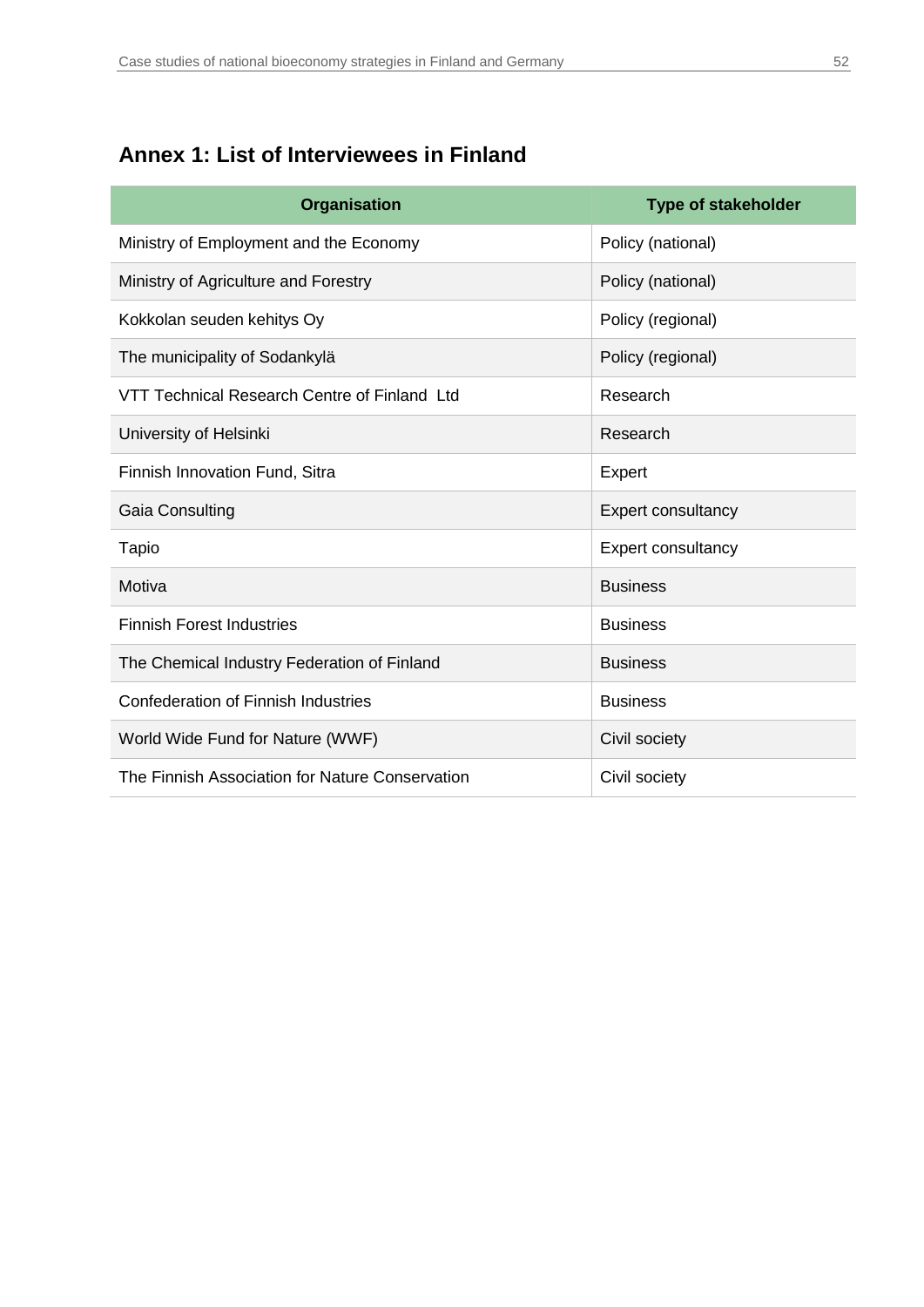## <span id="page-51-0"></span>**Annex 1: List of Interviewees in Finland**

| <b>Organisation</b>                             | <b>Type of stakeholder</b> |
|-------------------------------------------------|----------------------------|
| Ministry of Employment and the Economy          | Policy (national)          |
| Ministry of Agriculture and Forestry            | Policy (national)          |
| Kokkolan seuden kehitys Oy                      | Policy (regional)          |
| The municipality of Sodankylä                   | Policy (regional)          |
| VTT Technical Research Centre of Finland Ltd    | Research                   |
| University of Helsinki                          | Research                   |
| Finnish Innovation Fund, Sitra                  | Expert                     |
| Gaia Consulting                                 | Expert consultancy         |
| Tapio                                           | <b>Expert consultancy</b>  |
| Motiva                                          | <b>Business</b>            |
| <b>Finnish Forest Industries</b>                | <b>Business</b>            |
| The Chemical Industry Federation of Finland     | <b>Business</b>            |
| Confederation of Finnish Industries             | <b>Business</b>            |
| World Wide Fund for Nature (WWF)                | Civil society              |
| The Finnish Association for Nature Conservation | Civil society              |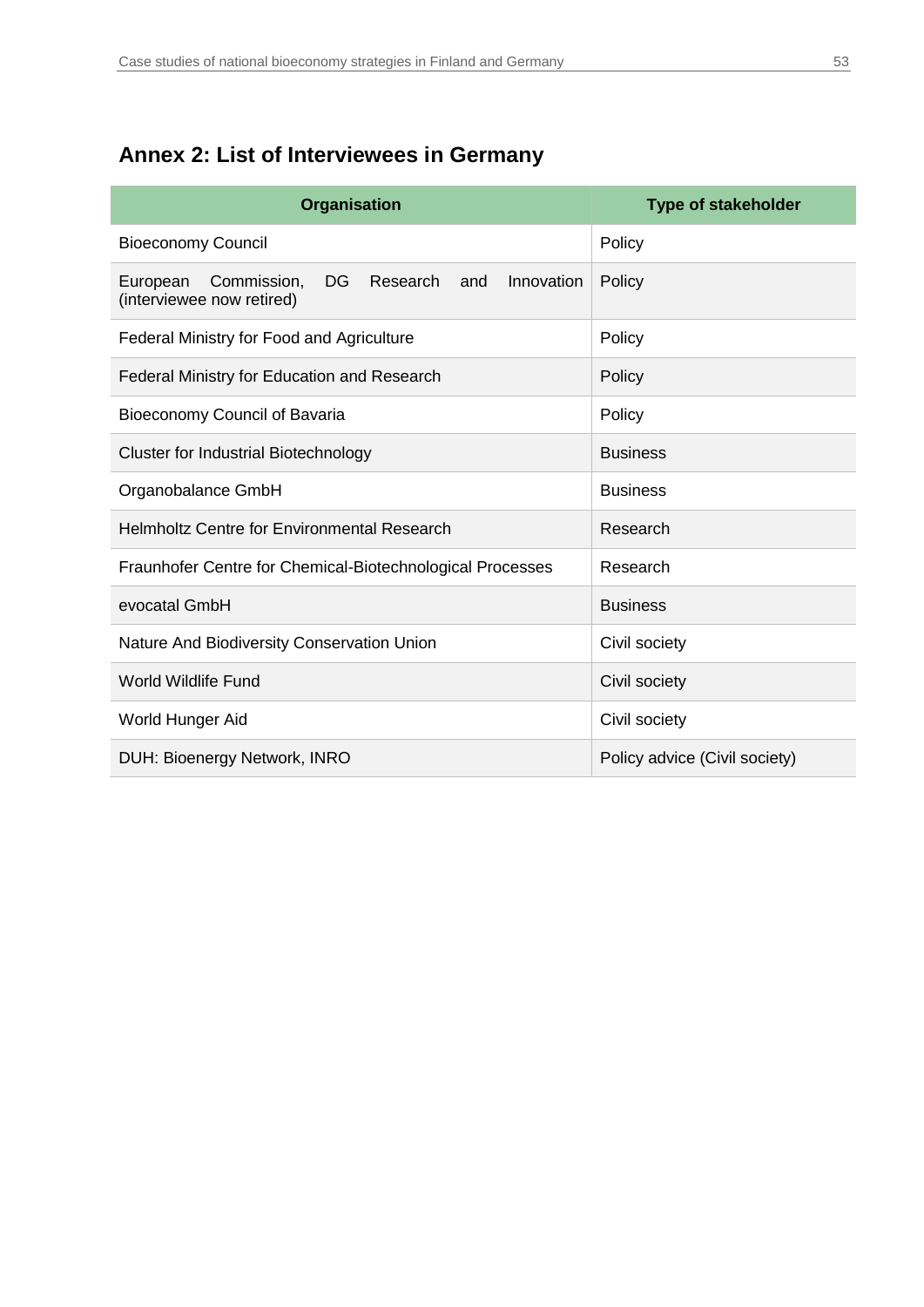## <span id="page-52-0"></span>**Annex 2: List of Interviewees in Germany**

| <b>Organisation</b>                                                                                | <b>Type of stakeholder</b>    |  |
|----------------------------------------------------------------------------------------------------|-------------------------------|--|
| <b>Bioeconomy Council</b>                                                                          | Policy                        |  |
| Commission,<br>Research<br>Innovation<br><b>DG</b><br>and<br>European<br>(interviewee now retired) | Policy                        |  |
| Federal Ministry for Food and Agriculture                                                          | Policy                        |  |
| Federal Ministry for Education and Research                                                        | Policy                        |  |
| Bioeconomy Council of Bavaria                                                                      | Policy                        |  |
| <b>Cluster for Industrial Biotechnology</b>                                                        | <b>Business</b>               |  |
| Organobalance GmbH                                                                                 | <b>Business</b>               |  |
| <b>Helmholtz Centre for Environmental Research</b>                                                 | Research                      |  |
| Fraunhofer Centre for Chemical-Biotechnological Processes                                          | Research                      |  |
| evocatal GmbH                                                                                      | <b>Business</b>               |  |
| Nature And Biodiversity Conservation Union                                                         | Civil society                 |  |
| <b>World Wildlife Fund</b>                                                                         | Civil society                 |  |
| World Hunger Aid                                                                                   | Civil society                 |  |
| DUH: Bioenergy Network, INRO                                                                       | Policy advice (Civil society) |  |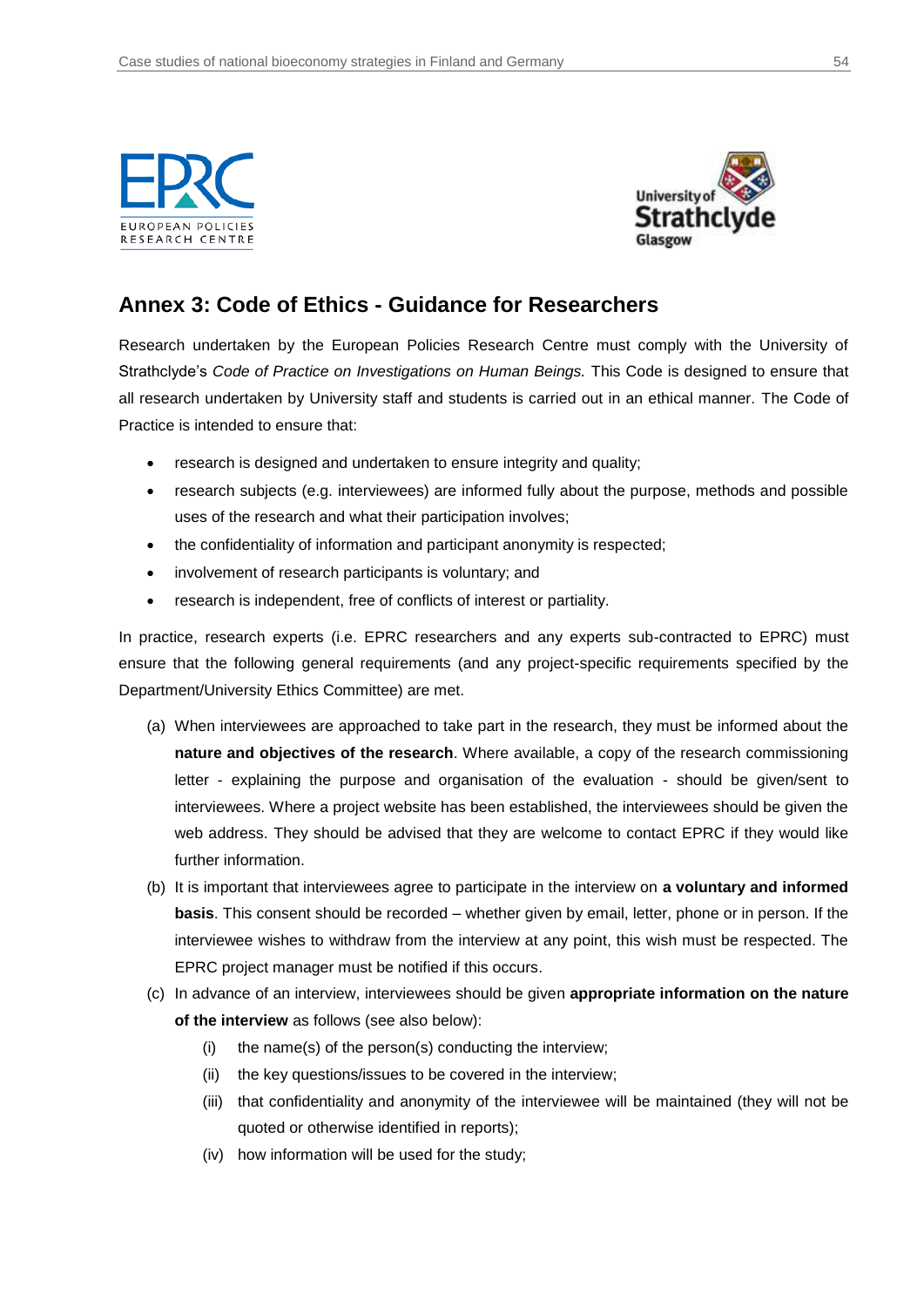



## <span id="page-53-0"></span>**Annex 3: Code of Ethics - Guidance for Researchers**

Research undertaken by the European Policies Research Centre must comply with the University of Strathclyde's *Code of Practice on Investigations on Human Beings.* This Code is designed to ensure that all research undertaken by University staff and students is carried out in an ethical manner. The Code of Practice is intended to ensure that:

- research is designed and undertaken to ensure integrity and quality;
- research subjects (e.g. interviewees) are informed fully about the purpose, methods and possible uses of the research and what their participation involves;
- the confidentiality of information and participant anonymity is respected;
- involvement of research participants is voluntary; and
- research is independent, free of conflicts of interest or partiality.

In practice, research experts (i.e. EPRC researchers and any experts sub-contracted to EPRC) must ensure that the following general requirements (and any project-specific requirements specified by the Department/University Ethics Committee) are met.

- (a) When interviewees are approached to take part in the research, they must be informed about the **nature and objectives of the research**. Where available, a copy of the research commissioning letter - explaining the purpose and organisation of the evaluation - should be given/sent to interviewees. Where a project website has been established, the interviewees should be given the web address. They should be advised that they are welcome to contact EPRC if they would like further information.
- (b) It is important that interviewees agree to participate in the interview on **a voluntary and informed basis**. This consent should be recorded – whether given by email, letter, phone or in person. If the interviewee wishes to withdraw from the interview at any point, this wish must be respected. The EPRC project manager must be notified if this occurs.
- (c) In advance of an interview, interviewees should be given **appropriate information on the nature of the interview** as follows (see also below):
	- (i) the name(s) of the person(s) conducting the interview;
	- (ii) the key questions/issues to be covered in the interview;
	- (iii) that confidentiality and anonymity of the interviewee will be maintained (they will not be quoted or otherwise identified in reports);
	- (iv) how information will be used for the study;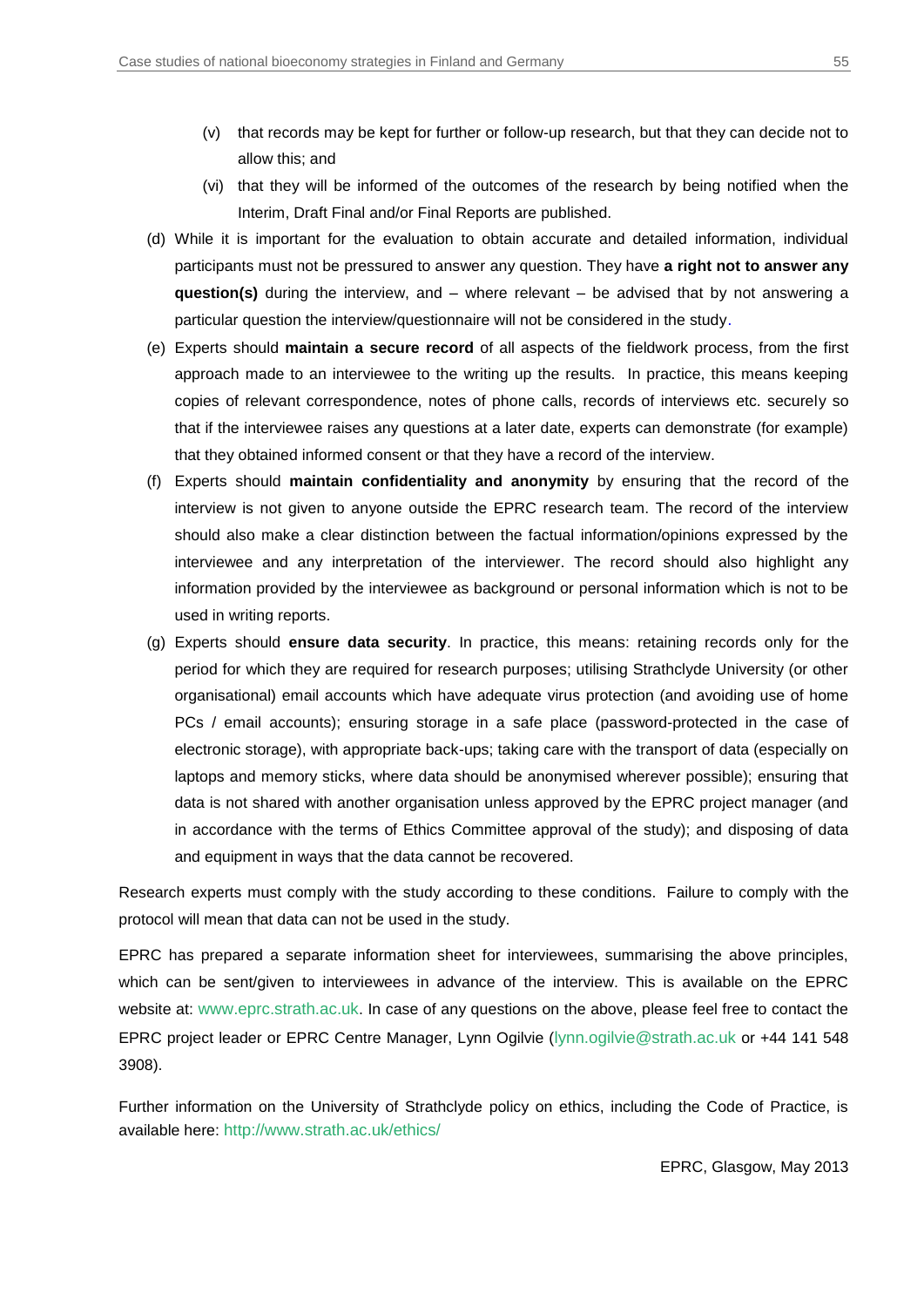- (v) that records may be kept for further or follow-up research, but that they can decide not to allow this; and
- (vi) that they will be informed of the outcomes of the research by being notified when the Interim, Draft Final and/or Final Reports are published.
- (d) While it is important for the evaluation to obtain accurate and detailed information, individual participants must not be pressured to answer any question. They have **a right not to answer any question(s)** during the interview, and – where relevant – be advised that by not answering a particular question the interview/questionnaire will not be considered in the study.
- (e) Experts should **maintain a secure record** of all aspects of the fieldwork process, from the first approach made to an interviewee to the writing up the results. In practice, this means keeping copies of relevant correspondence, notes of phone calls, records of interviews etc. securely so that if the interviewee raises any questions at a later date, experts can demonstrate (for example) that they obtained informed consent or that they have a record of the interview.
- (f) Experts should **maintain confidentiality and anonymity** by ensuring that the record of the interview is not given to anyone outside the EPRC research team. The record of the interview should also make a clear distinction between the factual information/opinions expressed by the interviewee and any interpretation of the interviewer. The record should also highlight any information provided by the interviewee as background or personal information which is not to be used in writing reports.
- (g) Experts should **ensure data security**. In practice, this means: retaining records only for the period for which they are required for research purposes; utilising Strathclyde University (or other organisational) email accounts which have adequate virus protection (and avoiding use of home PCs / email accounts); ensuring storage in a safe place (password-protected in the case of electronic storage), with appropriate back-ups; taking care with the transport of data (especially on laptops and memory sticks, where data should be anonymised wherever possible); ensuring that data is not shared with another organisation unless approved by the EPRC project manager (and in accordance with the terms of Ethics Committee approval of the study); and disposing of data and equipment in ways that the data cannot be recovered.

Research experts must comply with the study according to these conditions. Failure to comply with the protocol will mean that data can not be used in the study.

EPRC has prepared a separate information sheet for interviewees, summarising the above principles, which can be sent/given to interviewees in advance of the interview. This is available on the EPRC website at: [www.eprc.strath.ac.uk](https://www.eprc.strath.ac.uk/). In case of any questions on the above, please feel free to contact the EPRC project leader or EPRC Centre Manager, Lynn Ogilvie ([lynn.ogilvie@strath.ac.uk](mailto:lynn.ogilvie@strath.ac.uk) or +44 141 548 3908).

Further information on the University of Strathclyde policy on ethics, including the Code of Practice, is available here: [http://www.strath.ac.uk/ethics/](https://www.strath.ac.uk/ethics/)